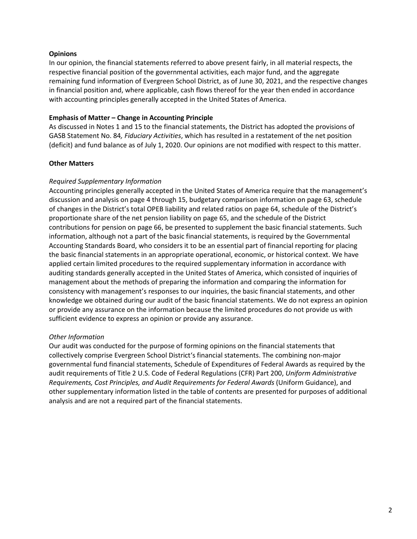## **Opinions**

In our opinion, the financial statements referred to above present fairly, in all material respects, the respective financial position of the governmental activities, each major fund, and the aggregate remaining fund information of Evergreen School District, as of June 30, 2021, and the respective changes in financial position and, where applicable, cash flows thereof for the year then ended in accordance with accounting principles generally accepted in the United States of America.

## **Emphasis of Matter – Change in Accounting Principle**

As discussed in Notes 1 and 15 to the financial statements, the District has adopted the provisions of GASB Statement No. 84*, Fiduciary Activities*, which has resulted in a restatement of the net position (deficit) and fund balance as of July 1, 2020. Our opinions are not modified with respect to this matter.

## **Other Matters**

## *Required Supplementary Information*

Accounting principles generally accepted in the United States of America require that the management's discussion and analysis on page [4](#page-6-0) throug[h 15,](#page-17-0) budgetary comparison information on page [63,](#page-66-0) schedule of changes in the District's total OPEB liability and related ratios on page [64,](#page-67-0) schedule of the District's proportionate share of the net pension liability on page [65,](#page-68-0) and the schedule of the District contributions for pension on page [66,](#page-69-0) be presented to supplement the basic financial statements. Such information, although not a part of the basic financial statements, is required by the Governmental Accounting Standards Board, who considers it to be an essential part of financial reporting for placing the basic financial statements in an appropriate operational, economic, or historical context. We have applied certain limited procedures to the required supplementary information in accordance with auditing standards generally accepted in the United States of America, which consisted of inquiries of management about the methods of preparing the information and comparing the information for consistency with management's responses to our inquiries, the basic financial statements, and other knowledge we obtained during our audit of the basic financial statements. We do not express an opinion or provide any assurance on the information because the limited procedures do not provide us with sufficient evidence to express an opinion or provide any assurance.

# *Other Information*

Our audit was conducted for the purpose of forming opinions on the financial statements that collectively comprise Evergreen School District's financial statements. The combining non-major governmental fund financial statements, Schedule of Expenditures of Federal Awards as required by the audit requirements of Title 2 U.S. Code of Federal Regulations (CFR) Part 200, *Uniform Administrative Requirements, Cost Principles, and Audit Requirements for Federal Awards* (Uniform Guidance), and other supplementary information listed in the table of contents are presented for purposes of additional analysis and are not a required part of the financial statements.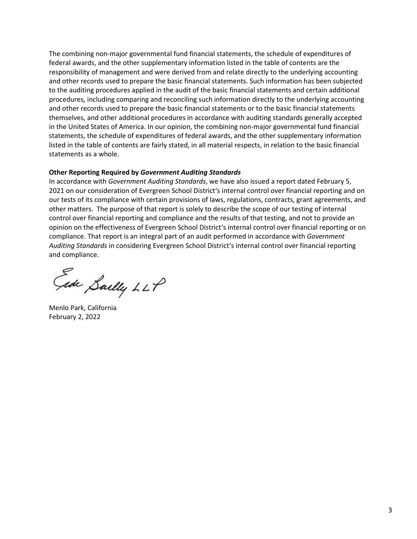The combining non-major governmental fund financial statements, the schedule of expenditures of federal awards, and the other supplementary information listed in the table of contents are the responsibility of management and were derived from and relate directly to the underlying accounting and other records used to prepare the basic financial statements. Such information has been subjected to the auditing procedures applied in the audit of the basic financial statements and certain additional procedures, including comparing and reconciling such information directly to the underlying accounting and other records used to prepare the basic financial statements or to the basic financial statements themselves, and other additional procedures in accordance with auditing standards generally accepted in the United States of America. In our opinion, the combining non-major governmental fund financial statements, the schedule of expenditures of federal awards, and the other supplementary information listed in the table of contents are fairly stated, in all material respects, in relation to the basic financial statements as a whole.

## **Other Reporting Required by** *Government Auditing Standards*

In accordance with *Government Auditing Standards*, we have also issued a report dated February 2, 2022 on our consideration of Evergreen School District's internal control over financial reporting and on our tests of its compliance with certain provisions of laws, regulations, contracts, grant agreements, and other matters. The purpose of that report is solely to describe the scope of our testing of internal control over financial reporting and compliance and the results of that testing, and not to provide an opinion on the effectiveness of Evergreen School District's internal control over financial reporting or on compliance. That report is an integral part of an audit performed in accordance with *Government Auditing Standards* in considering Evergreen School District's internal control over financial reporting and compliance.

Ease Sailly LLP

Menlo Park, California February 2, 2022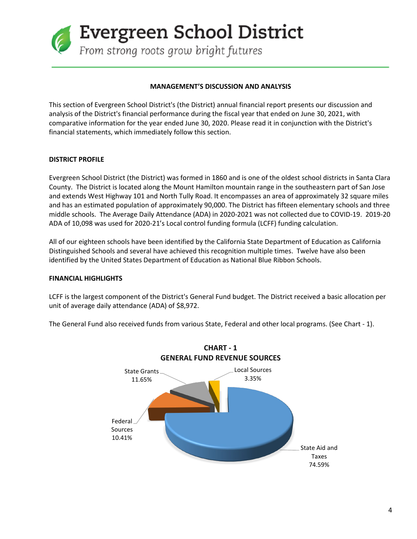Evergreen School District

From strong roots grow bright futures

## **MANAGEMENT'S DISCUSSION AND ANALYSIS**

<span id="page-6-0"></span>This section of Evergreen School District's (the District) annual financial report presents our discussion and analysis of the District's financial performance during the fiscal year that ended on June 30, 2021, with comparative information for the year ended June 30, 2020. Please read it in conjunction with the District's financial statements, which immediately follow this section.

## **DISTRICT PROFILE**

Evergreen School District (the District) was formed in 1860 and is one of the oldest school districts in Santa Clara County. The District is located along the Mount Hamilton mountain range in the southeastern part of San Jose and extends West Highway 101 and North Tully Road. It encompasses an area of approximately 32 square miles and has an estimated population of approximately 90,000. The District has fifteen elementary schools and three middle schools. The Average Daily Attendance (ADA) in 2020-2021 was not collected due to COVID-19. 2019-20 ADA of 10,098 was used for 2020-21's Local control funding formula (LCFF) funding calculation.

All of our eighteen schools have been identified by the California State Department of Education as California Distinguished Schools and several have achieved this recognition multiple times. Twelve have also been identified by the United States Department of Education as National Blue Ribbon Schools.

## **FINANCIAL HIGHLIGHTS**

LCFF is the largest component of the District's General Fund budget. The District received a basic allocation per unit of average daily attendance (ADA) of \$8,972.

The General Fund also received funds from various State, Federal and other local programs. (See Chart - 1).

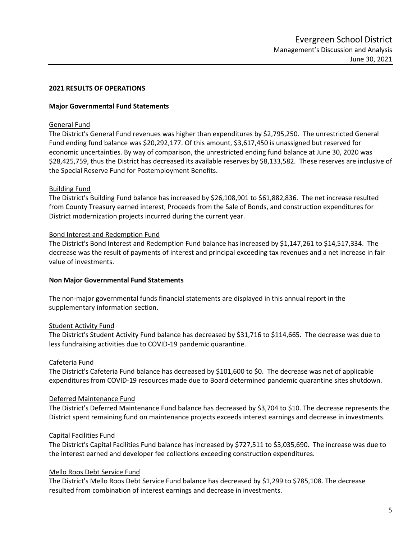#### **2021 RESULTS OF OPERATIONS**

#### **Major Governmental Fund Statements**

#### General Fund

The District's General Fund revenues was higher than expenditures by \$2,795,250. The unrestricted General Fund ending fund balance was \$20,292,177. Of this amount, \$3,617,450 is unassigned but reserved for economic uncertainties. By way of comparison, the unrestricted ending fund balance at June 30, 2020 was \$28,425,759, thus the District has decreased its available reserves by \$8,133,582. These reserves are inclusive of the Special Reserve Fund for Postemployment Benefits.

#### Building Fund

The District's Building Fund balance has increased by \$26,108,901 to \$61,882,836. The net increase resulted from County Treasury earned interest, Proceeds from the Sale of Bonds, and construction expenditures for District modernization projects incurred during the current year.

#### Bond Interest and Redemption Fund

The District's Bond Interest and Redemption Fund balance has increased by \$1,147,261 to \$14,517,334. The decrease was the result of payments of interest and principal exceeding tax revenues and a net increase in fair value of investments.

#### **Non Major Governmental Fund Statements**

The non-major governmental funds financial statements are displayed in this annual report in the supplementary information section.

## Student Activity Fund

The District's Student Activity Fund balance has decreased by \$31,716 to \$114,665. The decrease was due to less fundraising activities due to COVID-19 pandemic quarantine.

#### Cafeteria Fund

The District's Cafeteria Fund balance has decreased by \$101,600 to \$0. The decrease was net of applicable expenditures from COVID-19 resources made due to Board determined pandemic quarantine sites shutdown.

## Deferred Maintenance Fund

The District's Deferred Maintenance Fund balance has decreased by \$3,704 to \$10. The decrease represents the District spent remaining fund on maintenance projects exceeds interest earnings and decrease in investments.

## Capital Facilities Fund

The District's Capital Facilities Fund balance has increased by \$727,511 to \$3,035,690. The increase was due to the interest earned and developer fee collections exceeding construction expenditures.

#### Mello Roos Debt Service Fund

The District's Mello Roos Debt Service Fund balance has decreased by \$1,299 to \$785,108. The decrease resulted from combination of interest earnings and decrease in investments.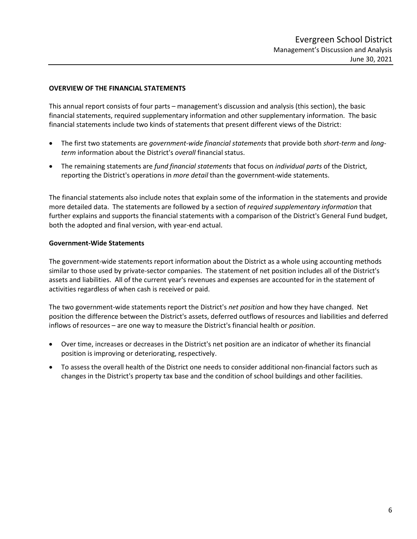## **OVERVIEW OF THE FINANCIAL STATEMENTS**

This annual report consists of four parts – management's discussion and analysis (this section), the basic financial statements, required supplementary information and other supplementary information. The basic financial statements include two kinds of statements that present different views of the District:

- The first two statements are *government-wide financial statements* that provide both *short-term* and *longterm* information about the District's *overall* financial status.
- The remaining statements are *fund financial statements* that focus on *individual parts* of the District, reporting the District's operations in *more detail* than the government-wide statements.

The financial statements also include notes that explain some of the information in the statements and provide more detailed data. The statements are followed by a section of *required supplementary information* that further explains and supports the financial statements with a comparison of the District's General Fund budget, both the adopted and final version, with year-end actual.

## **Government-Wide Statements**

The government-wide statements report information about the District as a whole using accounting methods similar to those used by private-sector companies. The statement of net position includes all of the District's assets and liabilities. All of the current year's revenues and expenses are accounted for in the statement of activities regardless of when cash is received or paid.

The two government-wide statements report the District's *net position* and how they have changed. Net position the difference between the District's assets, deferred outflows of resources and liabilities and deferred inflows of resources – are one way to measure the District's financial health or *position*.

- Over time, increases or decreases in the District's net position are an indicator of whether its financial position is improving or deteriorating, respectively.
- To assess the overall health of the District one needs to consider additional non-financial factors such as changes in the District's property tax base and the condition of school buildings and other facilities.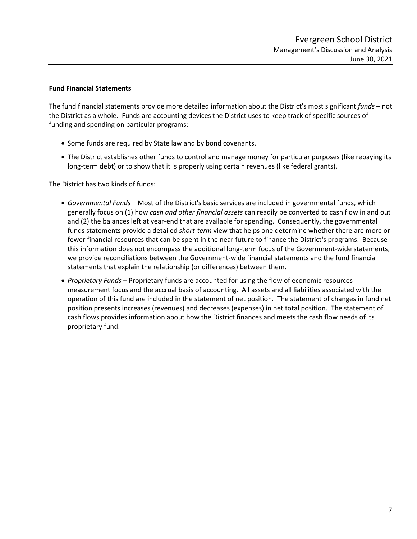## **Fund Financial Statements**

The fund financial statements provide more detailed information about the District's most significant *funds* – not the District as a whole. Funds are accounting devices the District uses to keep track of specific sources of funding and spending on particular programs:

- Some funds are required by State law and by bond covenants.
- The District establishes other funds to control and manage money for particular purposes (like repaying its long-term debt) or to show that it is properly using certain revenues (like federal grants).

The District has two kinds of funds:

- *Governmental Funds –* Most of the District's basic services are included in governmental funds, which generally focus on (1) how *cash and other financial assets* can readily be converted to cash flow in and out and (2) the balances left at year-end that are available for spending. Consequently, the governmental funds statements provide a detailed *short-term* view that helps one determine whether there are more or fewer financial resources that can be spent in the near future to finance the District's programs. Because this information does not encompass the additional long-term focus of the Government-wide statements, we provide reconciliations between the Government-wide financial statements and the fund financial statements that explain the relationship (or differences) between them.
- *Proprietary Funds –* Proprietary funds are accounted for using the flow of economic resources measurement focus and the accrual basis of accounting. All assets and all liabilities associated with the operation of this fund are included in the statement of net position. The statement of changes in fund net position presents increases (revenues) and decreases (expenses) in net total position. The statement of cash flows provides information about how the District finances and meets the cash flow needs of its proprietary fund.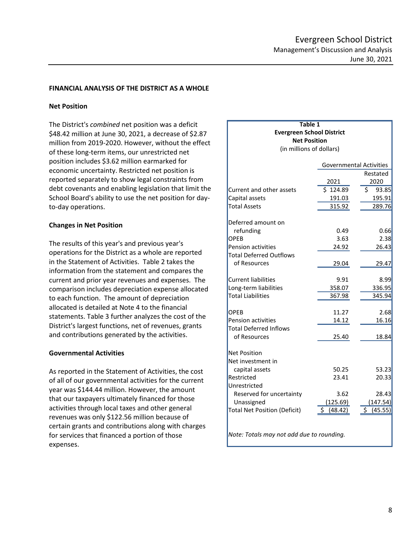# **FINANCIAL ANALYSIS OF THE DISTRICT AS A WHOLE**

# **Net Position**

The District's *combined* net position was a deficit \$48.42 million at June 30, 2021, a decrease of \$2.87 million from 2019-2020. However, without the effect of these long-term items, our unrestricted net position includes \$3.62 million earmarked for economic uncertainty. Restricted net position is reported separately to show legal constraints from debt covenants and enabling legislation that limit the School Board's ability to use the net position for dayto-day operations.

## **Changes in Net Position**

The results of this year's and previous year's operations for the District as a whole are reported in the Statement of Activities. Table 2 takes the information from the statement and compares the current and prior year revenues and expenses. The comparison includes depreciation expense allocated to each function. The amount of depreciation allocated is detailed at Note 4 to the financial statements. Table 3 further analyzes the cost of the District's largest functions, net of revenues, grants and contributions generated by the activities.

#### **Governmental Activities**

As reported in the Statement of Activities, the cost of all of our governmental activities for the current year was \$144.44 million. However, the amount that our taxpayers ultimately financed for those activities through local taxes and other general revenues was only \$122.56 million because of certain grants and contributions along with charges for services that financed a portion of those expenses.

| Table 1                                   |          |             |  |  |  |  |  |  |  |
|-------------------------------------------|----------|-------------|--|--|--|--|--|--|--|
| <b>Evergreen School District</b>          |          |             |  |  |  |  |  |  |  |
| <b>Net Position</b>                       |          |             |  |  |  |  |  |  |  |
| (in millions of dollars)                  |          |             |  |  |  |  |  |  |  |
|                                           |          |             |  |  |  |  |  |  |  |
| <b>Governmental Activities</b>            |          |             |  |  |  |  |  |  |  |
|                                           |          | Restated    |  |  |  |  |  |  |  |
|                                           | 2021     | 2020        |  |  |  |  |  |  |  |
| Current and other assets                  | \$124.89 | 93.85<br>\$ |  |  |  |  |  |  |  |
| Capital assets                            | 191.03   | 195.91      |  |  |  |  |  |  |  |
| <b>Total Assets</b>                       | 315.92   | 289.76      |  |  |  |  |  |  |  |
| Deferred amount on                        |          |             |  |  |  |  |  |  |  |
| refunding                                 | 0.49     | 0.66        |  |  |  |  |  |  |  |
| OPEB                                      | 3.63     | 2.38        |  |  |  |  |  |  |  |
| Pension activities                        | 24.92    | 26.43       |  |  |  |  |  |  |  |
| <b>Total Deferred Outflows</b>            |          |             |  |  |  |  |  |  |  |
| of Resources                              | 29.04    | 29.47       |  |  |  |  |  |  |  |
|                                           |          |             |  |  |  |  |  |  |  |
| <b>Current liabilities</b>                | 9.91     | 8.99        |  |  |  |  |  |  |  |
| Long-term liabilities                     | 358.07   | 336.95      |  |  |  |  |  |  |  |
| <b>Total Liabilities</b>                  | 367.98   | 345.94      |  |  |  |  |  |  |  |
|                                           |          |             |  |  |  |  |  |  |  |
| <b>OPEB</b>                               | 11.27    | 2.68        |  |  |  |  |  |  |  |
| Pension activities                        | 14.12    | 16.16       |  |  |  |  |  |  |  |
| <b>Total Deferred Inflows</b>             |          |             |  |  |  |  |  |  |  |
| of Resources                              | 25.40    | 18.84       |  |  |  |  |  |  |  |
| <b>Net Position</b>                       |          |             |  |  |  |  |  |  |  |
| Net investment in                         |          |             |  |  |  |  |  |  |  |
| capital assets                            | 50.25    | 53.23       |  |  |  |  |  |  |  |
| Restricted                                | 23.41    | 20.33       |  |  |  |  |  |  |  |
| Unrestricted                              |          |             |  |  |  |  |  |  |  |
| Reserved for uncertainty                  | 3.62     | 28.43       |  |  |  |  |  |  |  |
| Unassigned                                | (125.69) | (147.54)    |  |  |  |  |  |  |  |
| Total Net Position (Deficit)              | (48.42)  | (45.55)     |  |  |  |  |  |  |  |
|                                           |          |             |  |  |  |  |  |  |  |
| Note: Totals may not add due to rounding. |          |             |  |  |  |  |  |  |  |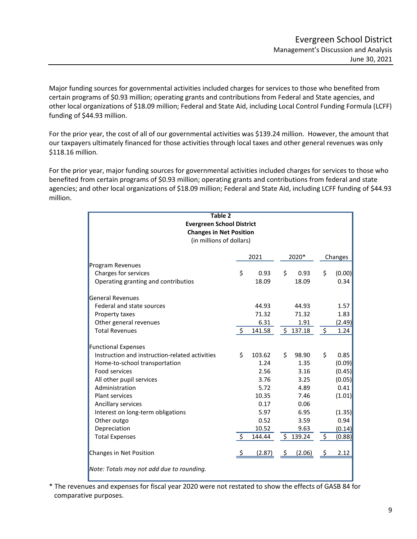Major funding sources for governmental activities included charges for services to those who benefited from certain programs of \$0.93 million; operating grants and contributions from Federal and State agencies, and other local organizations of \$18.09 million; Federal and State Aid, including Local Control Funding Formula (LCFF) funding of \$44.93 million.

For the prior year, the cost of all of our governmental activities was \$139.24 million. However, the amount that our taxpayers ultimately financed for those activities through local taxes and other general revenues was only \$118.16 million.

For the prior year, major funding sources for governmental activities included charges for services to those who benefited from certain programs of \$0.93 million; operating grants and contributions from federal and state agencies; and other local organizations of \$18.09 million; Federal and State Aid, including LCFF funding of \$44.93 million.

| Table 2<br><b>Evergreen School District</b><br><b>Changes in Net Position</b>                                                                              |              |                                |     |                               |                     |                                    |  |  |  |  |
|------------------------------------------------------------------------------------------------------------------------------------------------------------|--------------|--------------------------------|-----|-------------------------------|---------------------|------------------------------------|--|--|--|--|
| (in millions of dollars)                                                                                                                                   |              |                                |     |                               |                     |                                    |  |  |  |  |
| 2021<br>2020*<br>Changes                                                                                                                                   |              |                                |     |                               |                     |                                    |  |  |  |  |
| Program Revenues                                                                                                                                           |              |                                |     |                               |                     |                                    |  |  |  |  |
| Charges for services                                                                                                                                       | \$           | 0.93                           | \$  | 0.93                          | \$                  | (0.00)                             |  |  |  |  |
| Operating granting and contributios                                                                                                                        |              | 18.09                          |     | 18.09                         |                     | 0.34                               |  |  |  |  |
| <b>General Revenues</b>                                                                                                                                    |              |                                |     |                               |                     |                                    |  |  |  |  |
| Federal and state sources                                                                                                                                  |              | 44.93                          |     | 44.93                         |                     | 1.57                               |  |  |  |  |
| Property taxes                                                                                                                                             |              | 71.32                          |     | 71.32                         |                     | 1.83                               |  |  |  |  |
| Other general revenues                                                                                                                                     |              | 6.31                           |     | 1.91                          |                     | (2.49)                             |  |  |  |  |
| <b>Total Revenues</b>                                                                                                                                      | $\mathsf{S}$ | 141.58                         |     | \$137.18                      | $\ddot{\varsigma}$  | 1.24                               |  |  |  |  |
| <b>Functional Expenses</b><br>Instruction and instruction-related activities<br>Home-to-school transportation<br>Food services<br>All other pupil services | \$           | 103.62<br>1.24<br>2.56<br>3.76 | \$  | 98.90<br>1.35<br>3.16<br>3.25 | \$                  | 0.85<br>(0.09)<br>(0.45)<br>(0.05) |  |  |  |  |
| Administration                                                                                                                                             |              | 5.72                           |     | 4.89                          |                     | 0.41                               |  |  |  |  |
| Plant services<br>Ancillary services                                                                                                                       |              | 10.35<br>0.17                  |     | 7.46<br>0.06                  |                     | (1.01)                             |  |  |  |  |
| Interest on long-term obligations                                                                                                                          |              | 5.97                           |     | 6.95                          |                     | (1.35)                             |  |  |  |  |
| Other outgo                                                                                                                                                |              | 0.52                           |     | 3.59                          |                     | 0.94                               |  |  |  |  |
| Depreciation                                                                                                                                               |              | 10.52                          |     | 9.63                          |                     | (0.14)                             |  |  |  |  |
| <b>Total Expenses</b>                                                                                                                                      | Ŝ.           | 144.44                         |     | \$139.24                      | $\ddot{\mathsf{S}}$ | (0.88)                             |  |  |  |  |
| Changes in Net Position<br>Note: Totals may not add due to rounding.                                                                                       |              | (2.87)                         | - S | (2.06)                        | - Ş                 | 2.12                               |  |  |  |  |
|                                                                                                                                                            |              |                                |     |                               |                     |                                    |  |  |  |  |

\* The revenues and expenses for fiscal year 2020 were not restated to show the effects of GASB 84 for comparative purposes.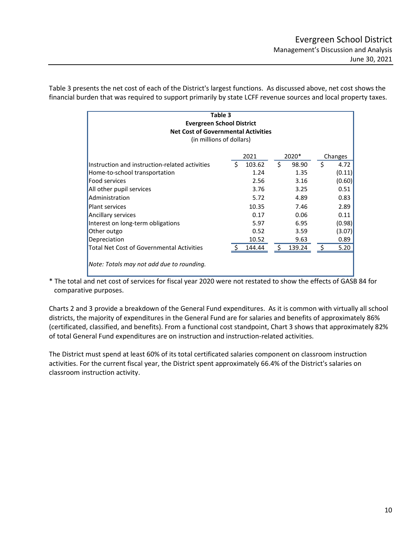| Table 3<br><b>Evergreen School District</b><br><b>Net Cost of Governmental Activities</b><br>(in millions of dollars) |    |        |     |        |    |         |  |  |  |
|-----------------------------------------------------------------------------------------------------------------------|----|--------|-----|--------|----|---------|--|--|--|
|                                                                                                                       |    | 2021   |     | 2020*  |    | Changes |  |  |  |
| Instruction and instruction-related activities                                                                        | Ś. | 103.62 | \$. | 98.90  | \$ | 4.72    |  |  |  |
| Home-to-school transportation                                                                                         |    | 1.24   |     | 1.35   |    | (0.11)  |  |  |  |
| Food services                                                                                                         |    | 2.56   |     | 3.16   |    | (0.60)  |  |  |  |
| All other pupil services                                                                                              |    | 3.76   |     | 3.25   |    | 0.51    |  |  |  |
| Administration                                                                                                        |    | 5.72   |     | 4.89   |    | 0.83    |  |  |  |
| <b>Plant services</b>                                                                                                 |    | 10.35  |     | 7.46   |    | 2.89    |  |  |  |
| Ancillary services                                                                                                    |    | 0.17   |     | 0.06   |    | 0.11    |  |  |  |
| Interest on long-term obligations                                                                                     |    | 5.97   |     | 6.95   |    | (0.98)  |  |  |  |
| Other outgo                                                                                                           |    | 0.52   |     | 3.59   |    | (3.07)  |  |  |  |
| Depreciation                                                                                                          |    | 10.52  |     | 9.63   |    | 0.89    |  |  |  |
| <b>Total Net Cost of Governmental Activities</b>                                                                      |    | 144.44 | S.  | 139.24 | -S | 5.20    |  |  |  |
| Note: Totals may not add due to rounding.                                                                             |    |        |     |        |    |         |  |  |  |

Table 3 presents the net cost of each of the District's largest functions. As discussed above, net cost shows the financial burden that was required to support primarily by state LCFF revenue sources and local property taxes.

\* The total and net cost of services for fiscal year 2020 were not restated to show the effects of GASB 84 for comparative purposes.

Charts 2 and 3 provide a breakdown of the General Fund expenditures. As it is common with virtually all school districts, the majority of expenditures in the General Fund are for salaries and benefits of approximately 86% (certificated, classified, and benefits). From a functional cost standpoint, Chart 3 shows that approximately 82% of total General Fund expenditures are on instruction and instruction-related activities.

The District must spend at least 60% of its total certificated salaries component on classroom instruction activities. For the current fiscal year, the District spent approximately 66.4% of the District's salaries on classroom instruction activity.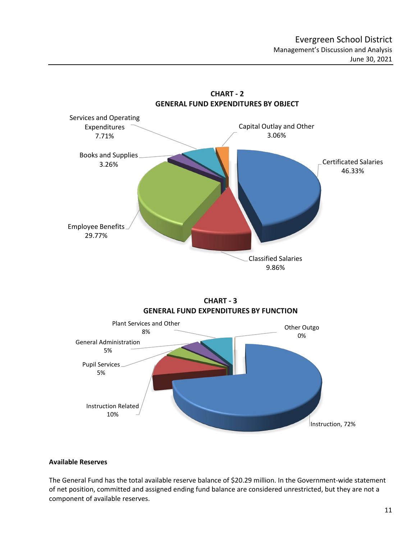

**CHART - 2**

**CHART - 3 GENERAL FUND EXPENDITURES BY FUNCTION**



#### **Available Reserves**

The General Fund has the total available reserve balance of \$20.29 million. In the Government-wide statement of net position, committed and assigned ending fund balance are considered unrestricted, but they are not a component of available reserves.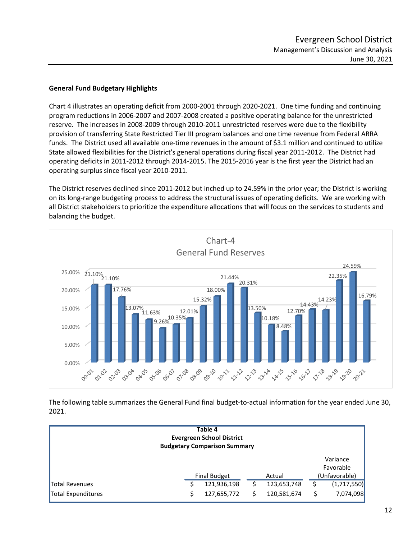# **General Fund Budgetary Highlights**

Chart 4 illustrates an operating deficit from 2000-2001 through 2020-2021. One time funding and continuing program reductions in 2006-2007 and 2007-2008 created a positive operating balance for the unrestricted reserve. The increases in 2008-2009 through 2010-2011 unrestricted reserves were due to the flexibility provision of transferring State Restricted Tier III program balances and one time revenue from Federal ARRA funds. The District used all available one-time revenues in the amount of \$3.1 million and continued to utilize State allowed flexibilities for the District's general operations during fiscal year 2011-2012. The District had operating deficits in 2011-2012 through 2014-2015. The 2015-2016 year is the first year the District had an operating surplus since fiscal year 2010-2011.

The District reserves declined since 2011-2012 but inched up to 24.59% in the prior year; the District is working on its long-range budgeting process to address the structural issues of operating deficits. We are working with all District stakeholders to prioritize the expenditure allocations that will focus on the services to students and balancing the budget.



The following table summarizes the General Fund final budget-to-actual information for the year ended June 30, 2021.

| Table 4<br><b>Evergreen School District</b><br><b>Budgetary Comparison Summary</b> |  |                     |             |   |             |  |               |  |  |
|------------------------------------------------------------------------------------|--|---------------------|-------------|---|-------------|--|---------------|--|--|
|                                                                                    |  |                     |             |   |             |  | Variance      |  |  |
|                                                                                    |  |                     |             |   |             |  |               |  |  |
|                                                                                    |  | <b>Final Budget</b> |             |   | Actual      |  | (Unfavorable) |  |  |
| <b>Total Revenues</b>                                                              |  |                     | 121,936,198 | S | 123,653,748 |  | (1,717,550)   |  |  |
| Total Expenditures                                                                 |  |                     | 127,655,772 |   | 120,581,674 |  | 7,074,098     |  |  |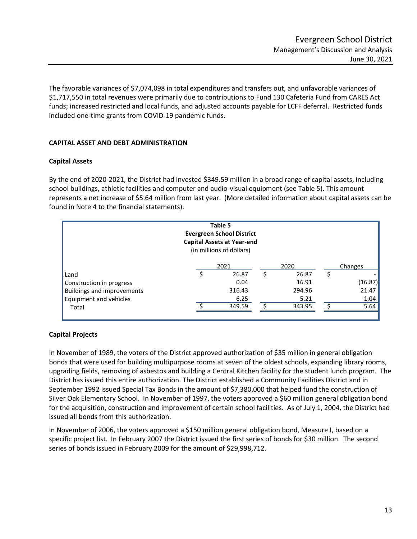The favorable variances of \$7,074,098 in total expenditures and transfers out, and unfavorable variances of \$1,717,550 in total revenues were primarily due to contributions to Fund 130 Cafeteria Fund from CARES Act funds; increased restricted and local funds, and adjusted accounts payable for LCFF deferral. Restricted funds included one-time grants from COVID-19 pandemic funds.

# **CAPITAL ASSET AND DEBT ADMINISTRATION**

## **Capital Assets**

By the end of 2020-2021, the District had invested \$349.59 million in a broad range of capital assets, including school buildings, athletic facilities and computer and audio-visual equipment (see Table 5). This amount represents a net increase of \$5.64 million from last year. (More detailed information about capital assets can be found in Note 4 to the financial statements).

| Table 5<br><b>Evergreen School District</b><br><b>Capital Assets at Year-end</b><br>(in millions of dollars) |      |        |   |        |         |         |  |  |  |
|--------------------------------------------------------------------------------------------------------------|------|--------|---|--------|---------|---------|--|--|--|
|                                                                                                              | 2021 |        |   | 2020   | Changes |         |  |  |  |
| Land                                                                                                         |      | 26.87  | S | 26.87  |         |         |  |  |  |
| Construction in progress                                                                                     |      | 0.04   |   | 16.91  |         | (16.87) |  |  |  |
| <b>Buildings and improvements</b>                                                                            |      | 316.43 |   | 294.96 |         | 21.47   |  |  |  |
| Equipment and vehicles                                                                                       |      | 6.25   |   | 5.21   |         | 1.04    |  |  |  |
| Total                                                                                                        |      | 349.59 |   | 343.95 |         | 5.64    |  |  |  |
|                                                                                                              |      |        |   |        |         |         |  |  |  |

# **Capital Projects**

In November of 1989, the voters of the District approved authorization of \$35 million in general obligation bonds that were used for building multipurpose rooms at seven of the oldest schools, expanding library rooms, upgrading fields, removing of asbestos and building a Central Kitchen facility for the student lunch program. The District has issued this entire authorization. The District established a Community Facilities District and in September 1992 issued Special Tax Bonds in the amount of \$7,380,000 that helped fund the construction of Silver Oak Elementary School. In November of 1997, the voters approved a \$60 million general obligation bond for the acquisition, construction and improvement of certain school facilities. As of July 1, 2004, the District had issued all bonds from this authorization.

In November of 2006, the voters approved a \$150 million general obligation bond, Measure I, based on a specific project list. In February 2007 the District issued the first series of bonds for \$30 million. The second series of bonds issued in February 2009 for the amount of \$29,998,712.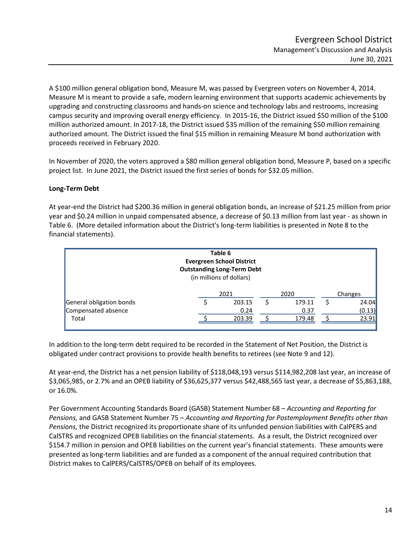A \$100 million general obligation bond, Measure M, was passed by Evergreen voters on November 4, 2014. Measure M is meant to provide a safe, modern learning environment that supports academic achievements by upgrading and constructing classrooms and hands-on science and technology labs and restrooms, increasing campus security and improving overall energy efficiency. In 2015-16, the District issued \$50 million of the \$100 million authorized amount. In 2017-18, the District issued \$35 million of the remaining \$50 million remaining authorized amount. The District issued the final \$15 million in remaining Measure M bond authorization with proceeds received in February 2020.

In November of 2020, the voters approved a \$80 million general obligation bond, Measure P, based on a specific project list. In June 2021, the District issued the first series of bonds for \$32.05 million.

## **Long-Term Debt**

At year-end the District had \$200.36 million in general obligation bonds, an increase of \$21.25 million from prior year and \$0.24 million in unpaid compensated absence, a decrease of \$0.13 million from last year - as shown in Table 6. (More detailed information about the District's long-term liabilities is presented in Note 8 to the financial statements).

| Table 6<br><b>Evergreen School District</b><br><b>Outstanding Long-Term Debt</b><br>(in millions of dollars) |  |        |  |        |  |         |  |  |  |
|--------------------------------------------------------------------------------------------------------------|--|--------|--|--------|--|---------|--|--|--|
|                                                                                                              |  | 2021   |  | 2020   |  | Changes |  |  |  |
| General obligation bonds                                                                                     |  | 203.15 |  | 179.11 |  | 24.04   |  |  |  |
| Compensated absence                                                                                          |  | 0.24   |  | 0.37   |  | (0.13)  |  |  |  |
| Total                                                                                                        |  | 203.39 |  | 179.48 |  | 23.91   |  |  |  |
|                                                                                                              |  |        |  |        |  |         |  |  |  |

In addition to the long-term debt required to be recorded in the Statement of Net Position, the District is obligated under contract provisions to provide health benefits to retirees (see Note 9 and 12).

At year-end, the District has a net pension liability of \$118,048,193 versus \$114,982,208 last year, an increase of \$3,065,985, or 2.7% and an OPEB liability of \$36,625,377 versus \$42,488,565 last year, a decrease of \$5,863,188, or 16.0%.

Per Government Accounting Standards Board (GASB) Statement Number 68 – *Accounting and Reporting for Pensions,* and GASB Statement Number 75 – *Accounting and Reporting for Postemployment Benefits other than Pensions,* the District recognized its proportionate share of its unfunded pension liabilities with CalPERS and CalSTRS and recognized OPEB liabilities on the financial statements. As a result, the District recognized over \$154.7 million in pension and OPEB liabilities on the current year's financial statements. These amounts were presented as long-term liabilities and are funded as a component of the annual required contribution that District makes to CalPERS/CalSTRS/OPEB on behalf of its employees.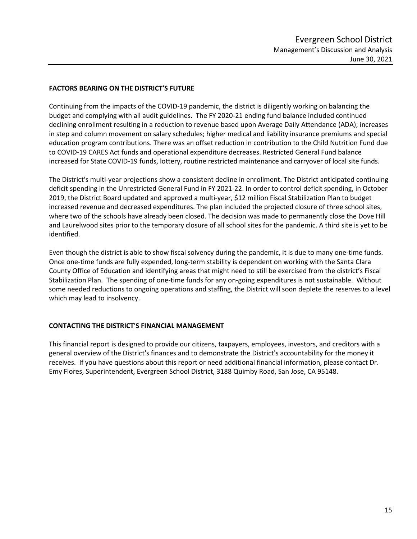## **FACTORS BEARING ON THE DISTRICT'S FUTURE**

Continuing from the impacts of the COVID-19 pandemic, the district is diligently working on balancing the budget and complying with all audit guidelines. The FY 2020-21 ending fund balance included continued declining enrollment resulting in a reduction to revenue based upon Average Daily Attendance (ADA); increases in step and column movement on salary schedules; higher medical and liability insurance premiums and special education program contributions. There was an offset reduction in contribution to the Child Nutrition Fund due to COVID-19 CARES Act funds and operational expenditure decreases. Restricted General Fund balance increased for State COVID-19 funds, lottery, routine restricted maintenance and carryover of local site funds.

The District's multi-year projections show a consistent decline in enrollment. The District anticipated continuing deficit spending in the Unrestricted General Fund in FY 2021-22. In order to control deficit spending, in October 2019, the District Board updated and approved a multi-year, \$12 million Fiscal Stabilization Plan to budget increased revenue and decreased expenditures. The plan included the projected closure of three school sites, where two of the schools have already been closed. The decision was made to permanently close the Dove Hill and Laurelwood sites prior to the temporary closure of all school sites for the pandemic. A third site is yet to be identified.

Even though the district is able to show fiscal solvency during the pandemic, it is due to many one-time funds. Once one-time funds are fully expended, long-term stability is dependent on working with the Santa Clara County Office of Education and identifying areas that might need to still be exercised from the district's Fiscal Stabilization Plan. The spending of one-time funds for any on-going expenditures is not sustainable. Without some needed reductions to ongoing operations and staffing, the District will soon deplete the reserves to a level which may lead to insolvency.

# <span id="page-17-0"></span>**CONTACTING THE DISTRICT'S FINANCIAL MANAGEMENT**

This financial report is designed to provide our citizens, taxpayers, employees, investors, and creditors with a general overview of the District's finances and to demonstrate the District's accountability for the money it receives. If you have questions about this report or need additional financial information, please contact Dr. Emy Flores, Superintendent, Evergreen School District, 3188 Quimby Road, San Jose, CA 95148.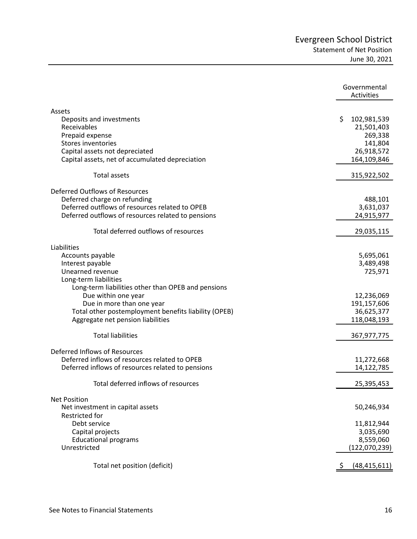|                                                      | Governmental |                |
|------------------------------------------------------|--------------|----------------|
|                                                      |              | Activities     |
| Assets                                               |              |                |
| Deposits and investments                             | \$           | 102,981,539    |
| Receivables                                          |              | 21,501,403     |
| Prepaid expense                                      |              | 269,338        |
| Stores inventories                                   |              | 141,804        |
| Capital assets not depreciated                       |              | 26,918,572     |
| Capital assets, net of accumulated depreciation      |              | 164,109,846    |
| <b>Total assets</b>                                  |              | 315,922,502    |
| <b>Deferred Outflows of Resources</b>                |              |                |
| Deferred charge on refunding                         |              | 488,101        |
| Deferred outflows of resources related to OPEB       |              | 3,631,037      |
| Deferred outflows of resources related to pensions   |              | 24,915,977     |
| Total deferred outflows of resources                 |              | 29,035,115     |
| Liabilities                                          |              |                |
| Accounts payable                                     |              | 5,695,061      |
| Interest payable                                     |              | 3,489,498      |
| Unearned revenue                                     |              | 725,971        |
| Long-term liabilities                                |              |                |
| Long-term liabilities other than OPEB and pensions   |              |                |
| Due within one year                                  |              | 12,236,069     |
| Due in more than one year                            |              | 191,157,606    |
| Total other postemployment benefits liability (OPEB) |              | 36,625,377     |
| Aggregate net pension liabilities                    |              | 118,048,193    |
| <b>Total liabilities</b>                             |              | 367,977,775    |
| Deferred Inflows of Resources                        |              |                |
| Deferred inflows of resources related to OPEB        |              | 11,272,668     |
| Deferred inflows of resources related to pensions    |              | 14,122,785     |
| Total deferred inflows of resources                  |              | 25,395,453     |
| <b>Net Position</b>                                  |              |                |
| Net investment in capital assets                     |              | 50,246,934     |
| Restricted for                                       |              |                |
| Debt service                                         |              | 11,812,944     |
| Capital projects                                     |              | 3,035,690      |
| <b>Educational programs</b>                          |              | 8,559,060      |
| Unrestricted                                         |              | (122,070,239)  |
| Total net position (deficit)                         | Ş.           | (48, 415, 611) |
|                                                      |              |                |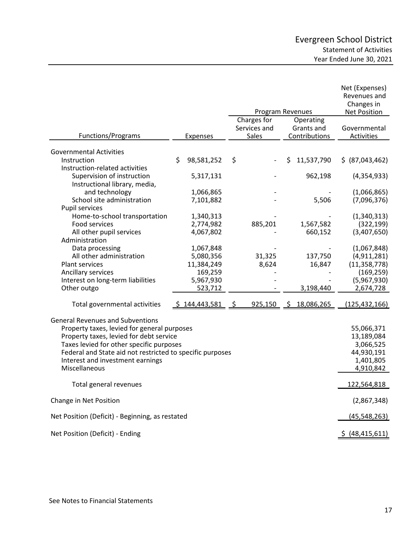|                                                                                                                                                                                                                                                                                                 | Program Revenues                                                              |               |    |              |    |               | Net (Expenses)<br>Revenues and<br>Changes in<br><b>Net Position</b> |
|-------------------------------------------------------------------------------------------------------------------------------------------------------------------------------------------------------------------------------------------------------------------------------------------------|-------------------------------------------------------------------------------|---------------|----|--------------|----|---------------|---------------------------------------------------------------------|
|                                                                                                                                                                                                                                                                                                 |                                                                               |               |    | Charges for  |    | Operating     |                                                                     |
|                                                                                                                                                                                                                                                                                                 |                                                                               |               |    | Services and |    | Grants and    | Governmental                                                        |
| Functions/Programs                                                                                                                                                                                                                                                                              |                                                                               | Expenses      |    | <b>Sales</b> |    | Contributions | Activities                                                          |
| <b>Governmental Activities</b>                                                                                                                                                                                                                                                                  |                                                                               |               |    |              |    |               |                                                                     |
| Instruction                                                                                                                                                                                                                                                                                     | \$                                                                            | 98,581,252    | \$ |              | \$ | 11,537,790    | \$ (87,043,462)                                                     |
| Instruction-related activities                                                                                                                                                                                                                                                                  |                                                                               |               |    |              |    |               |                                                                     |
| Supervision of instruction                                                                                                                                                                                                                                                                      |                                                                               | 5,317,131     |    |              |    | 962,198       | (4,354,933)                                                         |
| Instructional library, media,                                                                                                                                                                                                                                                                   |                                                                               |               |    |              |    |               |                                                                     |
| and technology                                                                                                                                                                                                                                                                                  |                                                                               | 1,066,865     |    |              |    |               | (1,066,865)                                                         |
| School site administration                                                                                                                                                                                                                                                                      |                                                                               | 7,101,882     |    |              |    | 5,506         | (7,096,376)                                                         |
| <b>Pupil services</b>                                                                                                                                                                                                                                                                           |                                                                               |               |    |              |    |               |                                                                     |
| Home-to-school transportation                                                                                                                                                                                                                                                                   |                                                                               | 1,340,313     |    |              |    |               | (1,340,313)                                                         |
| Food services                                                                                                                                                                                                                                                                                   |                                                                               | 2,774,982     |    | 885,201      |    | 1,567,582     | (322, 199)                                                          |
| All other pupil services                                                                                                                                                                                                                                                                        |                                                                               | 4,067,802     |    |              |    | 660,152       | (3,407,650)                                                         |
| Administration                                                                                                                                                                                                                                                                                  |                                                                               |               |    |              |    |               |                                                                     |
| Data processing                                                                                                                                                                                                                                                                                 |                                                                               | 1,067,848     |    |              |    |               | (1,067,848)                                                         |
| All other administration                                                                                                                                                                                                                                                                        |                                                                               | 5,080,356     |    | 31,325       |    | 137,750       | (4, 911, 281)                                                       |
| Plant services                                                                                                                                                                                                                                                                                  |                                                                               | 11,384,249    |    | 8,624        |    | 16,847        | (11, 358, 778)                                                      |
| Ancillary services                                                                                                                                                                                                                                                                              |                                                                               | 169,259       |    |              |    |               | (169, 259)                                                          |
| Interest on long-term liabilities                                                                                                                                                                                                                                                               |                                                                               | 5,967,930     |    |              |    |               | (5,967,930)                                                         |
|                                                                                                                                                                                                                                                                                                 |                                                                               |               |    |              |    |               |                                                                     |
| Other outgo                                                                                                                                                                                                                                                                                     |                                                                               | 523,712       |    |              |    | 3,198,440     | 2,674,728                                                           |
| Total governmental activities                                                                                                                                                                                                                                                                   |                                                                               | \$144,443,581 | S. | $925,150$ \$ |    | 18,086,265    | (125, 432, 166)                                                     |
| <b>General Revenues and Subventions</b><br>Property taxes, levied for general purposes<br>Property taxes, levied for debt service<br>Taxes levied for other specific purposes<br>Federal and State aid not restricted to specific purposes<br>Interest and investment earnings<br>Miscellaneous | 55,066,371<br>13,189,084<br>3,066,525<br>44,930,191<br>1,401,805<br>4,910,842 |               |    |              |    |               |                                                                     |
| Total general revenues                                                                                                                                                                                                                                                                          |                                                                               |               |    |              |    |               | 122,564,818                                                         |
| Change in Net Position                                                                                                                                                                                                                                                                          |                                                                               |               |    |              |    |               | (2,867,348)                                                         |
| Net Position (Deficit) - Beginning, as restated                                                                                                                                                                                                                                                 |                                                                               |               |    |              |    |               | (45, 548, 263)                                                      |
| Net Position (Deficit) - Ending                                                                                                                                                                                                                                                                 |                                                                               |               |    |              |    |               | \$ (48, 415, 611)                                                   |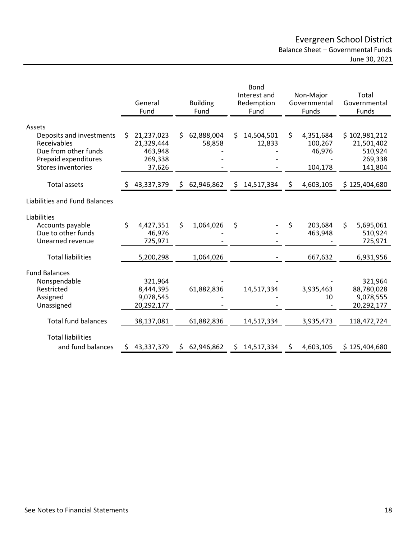|                                                                                                                         |              | General<br>Fund                                          | <b>Building</b><br>Fund |                      | Bond<br>Interest and<br>Redemption<br>Fund |                      |    | Non-Major<br>Governmental<br>Funds        | Total<br>Governmental<br><b>Funds</b>                        |
|-------------------------------------------------------------------------------------------------------------------------|--------------|----------------------------------------------------------|-------------------------|----------------------|--------------------------------------------|----------------------|----|-------------------------------------------|--------------------------------------------------------------|
| Assets<br>Deposits and investments<br>Receivables<br>Due from other funds<br>Prepaid expenditures<br>Stores inventories | Ŝ.           | 21,237,023<br>21,329,444<br>463,948<br>269,338<br>37,626 | \$                      | 62,888,004<br>58,858 | \$.                                        | 14,504,501<br>12,833 | \$ | 4,351,684<br>100,267<br>46,976<br>104,178 | \$102,981,212<br>21,501,402<br>510,924<br>269,338<br>141,804 |
| <b>Total assets</b>                                                                                                     | -S           | 43,337,379                                               | \$.                     | 62,946,862           | \$                                         | 14,517,334           | \$ | 4,603,105                                 | \$125,404,680                                                |
| <b>Liabilities and Fund Balances</b>                                                                                    |              |                                                          |                         |                      |                                            |                      |    |                                           |                                                              |
| Liabilities<br>Accounts payable<br>Due to other funds<br>Unearned revenue                                               | \$           | 4,427,351<br>46,976<br>725,971                           | \$                      | 1,064,026            | \$                                         |                      | \$ | 203,684<br>463,948                        | \$<br>5,695,061<br>510,924<br>725,971                        |
| <b>Total liabilities</b>                                                                                                |              | 5,200,298                                                |                         | 1,064,026            |                                            |                      |    | 667,632                                   | 6,931,956                                                    |
| <b>Fund Balances</b><br>Nonspendable<br>Restricted<br>Assigned<br>Unassigned                                            |              | 321,964<br>8,444,395<br>9,078,545<br>20,292,177          |                         | 61,882,836           |                                            | 14,517,334           |    | 3,935,463<br>10                           | 321,964<br>88,780,028<br>9,078,555<br>20,292,177             |
| <b>Total fund balances</b>                                                                                              |              | 38,137,081                                               |                         | 61,882,836           |                                            | 14,517,334           |    | 3,935,473                                 | 118,472,724                                                  |
| <b>Total liabilities</b><br>and fund balances                                                                           | <sub>S</sub> | 43,337,379                                               | S                       | 62,946,862           | S                                          | 14,517,334           | S  | 4,603,105                                 | \$125,404,680                                                |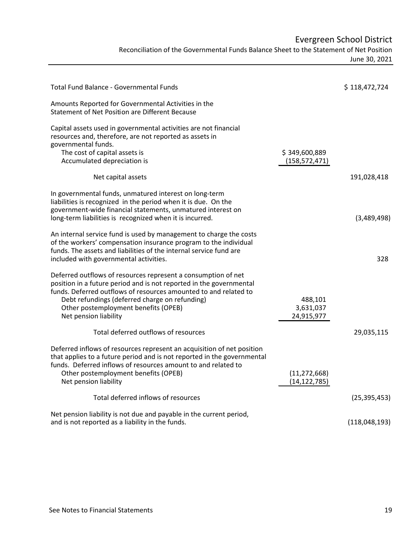Evergreen School District

| Reconciliation of the Governmental Funds Balance Sheet to the Statement of Net Position |
|-----------------------------------------------------------------------------------------|
| June 30, 2021                                                                           |

| <b>Total Fund Balance - Governmental Funds</b>                                                                                                                                                                                                                                                                              |                                    | \$118,472,724  |
|-----------------------------------------------------------------------------------------------------------------------------------------------------------------------------------------------------------------------------------------------------------------------------------------------------------------------------|------------------------------------|----------------|
| Amounts Reported for Governmental Activities in the<br>Statement of Net Position are Different Because                                                                                                                                                                                                                      |                                    |                |
| Capital assets used in governmental activities are not financial<br>resources and, therefore, are not reported as assets in                                                                                                                                                                                                 |                                    |                |
| governmental funds.                                                                                                                                                                                                                                                                                                         |                                    |                |
| The cost of capital assets is                                                                                                                                                                                                                                                                                               | \$349,600,889                      |                |
| Accumulated depreciation is                                                                                                                                                                                                                                                                                                 | (158, 572, 471)                    |                |
| Net capital assets                                                                                                                                                                                                                                                                                                          |                                    | 191,028,418    |
| In governmental funds, unmatured interest on long-term<br>liabilities is recognized in the period when it is due. On the<br>government-wide financial statements, unmatured interest on                                                                                                                                     |                                    |                |
| long-term liabilities is recognized when it is incurred.                                                                                                                                                                                                                                                                    |                                    | (3,489,498)    |
| An internal service fund is used by management to charge the costs<br>of the workers' compensation insurance program to the individual<br>funds. The assets and liabilities of the internal service fund are                                                                                                                |                                    |                |
| included with governmental activities.                                                                                                                                                                                                                                                                                      |                                    | 328            |
|                                                                                                                                                                                                                                                                                                                             |                                    |                |
| Deferred outflows of resources represent a consumption of net<br>position in a future period and is not reported in the governmental<br>funds. Deferred outflows of resources amounted to and related to<br>Debt refundings (deferred charge on refunding)<br>Other postemployment benefits (OPEB)<br>Net pension liability | 488,101<br>3,631,037<br>24,915,977 |                |
| Total deferred outflows of resources                                                                                                                                                                                                                                                                                        |                                    | 29,035,115     |
| Deferred inflows of resources represent an acquisition of net position<br>that applies to a future period and is not reported in the governmental<br>funds. Deferred inflows of resources amount to and related to<br>Other postemployment benefits (OPEB)<br>Net pension liability                                         | (11, 272, 668)<br>(14, 122, 785)   |                |
|                                                                                                                                                                                                                                                                                                                             |                                    |                |
| Total deferred inflows of resources                                                                                                                                                                                                                                                                                         |                                    | (25, 395, 453) |
| Net pension liability is not due and payable in the current period,<br>and is not reported as a liability in the funds.                                                                                                                                                                                                     |                                    | (118,048,193)  |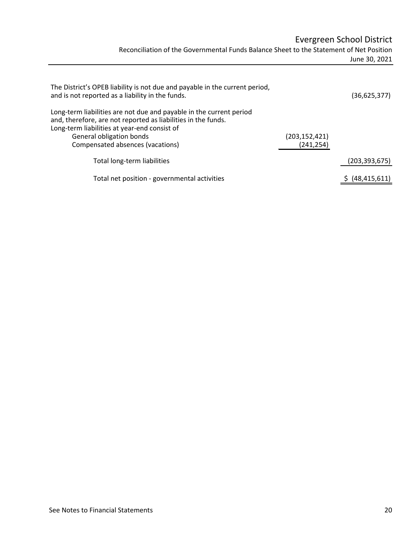| Reconciliation of the Governmental Funds Balance Sheet to the Statement of Net Position |  |
|-----------------------------------------------------------------------------------------|--|
| June 30, 2021                                                                           |  |

| The District's OPEB liability is not due and payable in the current period,<br>and is not reported as a liability in the funds.                                                                                                                      |                               | (36, 625, 377)  |
|------------------------------------------------------------------------------------------------------------------------------------------------------------------------------------------------------------------------------------------------------|-------------------------------|-----------------|
| Long-term liabilities are not due and payable in the current period<br>and, therefore, are not reported as liabilities in the funds.<br>Long-term liabilities at year-end consist of<br>General obligation bonds<br>Compensated absences (vacations) | (203, 152, 421)<br>(241, 254) |                 |
| Total long-term liabilities                                                                                                                                                                                                                          |                               | (203, 393, 675) |
| Total net position - governmental activities                                                                                                                                                                                                         |                               | \$ (48,415,611) |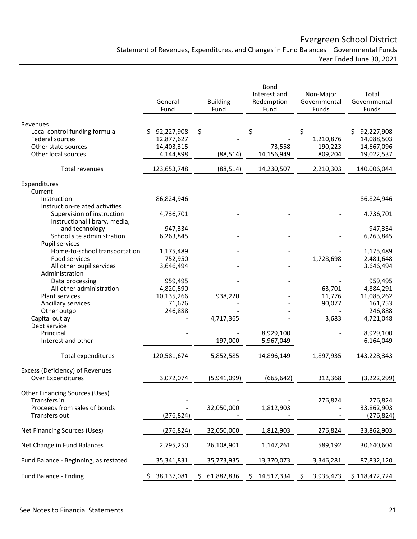# Evergreen School District

Statement of Revenues, Expenditures, and Changes in Fund Balances – Governmental Funds Year Ended June 30, 2021

|                                                                                                            | General<br>Fund                                          | <b>Building</b><br>Fund | <b>Bond</b><br>Interest and<br>Redemption<br>Fund | Non-Major<br>Governmental<br>Funds    | Total<br>Governmental<br>Funds                             |
|------------------------------------------------------------------------------------------------------------|----------------------------------------------------------|-------------------------|---------------------------------------------------|---------------------------------------|------------------------------------------------------------|
| Revenues<br>Local control funding formula<br>Federal sources<br>Other state sources<br>Other local sources | 92,227,908<br>Ŝ<br>12,877,627<br>14,403,315<br>4,144,898 | \$<br>(88, 514)         | \$<br>73,558<br>14,156,949                        | \$<br>1,210,876<br>190,223<br>809,204 | 92,227,908<br>S.<br>14,088,503<br>14,667,096<br>19,022,537 |
| Total revenues                                                                                             | 123,653,748                                              | (88, 514)               | 14,230,507                                        | 2,210,303                             | 140,006,044                                                |
| Expenditures<br>Current<br>Instruction                                                                     | 86,824,946                                               |                         |                                                   |                                       | 86,824,946                                                 |
| Instruction-related activities<br>Supervision of instruction<br>Instructional library, media,              | 4,736,701                                                |                         |                                                   |                                       | 4,736,701                                                  |
| and technology<br>School site administration<br>Pupil services                                             | 947,334<br>6,263,845                                     |                         |                                                   |                                       | 947,334<br>6,263,845                                       |
| Home-to-school transportation<br>Food services<br>All other pupil services                                 | 1,175,489<br>752,950<br>3,646,494                        |                         |                                                   | 1,728,698                             | 1,175,489<br>2,481,648<br>3,646,494                        |
| Administration<br>Data processing<br>All other administration<br>Plant services<br>Ancillary services      | 959,495<br>4,820,590<br>10,135,266<br>71,676             | 938,220                 |                                                   | 63,701<br>11,776<br>90,077            | 959,495<br>4,884,291<br>11,085,262<br>161,753              |
| Other outgo<br>Capital outlay<br>Debt service                                                              | 246,888                                                  | 4,717,365               |                                                   | 3,683                                 | 246,888<br>4,721,048                                       |
| Principal<br>Interest and other                                                                            |                                                          | 197,000                 | 8,929,100<br>5,967,049                            |                                       | 8,929,100<br>6,164,049                                     |
| Total expenditures                                                                                         | 120,581,674                                              | 5,852,585               | 14,896,149                                        | 1,897,935                             | 143,228,343                                                |
| Excess (Deficiency) of Revenues<br><b>Over Expenditures</b>                                                | 3,072,074                                                | (5,941,099)             | (665, 642)                                        | 312,368                               | (3, 222, 299)                                              |
| <b>Other Financing Sources (Uses)</b><br>Transfers in<br>Proceeds from sales of bonds<br>Transfers out     | (276, 824)                                               | 32,050,000              | 1,812,903                                         | 276,824                               | 276,824<br>33,862,903<br>(276, 824)                        |
| Net Financing Sources (Uses)                                                                               | (276, 824)                                               | 32,050,000              | 1,812,903                                         | 276,824                               | 33,862,903                                                 |
| Net Change in Fund Balances                                                                                | 2,795,250                                                | 26,108,901              | 1,147,261                                         | 589,192                               | 30,640,604                                                 |
| Fund Balance - Beginning, as restated                                                                      | 35,341,831                                               | 35,773,935              | 13,370,073                                        | 3,346,281                             | 87,832,120                                                 |
| Fund Balance - Ending                                                                                      | 38,137,081                                               | 61,882,836<br>\$        | 14,517,334<br>\$                                  | 3,935,473<br>Ş                        | \$118,472,724                                              |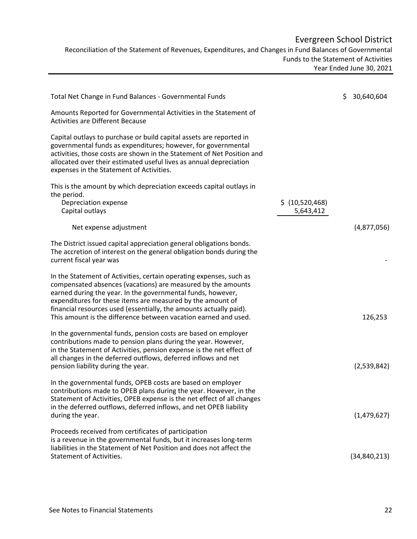Evergreen School District Reconciliation of the Statement of Revenues, Expenditures, and Changes in Fund Balances of Governmental Funds to the Statement of Activities Year Ended June 30, 2021

| Total Net Change in Fund Balances - Governmental Funds                                                                                                                                                                                                                                                                                                                                                    |                              | \$. | 30,640,604     |
|-----------------------------------------------------------------------------------------------------------------------------------------------------------------------------------------------------------------------------------------------------------------------------------------------------------------------------------------------------------------------------------------------------------|------------------------------|-----|----------------|
| Amounts Reported for Governmental Activities in the Statement of<br><b>Activities are Different Because</b>                                                                                                                                                                                                                                                                                               |                              |     |                |
| Capital outlays to purchase or build capital assets are reported in<br>governmental funds as expenditures; however, for governmental<br>activities, those costs are shown in the Statement of Net Position and<br>allocated over their estimated useful lives as annual depreciation<br>expenses in the Statement of Activities.                                                                          |                              |     |                |
| This is the amount by which depreciation exceeds capital outlays in<br>the period.                                                                                                                                                                                                                                                                                                                        |                              |     |                |
| Depreciation expense<br>Capital outlays                                                                                                                                                                                                                                                                                                                                                                   | \$ (10,520,468)<br>5,643,412 |     |                |
| Net expense adjustment                                                                                                                                                                                                                                                                                                                                                                                    |                              |     | (4,877,056)    |
| The District issued capital appreciation general obligations bonds.<br>The accretion of interest on the general obligation bonds during the<br>current fiscal year was                                                                                                                                                                                                                                    |                              |     |                |
| In the Statement of Activities, certain operating expenses, such as<br>compensated absences (vacations) are measured by the amounts<br>earned during the year. In the governmental funds, however,<br>expenditures for these items are measured by the amount of<br>financial resources used (essentially, the amounts actually paid).<br>This amount is the difference between vacation earned and used. |                              |     | 126,253        |
| In the governmental funds, pension costs are based on employer<br>contributions made to pension plans during the year. However,<br>in the Statement of Activities, pension expense is the net effect of<br>all changes in the deferred outflows, deferred inflows and net<br>pension liability during the year.                                                                                           |                              |     | (2,539,842)    |
| In the governmental funds, OPEB costs are based on employer<br>contributions made to OPEB plans during the year. However, in the<br>Statement of Activities, OPEB expense is the net effect of all changes<br>in the deferred outflows, deferred inflows, and net OPEB liability<br>during the year.                                                                                                      |                              |     | (1,479,627)    |
| Proceeds received from certificates of participation<br>is a revenue in the governmental funds, but it increases long-term<br>liabilities in the Statement of Net Position and does not affect the<br><b>Statement of Activities.</b>                                                                                                                                                                     |                              |     | (34, 840, 213) |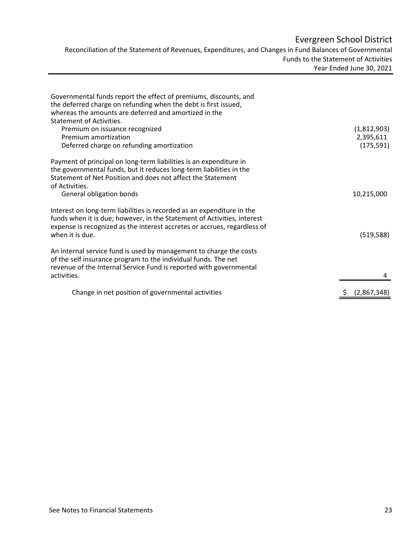# Evergreen School District

Reconciliation of the Statement of Revenues, Expenditures, and Changes in Fund Balances of Governmental Funds to the Statement of Activities Year Ended June 30, 2021

| Governmental funds report the effect of premiums, discounts, and<br>the deferred charge on refunding when the debt is first issued,<br>whereas the amounts are deferred and amortized in the                                                     |                                        |
|--------------------------------------------------------------------------------------------------------------------------------------------------------------------------------------------------------------------------------------------------|----------------------------------------|
| <b>Statement of Activities.</b><br>Premium on issuance recognized<br>Premium amortization<br>Deferred charge on refunding amortization                                                                                                           | (1,812,903)<br>2,395,611<br>(175, 591) |
| Payment of principal on long-term liabilities is an expenditure in<br>the governmental funds, but it reduces long-term liabilities in the<br>Statement of Net Position and does not affect the Statement<br>of Activities.                       |                                        |
| General obligation bonds                                                                                                                                                                                                                         | 10,215,000                             |
| Interest on long-term liabilities is recorded as an expenditure in the<br>funds when it is due; however, in the Statement of Activities, interest<br>expense is recognized as the interest accretes or accrues, regardless of<br>when it is due. | (519, 588)                             |
| An internal service fund is used by management to charge the costs<br>of the self insurance program to the individual funds. The net<br>revenue of the Internal Service Fund is reported with governmental<br>activities.                        | 4                                      |
| Change in net position of governmental activities                                                                                                                                                                                                | (2,867,348)                            |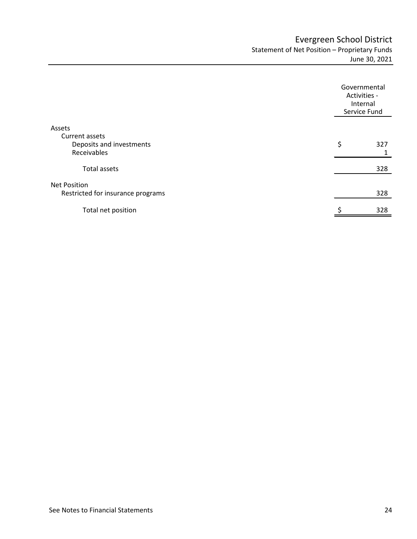# Evergreen School District Statement of Net Position – Proprietary Funds June 30, 2021

|                                   | Governmental<br>Activities -<br>Internal<br>Service Fund |
|-----------------------------------|----------------------------------------------------------|
| Assets                            |                                                          |
| Current assets                    |                                                          |
| Deposits and investments          | \$<br>327                                                |
| Receivables                       |                                                          |
| <b>Total assets</b>               | 328                                                      |
|                                   |                                                          |
| <b>Net Position</b>               |                                                          |
| Restricted for insurance programs | 328                                                      |
| Total net position                | 328                                                      |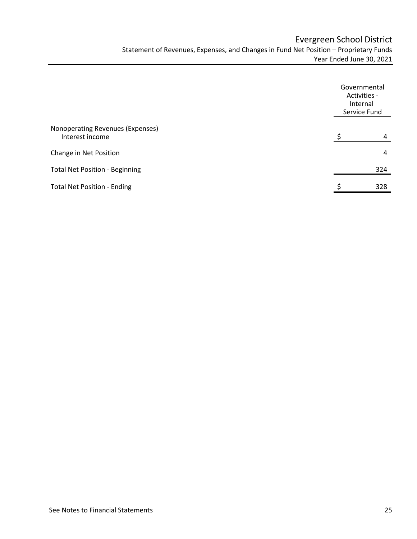|                                                     | Governmental<br>Activities -<br>Internal<br>Service Fund |
|-----------------------------------------------------|----------------------------------------------------------|
| Nonoperating Revenues (Expenses)<br>Interest income |                                                          |
| Change in Net Position                              | 4                                                        |
| <b>Total Net Position - Beginning</b>               | 324                                                      |
| <b>Total Net Position - Ending</b>                  | 328                                                      |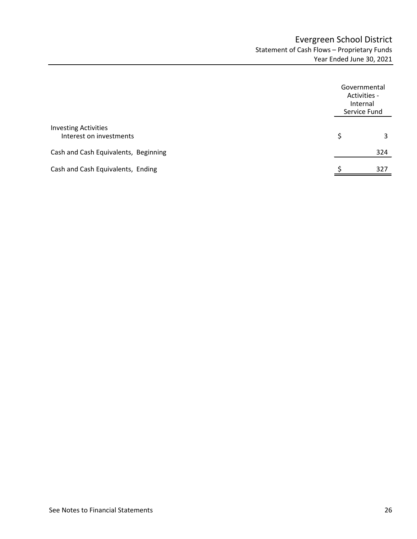|                                                        |   | Governmental<br>Activities -<br>Internal<br>Service Fund |  |
|--------------------------------------------------------|---|----------------------------------------------------------|--|
| <b>Investing Activities</b><br>Interest on investments | S |                                                          |  |
| Cash and Cash Equivalents, Beginning                   |   | 324                                                      |  |
| Cash and Cash Equivalents, Ending                      |   | 327                                                      |  |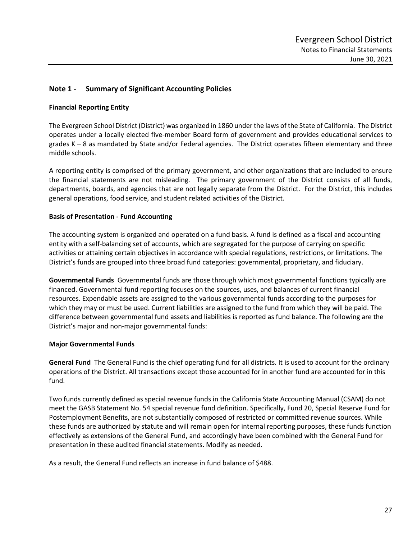## **Note 1 - Summary of Significant Accounting Policies**

## **Financial Reporting Entity**

The Evergreen School District (District) was organized in 1860 under the laws of the State of California. The District operates under a locally elected five-member Board form of government and provides educational services to grades K – 8 as mandated by State and/or Federal agencies. The District operates fifteen elementary and three middle schools.

A reporting entity is comprised of the primary government, and other organizations that are included to ensure the financial statements are not misleading. The primary government of the District consists of all funds, departments, boards, and agencies that are not legally separate from the District. For the District, this includes general operations, food service, and student related activities of the District.

#### **Basis of Presentation - Fund Accounting**

The accounting system is organized and operated on a fund basis. A fund is defined as a fiscal and accounting entity with a self-balancing set of accounts, which are segregated for the purpose of carrying on specific activities or attaining certain objectives in accordance with special regulations, restrictions, or limitations. The District's funds are grouped into three broad fund categories: governmental, proprietary, and fiduciary.

**Governmental Funds** Governmental funds are those through which most governmental functions typically are financed. Governmental fund reporting focuses on the sources, uses, and balances of current financial resources. Expendable assets are assigned to the various governmental funds according to the purposes for which they may or must be used. Current liabilities are assigned to the fund from which they will be paid. The difference between governmental fund assets and liabilities is reported as fund balance. The following are the District's major and non-major governmental funds:

## **Major Governmental Funds**

**General Fund** The General Fund is the chief operating fund for all districts. It is used to account for the ordinary operations of the District. All transactions except those accounted for in another fund are accounted for in this fund.

Two funds currently defined as special revenue funds in the California State Accounting Manual (CSAM) do not meet the GASB Statement No. 54 special revenue fund definition. Specifically, Fund 20, Special Reserve Fund for Postemployment Benefits, are not substantially composed of restricted or committed revenue sources. While these funds are authorized by statute and will remain open for internal reporting purposes, these funds function effectively as extensions of the General Fund, and accordingly have been combined with the General Fund for presentation in these audited financial statements. Modify as needed.

As a result, the General Fund reflects an increase in fund balance of \$488.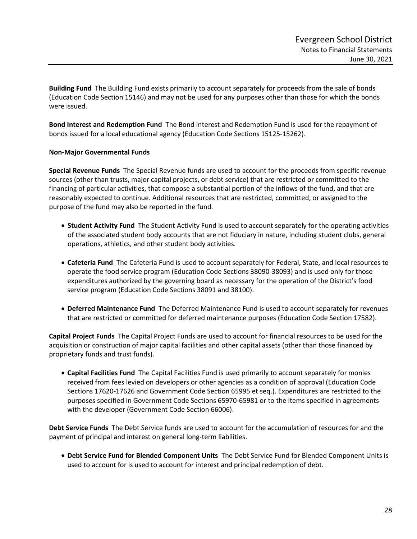**Building Fund** The Building Fund exists primarily to account separately for proceeds from the sale of bonds (Education Code Section 15146) and may not be used for any purposes other than those for which the bonds were issued.

**Bond Interest and Redemption Fund** The Bond Interest and Redemption Fund is used for the repayment of bonds issued for a local educational agency (Education Code Sections 15125-15262).

## **Non-Major Governmental Funds**

**Special Revenue Funds** The Special Revenue funds are used to account for the proceeds from specific revenue sources (other than trusts, major capital projects, or debt service) that are restricted or committed to the financing of particular activities, that compose a substantial portion of the inflows of the fund, and that are reasonably expected to continue. Additional resources that are restricted, committed, or assigned to the purpose of the fund may also be reported in the fund.

- **Student Activity Fund** The Student Activity Fund is used to account separately for the operating activities of the associated student body accounts that are not fiduciary in nature, including student clubs, general operations, athletics, and other student body activities.
- **Cafeteria Fund** The Cafeteria Fund is used to account separately for Federal, State, and local resources to operate the food service program (Education Code Sections 38090-38093) and is used only for those expenditures authorized by the governing board as necessary for the operation of the District's food service program (Education Code Sections 38091 and 38100).
- **Deferred Maintenance Fund** The Deferred Maintenance Fund is used to account separately for revenues that are restricted or committed for deferred maintenance purposes (Education Code Section 17582).

**Capital Project Funds** The Capital Project Funds are used to account for financial resources to be used for the acquisition or construction of major capital facilities and other capital assets (other than those financed by proprietary funds and trust funds).

• **Capital Facilities Fund** The Capital Facilities Fund is used primarily to account separately for monies received from fees levied on developers or other agencies as a condition of approval (Education Code Sections 17620-17626 and Government Code Section 65995 et seq.). Expenditures are restricted to the purposes specified in Government Code Sections 65970-65981 or to the items specified in agreements with the developer (Government Code Section 66006).

**Debt Service Funds** The Debt Service funds are used to account for the accumulation of resources for and the payment of principal and interest on general long-term liabilities.

• **Debt Service Fund for Blended Component Units** The Debt Service Fund for Blended Component Units is used to account for is used to account for interest and principal redemption of debt.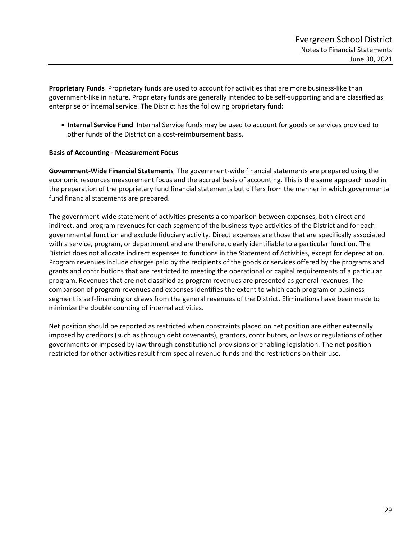**Proprietary Funds** Proprietary funds are used to account for activities that are more business-like than government-like in nature. Proprietary funds are generally intended to be self-supporting and are classified as enterprise or internal service. The District has the following proprietary fund:

• **Internal Service Fund** Internal Service funds may be used to account for goods or services provided to other funds of the District on a cost-reimbursement basis.

## **Basis of Accounting - Measurement Focus**

**Government-Wide Financial Statements** The government-wide financial statements are prepared using the economic resources measurement focus and the accrual basis of accounting. This is the same approach used in the preparation of the proprietary fund financial statements but differs from the manner in which governmental fund financial statements are prepared.

The government-wide statement of activities presents a comparison between expenses, both direct and indirect, and program revenues for each segment of the business-type activities of the District and for each governmental function and exclude fiduciary activity. Direct expenses are those that are specifically associated with a service, program, or department and are therefore, clearly identifiable to a particular function. The District does not allocate indirect expenses to functions in the Statement of Activities, except for depreciation. Program revenues include charges paid by the recipients of the goods or services offered by the programs and grants and contributions that are restricted to meeting the operational or capital requirements of a particular program. Revenues that are not classified as program revenues are presented as general revenues. The comparison of program revenues and expenses identifies the extent to which each program or business segment is self-financing or draws from the general revenues of the District. Eliminations have been made to minimize the double counting of internal activities.

Net position should be reported as restricted when constraints placed on net position are either externally imposed by creditors (such as through debt covenants), grantors, contributors, or laws or regulations of other governments or imposed by law through constitutional provisions or enabling legislation. The net position restricted for other activities result from special revenue funds and the restrictions on their use.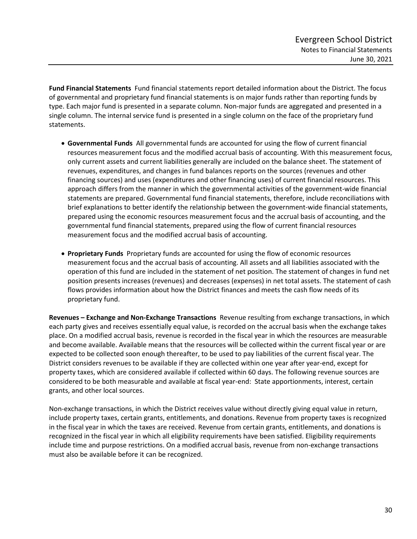**Fund Financial Statements** Fund financial statements report detailed information about the District. The focus of governmental and proprietary fund financial statements is on major funds rather than reporting funds by type. Each major fund is presented in a separate column. Non-major funds are aggregated and presented in a single column. The internal service fund is presented in a single column on the face of the proprietary fund statements.

- **Governmental Funds** All governmental funds are accounted for using the flow of current financial resources measurement focus and the modified accrual basis of accounting. With this measurement focus, only current assets and current liabilities generally are included on the balance sheet. The statement of revenues, expenditures, and changes in fund balances reports on the sources (revenues and other financing sources) and uses (expenditures and other financing uses) of current financial resources. This approach differs from the manner in which the governmental activities of the government-wide financial statements are prepared. Governmental fund financial statements, therefore, include reconciliations with brief explanations to better identify the relationship between the government-wide financial statements, prepared using the economic resources measurement focus and the accrual basis of accounting, and the governmental fund financial statements, prepared using the flow of current financial resources measurement focus and the modified accrual basis of accounting.
- **Proprietary Funds** Proprietary funds are accounted for using the flow of economic resources measurement focus and the accrual basis of accounting. All assets and all liabilities associated with the operation of this fund are included in the statement of net position. The statement of changes in fund net position presents increases (revenues) and decreases (expenses) in net total assets. The statement of cash flows provides information about how the District finances and meets the cash flow needs of its proprietary fund.

**Revenues – Exchange and Non-Exchange Transactions** Revenue resulting from exchange transactions, in which each party gives and receives essentially equal value, is recorded on the accrual basis when the exchange takes place. On a modified accrual basis, revenue is recorded in the fiscal year in which the resources are measurable and become available. Available means that the resources will be collected within the current fiscal year or are expected to be collected soon enough thereafter, to be used to pay liabilities of the current fiscal year. The District considers revenues to be available if they are collected within one year after year-end, except for property taxes, which are considered available if collected within 60 days. The following revenue sources are considered to be both measurable and available at fiscal year-end: State apportionments, interest, certain grants, and other local sources.

Non-exchange transactions, in which the District receives value without directly giving equal value in return, include property taxes, certain grants, entitlements, and donations. Revenue from property taxes is recognized in the fiscal year in which the taxes are received. Revenue from certain grants, entitlements, and donations is recognized in the fiscal year in which all eligibility requirements have been satisfied. Eligibility requirements include time and purpose restrictions. On a modified accrual basis, revenue from non-exchange transactions must also be available before it can be recognized.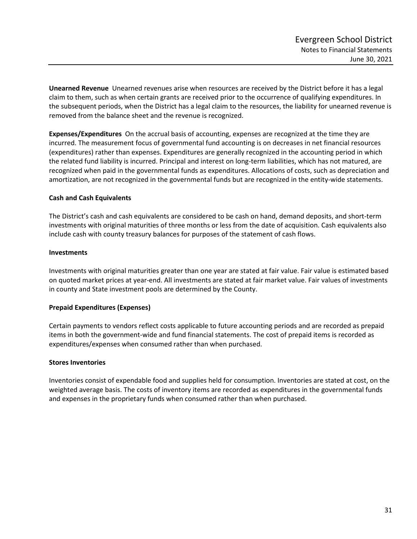**Unearned Revenue** Unearned revenues arise when resources are received by the District before it has a legal claim to them, such as when certain grants are received prior to the occurrence of qualifying expenditures. In the subsequent periods, when the District has a legal claim to the resources, the liability for unearned revenue is removed from the balance sheet and the revenue is recognized.

**Expenses/Expenditures** On the accrual basis of accounting, expenses are recognized at the time they are incurred. The measurement focus of governmental fund accounting is on decreases in net financial resources (expenditures) rather than expenses. Expenditures are generally recognized in the accounting period in which the related fund liability is incurred. Principal and interest on long-term liabilities, which has not matured, are recognized when paid in the governmental funds as expenditures. Allocations of costs, such as depreciation and amortization, are not recognized in the governmental funds but are recognized in the entity-wide statements.

## **Cash and Cash Equivalents**

The District's cash and cash equivalents are considered to be cash on hand, demand deposits, and short-term investments with original maturities of three months or less from the date of acquisition. Cash equivalents also include cash with county treasury balances for purposes of the statement of cash flows.

## **Investments**

Investments with original maturities greater than one year are stated at fair value. Fair value is estimated based on quoted market prices at year-end. All investments are stated at fair market value. Fair values of investments in county and State investment pools are determined by the County.

## **Prepaid Expenditures (Expenses)**

Certain payments to vendors reflect costs applicable to future accounting periods and are recorded as prepaid items in both the government-wide and fund financial statements. The cost of prepaid items is recorded as expenditures/expenses when consumed rather than when purchased.

## **Stores Inventories**

Inventories consist of expendable food and supplies held for consumption. Inventories are stated at cost, on the weighted average basis. The costs of inventory items are recorded as expenditures in the governmental funds and expenses in the proprietary funds when consumed rather than when purchased.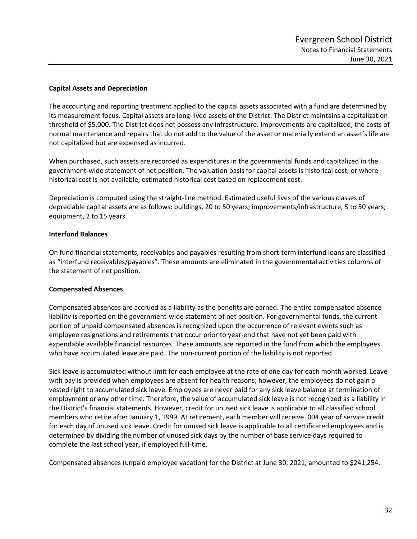## **Capital Assets and Depreciation**

The accounting and reporting treatment applied to the capital assets associated with a fund are determined by its measurement focus. Capital assets are long-lived assets of the District. The District maintains a capitalization threshold of \$5,000. The District does not possess any infrastructure. Improvements are capitalized; the costs of normal maintenance and repairs that do not add to the value of the asset or materially extend an asset's life are not capitalized but are expensed as incurred.

When purchased, such assets are recorded as expenditures in the governmental funds and capitalized in the government-wide statement of net position. The valuation basis for capital assets is historical cost, or where historical cost is not available, estimated historical cost based on replacement cost.

Depreciation is computed using the straight-line method. Estimated useful lives of the various classes of depreciable capital assets are as follows: buildings, 20 to 50 years; improvements/infrastructure, 5 to 50 years; equipment, 2 to 15 years.

## **Interfund Balances**

On fund financial statements, receivables and payables resulting from short-term interfund loans are classified as "interfund receivables/payables". These amounts are eliminated in the governmental activities columns of the statement of net position.

## **Compensated Absences**

Compensated absences are accrued as a liability as the benefits are earned. The entire compensated absence liability is reported on the government-wide statement of net position. For governmental funds, the current portion of unpaid compensated absences is recognized upon the occurrence of relevant events such as employee resignations and retirements that occur prior to year-end that have not yet been paid with expendable available financial resources. These amounts are reported in the fund from which the employees who have accumulated leave are paid. The non-current portion of the liability is not reported.

Sick leave is accumulated without limit for each employee at the rate of one day for each month worked. Leave with pay is provided when employees are absent for health reasons; however, the employees do not gain a vested right to accumulated sick leave. Employees are never paid for any sick leave balance at termination of employment or any other time. Therefore, the value of accumulated sick leave is not recognized as a liability in the District's financial statements. However, credit for unused sick leave is applicable to all classified school members who retire after January 1, 1999. At retirement, each member will receive .004 year of service credit for each day of unused sick leave. Credit for unused sick leave is applicable to all certificated employees and is determined by dividing the number of unused sick days by the number of base service days required to complete the last school year, if employed full-time.

Compensated absences (unpaid employee vacation) for the District at June 30, 2021, amounted to \$241,254.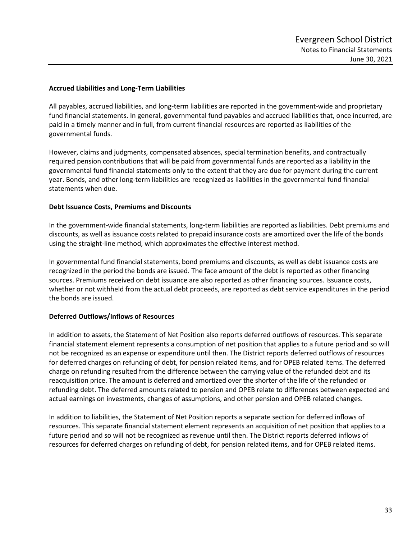## **Accrued Liabilities and Long-Term Liabilities**

All payables, accrued liabilities, and long-term liabilities are reported in the government-wide and proprietary fund financial statements. In general, governmental fund payables and accrued liabilities that, once incurred, are paid in a timely manner and in full, from current financial resources are reported as liabilities of the governmental funds.

However, claims and judgments, compensated absences, special termination benefits, and contractually required pension contributions that will be paid from governmental funds are reported as a liability in the governmental fund financial statements only to the extent that they are due for payment during the current year. Bonds, and other long-term liabilities are recognized as liabilities in the governmental fund financial statements when due.

## **Debt Issuance Costs, Premiums and Discounts**

In the government-wide financial statements, long-term liabilities are reported as liabilities. Debt premiums and discounts, as well as issuance costs related to prepaid insurance costs are amortized over the life of the bonds using the straight-line method, which approximates the effective interest method.

In governmental fund financial statements, bond premiums and discounts, as well as debt issuance costs are recognized in the period the bonds are issued. The face amount of the debt is reported as other financing sources. Premiums received on debt issuance are also reported as other financing sources. Issuance costs, whether or not withheld from the actual debt proceeds, are reported as debt service expenditures in the period the bonds are issued.

# **Deferred Outflows/Inflows of Resources**

In addition to assets, the Statement of Net Position also reports deferred outflows of resources. This separate financial statement element represents a consumption of net position that applies to a future period and so will not be recognized as an expense or expenditure until then. The District reports deferred outflows of resources for deferred charges on refunding of debt, for pension related items, and for OPEB related items. The deferred charge on refunding resulted from the difference between the carrying value of the refunded debt and its reacquisition price. The amount is deferred and amortized over the shorter of the life of the refunded or refunding debt. The deferred amounts related to pension and OPEB relate to differences between expected and actual earnings on investments, changes of assumptions, and other pension and OPEB related changes.

In addition to liabilities, the Statement of Net Position reports a separate section for deferred inflows of resources. This separate financial statement element represents an acquisition of net position that applies to a future period and so will not be recognized as revenue until then. The District reports deferred inflows of resources for deferred charges on refunding of debt, for pension related items, and for OPEB related items.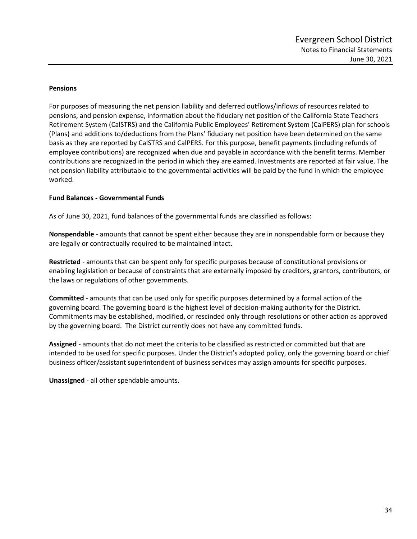## **Pensions**

For purposes of measuring the net pension liability and deferred outflows/inflows of resources related to pensions, and pension expense, information about the fiduciary net position of the California State Teachers Retirement System (CalSTRS) and the California Public Employees' Retirement System (CalPERS) plan for schools (Plans) and additions to/deductions from the Plans' fiduciary net position have been determined on the same basis as they are reported by CalSTRS and CalPERS. For this purpose, benefit payments (including refunds of employee contributions) are recognized when due and payable in accordance with the benefit terms. Member contributions are recognized in the period in which they are earned. Investments are reported at fair value. The net pension liability attributable to the governmental activities will be paid by the fund in which the employee worked.

## **Fund Balances - Governmental Funds**

As of June 30, 2021, fund balances of the governmental funds are classified as follows:

**Nonspendable** - amounts that cannot be spent either because they are in nonspendable form or because they are legally or contractually required to be maintained intact.

**Restricted** - amounts that can be spent only for specific purposes because of constitutional provisions or enabling legislation or because of constraints that are externally imposed by creditors, grantors, contributors, or the laws or regulations of other governments.

**Committed** - amounts that can be used only for specific purposes determined by a formal action of the governing board. The governing board is the highest level of decision-making authority for the District. Commitments may be established, modified, or rescinded only through resolutions or other action as approved by the governing board. The District currently does not have any committed funds.

**Assigned** - amounts that do not meet the criteria to be classified as restricted or committed but that are intended to be used for specific purposes. Under the District's adopted policy, only the governing board or chief business officer/assistant superintendent of business services may assign amounts for specific purposes.

**Unassigned** - all other spendable amounts.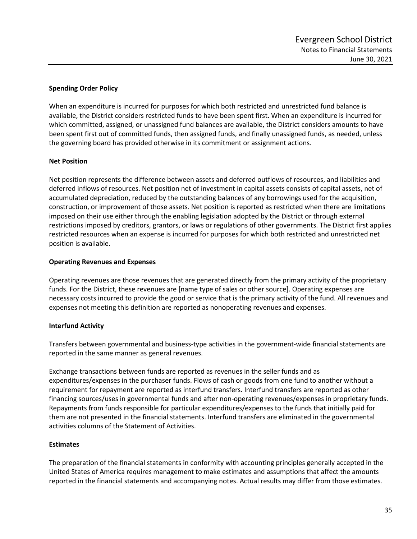## **Spending Order Policy**

When an expenditure is incurred for purposes for which both restricted and unrestricted fund balance is available, the District considers restricted funds to have been spent first. When an expenditure is incurred for which committed, assigned, or unassigned fund balances are available, the District considers amounts to have been spent first out of committed funds, then assigned funds, and finally unassigned funds, as needed, unless the governing board has provided otherwise in its commitment or assignment actions.

## **Net Position**

Net position represents the difference between assets and deferred outflows of resources, and liabilities and deferred inflows of resources. Net position net of investment in capital assets consists of capital assets, net of accumulated depreciation, reduced by the outstanding balances of any borrowings used for the acquisition, construction, or improvement of those assets. Net position is reported as restricted when there are limitations imposed on their use either through the enabling legislation adopted by the District or through external restrictions imposed by creditors, grantors, or laws or regulations of other governments. The District first applies restricted resources when an expense is incurred for purposes for which both restricted and unrestricted net position is available.

## **Operating Revenues and Expenses**

Operating revenues are those revenues that are generated directly from the primary activity of the proprietary funds. For the District, these revenues are [name type of sales or other source]. Operating expenses are necessary costs incurred to provide the good or service that is the primary activity of the fund. All revenues and expenses not meeting this definition are reported as nonoperating revenues and expenses.

# **Interfund Activity**

Transfers between governmental and business-type activities in the government-wide financial statements are reported in the same manner as general revenues.

Exchange transactions between funds are reported as revenues in the seller funds and as expenditures/expenses in the purchaser funds. Flows of cash or goods from one fund to another without a requirement for repayment are reported as interfund transfers. Interfund transfers are reported as other financing sources/uses in governmental funds and after non-operating revenues/expenses in proprietary funds. Repayments from funds responsible for particular expenditures/expenses to the funds that initially paid for them are not presented in the financial statements. Interfund transfers are eliminated in the governmental activities columns of the Statement of Activities.

# **Estimates**

The preparation of the financial statements in conformity with accounting principles generally accepted in the United States of America requires management to make estimates and assumptions that affect the amounts reported in the financial statements and accompanying notes. Actual results may differ from those estimates.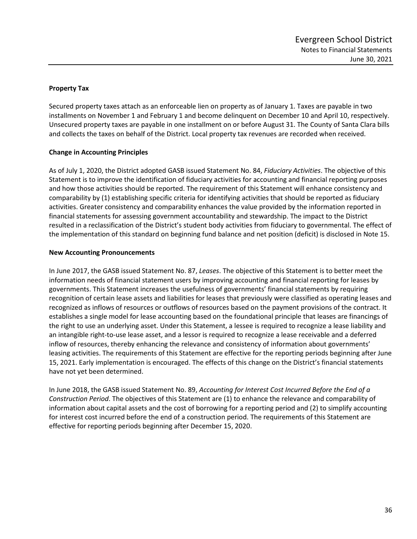## **Property Tax**

Secured property taxes attach as an enforceable lien on property as of January 1. Taxes are payable in two installments on November 1 and February 1 and become delinquent on December 10 and April 10, respectively. Unsecured property taxes are payable in one installment on or before August 31. The County of Santa Clara bills and collects the taxes on behalf of the District. Local property tax revenues are recorded when received.

## **Change in Accounting Principles**

As of July 1, 2020, the District adopted GASB issued Statement No. 84, *Fiduciary Activities*. The objective of this Statement is to improve the identification of fiduciary activities for accounting and financial reporting purposes and how those activities should be reported. The requirement of this Statement will enhance consistency and comparability by (1) establishing specific criteria for identifying activities that should be reported as fiduciary activities. Greater consistency and comparability enhances the value provided by the information reported in financial statements for assessing government accountability and stewardship. The impact to the District resulted in a reclassification of the District's student body activities from fiduciary to governmental. The effect of the implementation of this standard on beginning fund balance and net position (deficit) is disclosed in Note 15.

## **New Accounting Pronouncements**

In June 2017, the GASB issued Statement No. 87, *Leases*. The objective of this Statement is to better meet the information needs of financial statement users by improving accounting and financial reporting for leases by governments. This Statement increases the usefulness of governments' financial statements by requiring recognition of certain lease assets and liabilities for leases that previously were classified as operating leases and recognized as inflows of resources or outflows of resources based on the payment provisions of the contract. It establishes a single model for lease accounting based on the foundational principle that leases are financings of the right to use an underlying asset. Under this Statement, a lessee is required to recognize a lease liability and an intangible right-to-use lease asset, and a lessor is required to recognize a lease receivable and a deferred inflow of resources, thereby enhancing the relevance and consistency of information about governments' leasing activities. The requirements of this Statement are effective for the reporting periods beginning after June 15, 2021. Early implementation is encouraged. The effects of this change on the District's financial statements have not yet been determined.

In June 2018, the GASB issued Statement No. 89, *Accounting for Interest Cost Incurred Before the End of a Construction Period*. The objectives of this Statement are (1) to enhance the relevance and comparability of information about capital assets and the cost of borrowing for a reporting period and (2) to simplify accounting for interest cost incurred before the end of a construction period. The requirements of this Statement are effective for reporting periods beginning after December 15, 2020.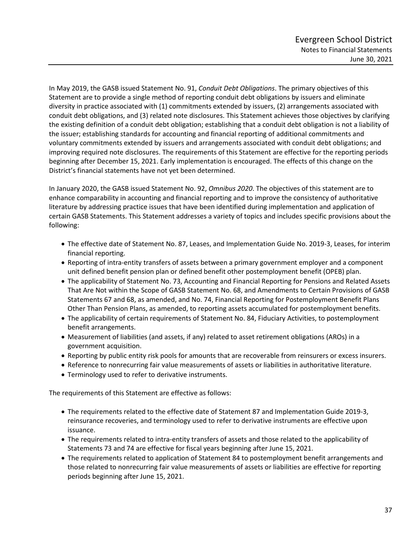In May 2019, the GASB issued Statement No. 91, *Conduit Debt Obligations*. The primary objectives of this Statement are to provide a single method of reporting conduit debt obligations by issuers and eliminate diversity in practice associated with (1) commitments extended by issuers, (2) arrangements associated with conduit debt obligations, and (3) related note disclosures. This Statement achieves those objectives by clarifying the existing definition of a conduit debt obligation; establishing that a conduit debt obligation is not a liability of the issuer; establishing standards for accounting and financial reporting of additional commitments and voluntary commitments extended by issuers and arrangements associated with conduit debt obligations; and improving required note disclosures. The requirements of this Statement are effective for the reporting periods beginning after December 15, 2021. Early implementation is encouraged. The effects of this change on the District's financial statements have not yet been determined.

In January 2020, the GASB issued Statement No. 92, *Omnibus 2020*. The objectives of this statement are to enhance comparability in accounting and financial reporting and to improve the consistency of authoritative literature by addressing practice issues that have been identified during implementation and application of certain GASB Statements. This Statement addresses a variety of topics and includes specific provisions about the following:

- The effective date of Statement No. 87, Leases, and Implementation Guide No. 2019-3, Leases, for interim financial reporting.
- Reporting of intra-entity transfers of assets between a primary government employer and a component unit defined benefit pension plan or defined benefit other postemployment benefit (OPEB) plan.
- The applicability of Statement No. 73, Accounting and Financial Reporting for Pensions and Related Assets That Are Not within the Scope of GASB Statement No. 68, and Amendments to Certain Provisions of GASB Statements 67 and 68, as amended, and No. 74, Financial Reporting for Postemployment Benefit Plans Other Than Pension Plans, as amended, to reporting assets accumulated for postemployment benefits.
- The applicability of certain requirements of Statement No. 84, Fiduciary Activities, to postemployment benefit arrangements.
- Measurement of liabilities (and assets, if any) related to asset retirement obligations (AROs) in a government acquisition.
- Reporting by public entity risk pools for amounts that are recoverable from reinsurers or excess insurers.
- Reference to nonrecurring fair value measurements of assets or liabilities in authoritative literature.
- Terminology used to refer to derivative instruments.

The requirements of this Statement are effective as follows:

- The requirements related to the effective date of Statement 87 and Implementation Guide 2019-3, reinsurance recoveries, and terminology used to refer to derivative instruments are effective upon issuance.
- The requirements related to intra-entity transfers of assets and those related to the applicability of Statements 73 and 74 are effective for fiscal years beginning after June 15, 2021.
- The requirements related to application of Statement 84 to postemployment benefit arrangements and those related to nonrecurring fair value measurements of assets or liabilities are effective for reporting periods beginning after June 15, 2021.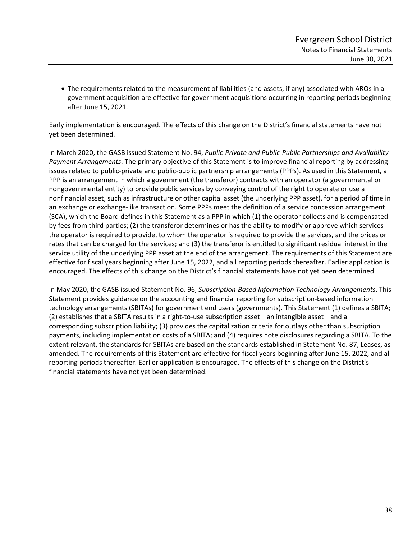• The requirements related to the measurement of liabilities (and assets, if any) associated with AROs in a government acquisition are effective for government acquisitions occurring in reporting periods beginning after June 15, 2021.

Early implementation is encouraged. The effects of this change on the District's financial statements have not yet been determined.

In March 2020, the GASB issued Statement No. 94, *Public-Private and Public-Public Partnerships and Availability Payment Arrangements*. The primary objective of this Statement is to improve financial reporting by addressing issues related to public-private and public-public partnership arrangements (PPPs). As used in this Statement, a PPP is an arrangement in which a government (the transferor) contracts with an operator (a governmental or nongovernmental entity) to provide public services by conveying control of the right to operate or use a nonfinancial asset, such as infrastructure or other capital asset (the underlying PPP asset), for a period of time in an exchange or exchange-like transaction. Some PPPs meet the definition of a service concession arrangement (SCA), which the Board defines in this Statement as a PPP in which (1) the operator collects and is compensated by fees from third parties; (2) the transferor determines or has the ability to modify or approve which services the operator is required to provide, to whom the operator is required to provide the services, and the prices or rates that can be charged for the services; and (3) the transferor is entitled to significant residual interest in the service utility of the underlying PPP asset at the end of the arrangement. The requirements of this Statement are effective for fiscal years beginning after June 15, 2022, and all reporting periods thereafter. Earlier application is encouraged. The effects of this change on the District's financial statements have not yet been determined.

In May 2020, the GASB issued Statement No. 96, *Subscription-Based Information Technology Arrangements*. This Statement provides guidance on the accounting and financial reporting for subscription-based information technology arrangements (SBITAs) for government end users (governments). This Statement (1) defines a SBITA; (2) establishes that a SBITA results in a right-to-use subscription asset—an intangible asset—and a corresponding subscription liability; (3) provides the capitalization criteria for outlays other than subscription payments, including implementation costs of a SBITA; and (4) requires note disclosures regarding a SBITA. To the extent relevant, the standards for SBITAs are based on the standards established in Statement No. 87, Leases, as amended. The requirements of this Statement are effective for fiscal years beginning after June 15, 2022, and all reporting periods thereafter. Earlier application is encouraged. The effects of this change on the District's financial statements have not yet been determined.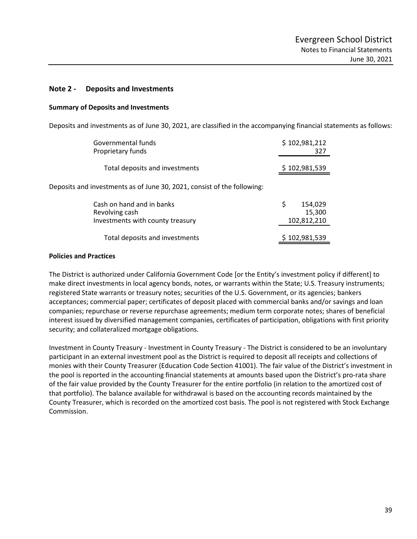## **Note 2 - Deposits and Investments**

#### **Summary of Deposits and Investments**

Deposits and investments as of June 30, 2021, are classified in the accompanying financial statements as follows:

| Governmental funds<br>Proprietary funds                                         |   | \$102,981,212<br>327             |
|---------------------------------------------------------------------------------|---|----------------------------------|
| Total deposits and investments                                                  |   | \$102,981,539                    |
| Deposits and investments as of June 30, 2021, consist of the following:         |   |                                  |
| Cash on hand and in banks<br>Revolving cash<br>Investments with county treasury | Ś | 154,029<br>15,300<br>102,812,210 |
| Total deposits and investments                                                  |   | \$102,981,539                    |

#### **Policies and Practices**

The District is authorized under California Government Code [or the Entity's investment policy if different] to make direct investments in local agency bonds, notes, or warrants within the State; U.S. Treasury instruments; registered State warrants or treasury notes; securities of the U.S. Government, or its agencies; bankers acceptances; commercial paper; certificates of deposit placed with commercial banks and/or savings and loan companies; repurchase or reverse repurchase agreements; medium term corporate notes; shares of beneficial interest issued by diversified management companies, certificates of participation, obligations with first priority security; and collateralized mortgage obligations.

Investment in County Treasury - Investment in County Treasury - The District is considered to be an involuntary participant in an external investment pool as the District is required to deposit all receipts and collections of monies with their County Treasurer (Education Code Section 41001). The fair value of the District's investment in the pool is reported in the accounting financial statements at amounts based upon the District's pro-rata share of the fair value provided by the County Treasurer for the entire portfolio (in relation to the amortized cost of that portfolio). The balance available for withdrawal is based on the accounting records maintained by the County Treasurer, which is recorded on the amortized cost basis. The pool is not registered with Stock Exchange Commission.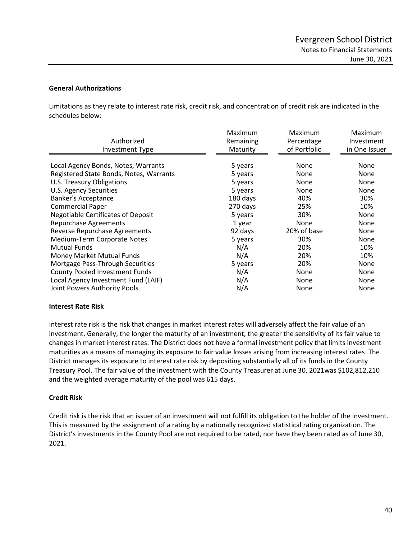#### **General Authorizations**

Limitations as they relate to interest rate risk, credit risk, and concentration of credit risk are indicated in the schedules below:

| Authorized<br><b>Investment Type</b>      | Maximum<br>Remaining<br>Maturity | Maximum<br>Percentage<br>of Portfolio | Maximum<br>Investment<br>in One Issuer |
|-------------------------------------------|----------------------------------|---------------------------------------|----------------------------------------|
| Local Agency Bonds, Notes, Warrants       | 5 years                          | None                                  | None                                   |
| Registered State Bonds, Notes, Warrants   | 5 years                          | None                                  | None                                   |
| U.S. Treasury Obligations                 | 5 years                          | None                                  | None                                   |
| U.S. Agency Securities                    | 5 years                          | None                                  | None                                   |
| <b>Banker's Acceptance</b>                | 180 days                         | 40%                                   | 30%                                    |
| <b>Commercial Paper</b>                   | 270 days                         | 25%                                   | 10%                                    |
| <b>Negotiable Certificates of Deposit</b> | 5 years                          | 30%                                   | None                                   |
| <b>Repurchase Agreements</b>              | 1 year                           | None                                  | None                                   |
| Reverse Repurchase Agreements             | 92 days                          | 20% of base                           | None                                   |
| Medium-Term Corporate Notes               | 5 years                          | 30%                                   | None                                   |
| <b>Mutual Funds</b>                       | N/A                              | 20%                                   | 10%                                    |
| Money Market Mutual Funds                 | N/A                              | 20%                                   | 10%                                    |
| Mortgage Pass-Through Securities          | 5 years                          | 20%                                   | None                                   |
| <b>County Pooled Investment Funds</b>     | N/A                              | None                                  | None                                   |
| Local Agency Investment Fund (LAIF)       | N/A                              | None                                  | None                                   |
| Joint Powers Authority Pools              | N/A                              | None                                  | None                                   |

#### **Interest Rate Risk**

Interest rate risk is the risk that changes in market interest rates will adversely affect the fair value of an investment. Generally, the longer the maturity of an investment, the greater the sensitivity of its fair value to changes in market interest rates. The District does not have a formal investment policy that limits investment maturities as a means of managing its exposure to fair value losses arising from increasing interest rates. The District manages its exposure to interest rate risk by depositing substantially all of its funds in the County Treasury Pool. The fair value of the investment with the County Treasurer at June 30, 2021was \$102,812,210 and the weighted average maturity of the pool was 615 days.

## **Credit Risk**

Credit risk is the risk that an issuer of an investment will not fulfill its obligation to the holder of the investment. This is measured by the assignment of a rating by a nationally recognized statistical rating organization. The District's investments in the County Pool are not required to be rated, nor have they been rated as of June 30, 2021.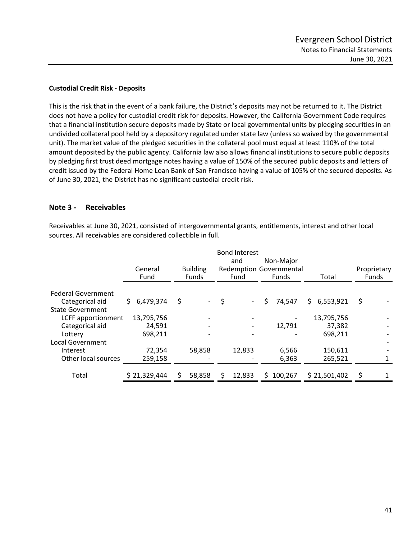## **Custodial Credit Risk - Deposits**

This is the risk that in the event of a bank failure, the District's deposits may not be returned to it. The District does not have a policy for custodial credit risk for deposits. However, the California Government Code requires that a financial institution secure deposits made by State or local governmental units by pledging securities in an undivided collateral pool held by a depository regulated under state law (unless so waived by the governmental unit). The market value of the pledged securities in the collateral pool must equal at least 110% of the total amount deposited by the public agency. California law also allows financial institutions to secure public deposits by pledging first trust deed mortgage notes having a value of 150% of the secured public deposits and letters of credit issued by the Federal Home Loan Bank of San Francisco having a value of 105% of the secured deposits. As of June 30, 2021, the District has no significant custodial credit risk.

# **Note 3 - Receivables**

Receivables at June 30, 2021, consisted of intergovernmental grants, entitlements, interest and other local sources. All receivables are considered collectible in full.

|                           |                 |    |                                 |      | <b>Bond Interest</b>                                                |    |         |       |              |    |                             |  |
|---------------------------|-----------------|----|---------------------------------|------|---------------------------------------------------------------------|----|---------|-------|--------------|----|-----------------------------|--|
|                           | General<br>Fund |    | <b>Building</b><br><b>Funds</b> |      | Non-Major<br>and<br>Redemption Governmental<br>Fund<br><b>Funds</b> |    |         | Total |              |    | Proprietary<br><b>Funds</b> |  |
| <b>Federal Government</b> |                 |    |                                 |      |                                                                     |    |         |       |              |    |                             |  |
| Categorical aid           | 6,479,374<br>S. | \$ |                                 | - \$ | $\overline{\phantom{a}}$                                            | \$ | 74,547  | S.    | 6,553,921    | \$ |                             |  |
| <b>State Government</b>   |                 |    |                                 |      |                                                                     |    |         |       |              |    |                             |  |
| LCFF apportionment        | 13,795,756      |    |                                 |      |                                                                     |    |         |       | 13,795,756   |    |                             |  |
| Categorical aid           | 24,591          |    |                                 |      | $\overline{\phantom{a}}$                                            |    | 12,791  |       | 37,382       |    |                             |  |
| Lottery                   | 698,211         |    |                                 |      | $\overline{\phantom{a}}$                                            |    |         |       | 698,211      |    |                             |  |
| <b>Local Government</b>   |                 |    |                                 |      |                                                                     |    |         |       |              |    |                             |  |
| Interest                  | 72,354          |    | 58,858                          |      | 12,833                                                              |    | 6,566   |       | 150,611      |    |                             |  |
| Other local sources       | 259,158         |    |                                 |      |                                                                     |    | 6,363   |       | 265,521      |    |                             |  |
| Total                     | \$21,329,444    |    | 58,858                          |      | 12,833                                                              |    | 100,267 |       | \$21,501,402 | \$ |                             |  |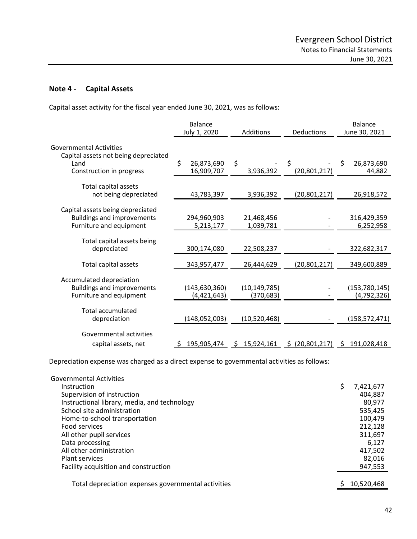# **Note 4 - Capital Assets**

Capital asset activity for the fiscal year ended June 30, 2021, was as follows:

|                                                                                                  | <b>Balance</b><br>July 1, 2020   | Additions                    | Deductions     | <b>Balance</b><br>June 30, 2021  |
|--------------------------------------------------------------------------------------------------|----------------------------------|------------------------------|----------------|----------------------------------|
| <b>Governmental Activities</b><br>Capital assets not being depreciated<br>Land                   | \$<br>26,873,690                 | \$                           | \$             | \$<br>26,873,690                 |
| Construction in progress                                                                         | 16,909,707                       | 3,936,392                    | (20, 801, 217) | 44,882                           |
| Total capital assets<br>not being depreciated                                                    | 43,783,397                       | 3,936,392                    | (20, 801, 217) | 26,918,572                       |
| Capital assets being depreciated<br><b>Buildings and improvements</b><br>Furniture and equipment | 294,960,903<br>5,213,177         | 21,468,456<br>1,039,781      |                | 316,429,359<br>6,252,958         |
| Total capital assets being<br>depreciated                                                        | 300,174,080                      | 22,508,237                   |                | 322,682,317                      |
| Total capital assets                                                                             | 343,957,477                      | 26,444,629                   | (20,801,217)   | 349,600,889                      |
| Accumulated depreciation<br><b>Buildings and improvements</b><br>Furniture and equipment         | (143, 630, 360)<br>(4, 421, 643) | (10, 149, 785)<br>(370, 683) |                | (153, 780, 145)<br>(4, 792, 326) |
| <b>Total accumulated</b><br>depreciation                                                         | (148, 052, 003)                  | (10,520,468)                 |                | (158, 572, 471)                  |
| Governmental activities<br>capital assets, net                                                   | 195,905,474                      | 15,924,161                   | (20, 801, 217) | 191,028,418                      |

Depreciation expense was charged as a direct expense to governmental activities as follows:

| Governmental Activities                             |                 |
|-----------------------------------------------------|-----------------|
| Instruction                                         | \$<br>7,421,677 |
| Supervision of instruction                          | 404.887         |
| Instructional library, media, and technology        | 80.977          |
| School site administration                          | 535,425         |
| Home-to-school transportation                       | 100,479         |
| Food services                                       | 212,128         |
| All other pupil services                            | 311,697         |
| Data processing                                     | 6.127           |
| All other administration                            | 417,502         |
| <b>Plant services</b>                               | 82,016          |
| Facility acquisition and construction               | 947.553         |
|                                                     |                 |
| Total depreciation expenses governmental activities | 10,520,468      |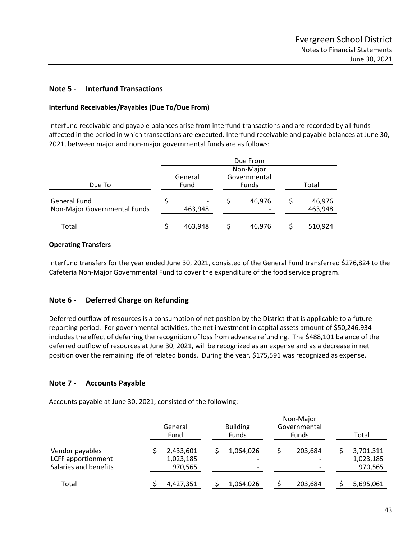## **Note 5 - Interfund Transactions**

## **Interfund Receivables/Payables (Due To/Due From)**

Interfund receivable and payable balances arise from interfund transactions and are recorded by all funds affected in the period in which transactions are executed. Interfund receivable and payable balances at June 30, 2021, between major and non-major governmental funds are as follows:

|                                                     |      | Due From<br>Non-Major |   |                                    |  |                   |  |  |  |  |
|-----------------------------------------------------|------|-----------------------|---|------------------------------------|--|-------------------|--|--|--|--|
|                                                     |      |                       |   |                                    |  |                   |  |  |  |  |
|                                                     |      | General               |   | Governmental                       |  |                   |  |  |  |  |
| Due To                                              | Fund |                       |   | <b>Funds</b>                       |  | Total             |  |  |  |  |
| <b>General Fund</b><br>Non-Major Governmental Funds | Ş    | 463,948               | S | 46.976<br>$\overline{\phantom{0}}$ |  | 46,976<br>463,948 |  |  |  |  |
| Total                                               |      | 463,948               |   | 46,976                             |  | 510,924           |  |  |  |  |

## **Operating Transfers**

Interfund transfers for the year ended June 30, 2021, consisted of the General Fund transferred \$276,824 to the Cafeteria Non-Major Governmental Fund to cover the expenditure of the food service program.

## **Note 6 - Deferred Charge on Refunding**

Deferred outflow of resources is a consumption of net position by the District that is applicable to a future reporting period. For governmental activities, the net investment in capital assets amount of \$50,246,934 includes the effect of deferring the recognition of loss from advance refunding. The \$488,101 balance of the deferred outflow of resources at June 30, 2021, will be recognized as an expense and as a decrease in net position over the remaining life of related bonds. During the year, \$175,591 was recognized as expense.

## **Note 7 - Accounts Payable**

Accounts payable at June 30, 2021, consisted of the following:

|                                                                | General<br>Fund                   | <b>Building</b><br><b>Funds</b> | Non-Major<br>Governmental<br>Funds | Total                             |  |
|----------------------------------------------------------------|-----------------------------------|---------------------------------|------------------------------------|-----------------------------------|--|
| Vendor payables<br>LCFF apportionment<br>Salaries and benefits | 2,433,601<br>1,023,185<br>970,565 | 1,064,026                       | 203.684                            | 3,701,311<br>1,023,185<br>970,565 |  |
| Total                                                          | 4,427,351                         | 1,064,026                       | 203,684                            | 5,695,061                         |  |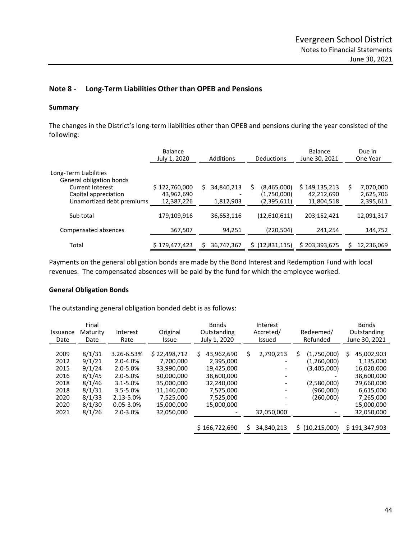## **Note 8 - Long-Term Liabilities Other than OPEB and Pensions**

#### **Summary**

The changes in the District's long-term liabilities other than OPEB and pensions during the year consisted of the following:

|                                                                              | <b>Balance</b><br>July 1, 2020            | Additions                    | Deductions                                     | Balance<br>June 30, 2021                  | Due in<br>One Year                       |
|------------------------------------------------------------------------------|-------------------------------------------|------------------------------|------------------------------------------------|-------------------------------------------|------------------------------------------|
| Long-Term Liabilities<br>General obligation bonds                            |                                           |                              |                                                |                                           |                                          |
| <b>Current Interest</b><br>Capital appreciation<br>Unamortized debt premiums | \$122,760,000<br>43,962,690<br>12,387,226 | 34,840,213<br>s<br>1,812,903 | Ś<br>(8,465,000)<br>(1,750,000)<br>(2,395,611) | \$149,135,213<br>42,212,690<br>11,804,518 | 7,070,000<br>S<br>2,625,706<br>2,395,611 |
| Sub total                                                                    | 179,109,916                               | 36,653,116                   | (12,610,611)                                   | 203.152.421                               | 12,091,317                               |
| Compensated absences                                                         | 367,507                                   | 94,251                       | (220, 504)                                     | 241,254                                   | 144,752                                  |
| Total                                                                        | \$179,477,423                             | 36.747.367                   | \$ (12,831,115)                                | \$203.393.675                             | 12,236,069                               |

Payments on the general obligation bonds are made by the Bond Interest and Redemption Fund with local revenues. The compensated absences will be paid by the fund for which the employee worked.

#### **General Obligation Bonds**

The outstanding general obligation bonded debt is as follows:

| Issuance<br>Date | Final<br>Maturity<br>Date | Interest<br>Rate | Original<br>Issue | <b>Bonds</b><br>Outstanding<br>July 1, 2020 |    | Interest<br>Accreted/<br><b>Issued</b> | Redeemed/<br>Refunded | <b>Bonds</b><br>Outstanding<br>June 30, 2021 |
|------------------|---------------------------|------------------|-------------------|---------------------------------------------|----|----------------------------------------|-----------------------|----------------------------------------------|
|                  |                           |                  |                   |                                             |    |                                        |                       |                                              |
| 2009             | 8/1/31                    | 3.26-6.53%       | \$22,498,712      | 43.962.690<br>S                             | Ś. | 2,790,213                              | (1.750.000)<br>Ś.     | 45,002,903<br>Ś                              |
| 2012             | 9/1/21                    | $2.0 - 4.0\%$    | 7,700,000         | 2,395,000                                   |    |                                        | (1,260,000)           | 1,135,000                                    |
| 2015             | 9/1/24                    | $2.0 - 5.0%$     | 33,990,000        | 19,425,000                                  |    |                                        | (3,405,000)           | 16,020,000                                   |
| 2016             | 8/1/45                    | $2.0 - 5.0%$     | 50,000,000        | 38,600,000                                  |    |                                        |                       | 38,600,000                                   |
| 2018             | 8/1/46                    | $3.1 - 5.0%$     | 35,000,000        | 32.240.000                                  |    |                                        | (2,580,000)           | 29,660,000                                   |
| 2018             | 8/1/31                    | $3.5 - 5.0%$     | 11,140,000        | 7,575,000                                   |    |                                        | (960,000)             | 6,615,000                                    |
| 2020             | 8/1/33                    | 2.13-5.0%        | 7,525,000         | 7.525.000                                   |    |                                        | (260,000)             | 7,265,000                                    |
| 2020             | 8/1/30                    | $0.05 - 3.0%$    | 15,000,000        | 15.000.000                                  |    |                                        |                       | 15,000,000                                   |
| 2021             | 8/1/26                    | $2.0 - 3.0%$     | 32,050,000        |                                             |    | 32,050,000                             |                       | 32,050,000                                   |
|                  |                           |                  |                   |                                             |    |                                        |                       |                                              |
|                  |                           |                  |                   | \$166,722,690                               | S  | 34.840.213                             | \$ (10, 215, 000)     | \$191.347.903                                |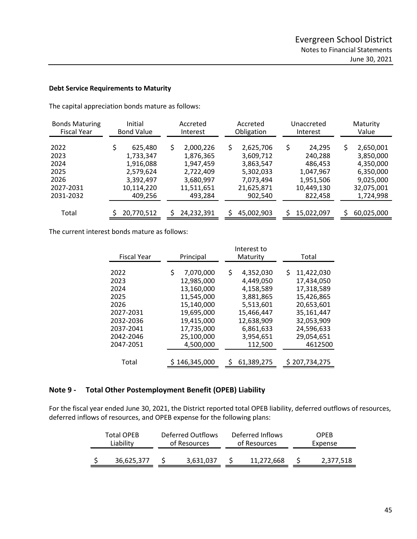#### **Debt Service Requirements to Maturity**

| <b>Bonds Maturing</b><br><b>Fiscal Year</b> | Initial<br><b>Bond Value</b> | Accreted<br>Interest | Accreted<br>Obligation | Unaccreted<br>Interest | Maturity<br>Value |  |
|---------------------------------------------|------------------------------|----------------------|------------------------|------------------------|-------------------|--|
| 2022                                        | 625,480                      | 2,000,226<br>S       | 2,625,706              | \$<br>24,295           | 2,650,001<br>S    |  |
| 2023                                        | 1,733,347                    | 1,876,365            | 3,609,712              | 240,288                | 3,850,000         |  |
| 2024                                        | 1,916,088                    | 1,947,459            | 3,863,547              | 486,453                | 4,350,000         |  |
| 2025                                        | 2,579,624                    | 2,722,409            | 5,302,033              | 1,047,967              | 6,350,000         |  |
| 2026                                        | 3,392,497                    | 3,680,997            | 7,073,494              | 1,951,506              | 9,025,000         |  |
| 2027-2031                                   | 10,114,220                   | 11,511,651           | 21,625,871             | 10,449,130             | 32,075,001        |  |
| 2031-2032                                   | 409,256                      | 493,284              | 902,540                | 822,458                | 1,724,998         |  |
|                                             |                              |                      |                        |                        |                   |  |
| Total                                       | 20,770,512                   | 24,232,391           | 45,002,903             | 15,022,097             | 60,025,000        |  |

The capital appreciation bonds mature as follows:

The current interest bonds mature as follows:

| <b>Fiscal Year</b>                                                                       | Principal |                                                                                                                           |  | Interest to<br>Maturity |                                                                                                                     |  |                                                                                                                                  |
|------------------------------------------------------------------------------------------|-----------|---------------------------------------------------------------------------------------------------------------------------|--|-------------------------|---------------------------------------------------------------------------------------------------------------------|--|----------------------------------------------------------------------------------------------------------------------------------|
| 2022<br>2023<br>2024<br>2025<br>2026<br>2027-2031<br>2032-2036<br>2037-2041<br>2042-2046 | Ś.        | 7,070,000<br>12,985,000<br>13,160,000<br>11.545.000<br>15,140,000<br>19,695,000<br>19,415,000<br>17,735,000<br>25,100,000 |  | \$                      | 4,352,030<br>4,449,050<br>4,158,589<br>3.881.865<br>5,513,601<br>15,466,447<br>12,638,909<br>6,861,633<br>3,954,651 |  | S.<br>11,422,030<br>17,434,050<br>17,318,589<br>15,426,865<br>20,653,601<br>35,161,447<br>32,053,909<br>24,596,633<br>29,054,651 |
| 2047-2051                                                                                |           | 4,500,000                                                                                                                 |  |                         | 112,500                                                                                                             |  | 4612500                                                                                                                          |
| Total                                                                                    |           | \$146,345,000                                                                                                             |  |                         | 61,389,275                                                                                                          |  | \$207,734,275                                                                                                                    |

# **Note 9 - Total Other Postemployment Benefit (OPEB) Liability**

For the fiscal year ended June 30, 2021, the District reported total OPEB liability, deferred outflows of resources, deferred inflows of resources, and OPEB expense for the following plans:

| <b>Total OPEB</b> |            | Deferred Outflows |  | Deferred Inflows | <b>OPEB</b> |           |  |
|-------------------|------------|-------------------|--|------------------|-------------|-----------|--|
| Liability         |            | of Resources      |  | of Resources     | Expense     |           |  |
|                   | 36,625,377 | 3,631,037         |  | 11,272,668       |             | 2,377,518 |  |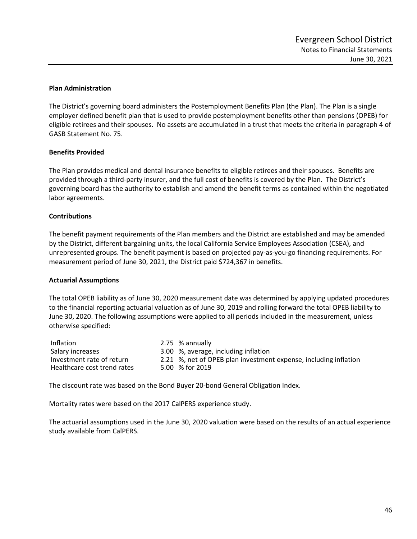## **Plan Administration**

The District's governing board administers the Postemployment Benefits Plan (the Plan). The Plan is a single employer defined benefit plan that is used to provide postemployment benefits other than pensions (OPEB) for eligible retirees and their spouses. No assets are accumulated in a trust that meets the criteria in paragraph 4 of GASB Statement No. 75.

## **Benefits Provided**

The Plan provides medical and dental insurance benefits to eligible retirees and their spouses. Benefits are provided through a third-party insurer, and the full cost of benefits is covered by the Plan. The District's governing board has the authority to establish and amend the benefit terms as contained within the negotiated labor agreements.

## **Contributions**

The benefit payment requirements of the Plan members and the District are established and may be amended by the District, different bargaining units, the local California Service Employees Association (CSEA), and unrepresented groups. The benefit payment is based on projected pay-as-you-go financing requirements. For measurement period of June 30, 2021, the District paid \$724,367 in benefits.

## **Actuarial Assumptions**

The total OPEB liability as of June 30, 2020 measurement date was determined by applying updated procedures to the financial reporting actuarial valuation as of June 30, 2019 and rolling forward the total OPEB liability to June 30, 2020. The following assumptions were applied to all periods included in the measurement, unless otherwise specified:

| Inflation                   | 2.75 % annually                                                  |
|-----------------------------|------------------------------------------------------------------|
| Salary increases            | 3.00 %, average, including inflation                             |
| Investment rate of return   | 2.21 %, net of OPEB plan investment expense, including inflation |
| Healthcare cost trend rates | 5.00 % for 2019                                                  |

The discount rate was based on the Bond Buyer 20-bond General Obligation Index.

Mortality rates were based on the 2017 CalPERS experience study.

The actuarial assumptions used in the June 30, 2020 valuation were based on the results of an actual experience study available from CalPERS.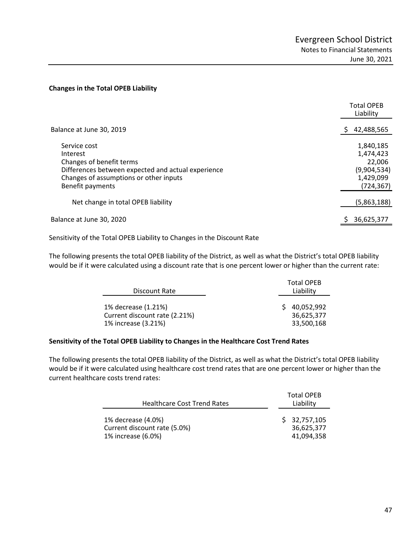#### **Changes in the Total OPEB Liability**

|                                                                                                                                                                          | <b>Total OPEB</b><br>Liability                                             |
|--------------------------------------------------------------------------------------------------------------------------------------------------------------------------|----------------------------------------------------------------------------|
| Balance at June 30, 2019                                                                                                                                                 | 42,488,565                                                                 |
| Service cost<br>Interest<br>Changes of benefit terms<br>Differences between expected and actual experience<br>Changes of assumptions or other inputs<br>Benefit payments | 1,840,185<br>1,474,423<br>22,006<br>(9,904,534)<br>1,429,099<br>(724, 367) |
| Net change in total OPEB liability                                                                                                                                       | (5,863,188)                                                                |
| Balance at June 30, 2020                                                                                                                                                 | 36,625,377                                                                 |

Sensitivity of the Total OPEB Liability to Changes in the Discount Rate

The following presents the total OPEB liability of the District, as well as what the District's total OPEB liability would be if it were calculated using a discount rate that is one percent lower or higher than the current rate:

|                               | <b>Total OPEB</b> |
|-------------------------------|-------------------|
| Discount Rate                 | Liability         |
|                               |                   |
| 1% decrease (1.21%)           | 40,052,992<br>S.  |
| Current discount rate (2.21%) | 36,625,377        |
| 1% increase (3.21%)           | 33,500,168        |

## **Sensitivity of the Total OPEB Liability to Changes in the Healthcare Cost Trend Rates**

The following presents the total OPEB liability of the District, as well as what the District's total OPEB liability would be if it were calculated using healthcare cost trend rates that are one percent lower or higher than the current healthcare costs trend rates:

| <b>Healthcare Cost Trend Rates</b>                                       |  | <b>Total OPEB</b><br>Liability           |  |  |
|--------------------------------------------------------------------------|--|------------------------------------------|--|--|
| 1% decrease (4.0%)<br>Current discount rate (5.0%)<br>1% increase (6.0%) |  | \$32,757,105<br>36,625,377<br>41,094,358 |  |  |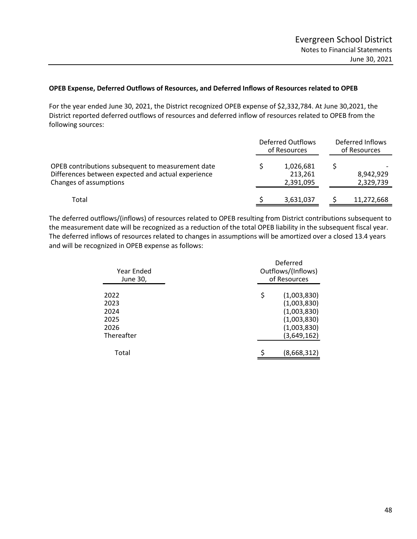#### **OPEB Expense, Deferred Outflows of Resources, and Deferred Inflows of Resources related to OPEB**

For the year ended June 30, 2021, the District recognized OPEB expense of \$2,332,784. At June 30,2021, the District reported deferred outflows of resources and deferred inflow of resources related to OPEB from the following sources:

|                                                                                                                                   | Deferred Outflows<br>of Resources | Deferred Inflows<br>of Resources |                        |
|-----------------------------------------------------------------------------------------------------------------------------------|-----------------------------------|----------------------------------|------------------------|
| OPEB contributions subsequent to measurement date<br>Differences between expected and actual experience<br>Changes of assumptions | 1,026,681<br>213,261<br>2,391,095 |                                  | 8,942,929<br>2,329,739 |
| Total                                                                                                                             | 3,631,037                         |                                  | 11,272,668             |

The deferred outflows/(inflows) of resources related to OPEB resulting from District contributions subsequent to the measurement date will be recognized as a reduction of the total OPEB liability in the subsequent fiscal year. The deferred inflows of resources related to changes in assumptions will be amortized over a closed 13.4 years and will be recognized in OPEB expense as follows:

| Year Ended<br>June 30,                             | Deferred<br>Outflows/(Inflows)<br>of Resources                                               |
|----------------------------------------------------|----------------------------------------------------------------------------------------------|
| 2022<br>2023<br>2024<br>2025<br>2026<br>Thereafter | \$<br>(1,003,830)<br>(1,003,830)<br>(1,003,830)<br>(1,003,830)<br>(1,003,830)<br>(3,649,162) |
| Total                                              | (8,668,312)                                                                                  |
|                                                    |                                                                                              |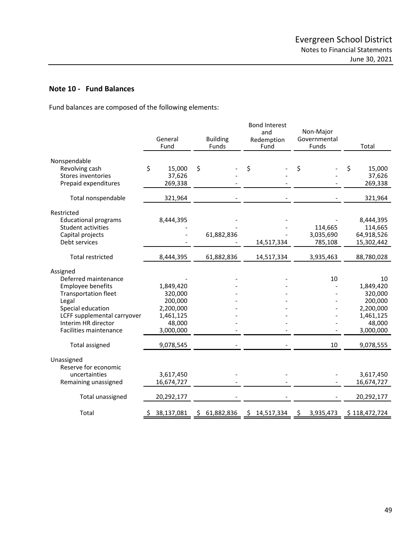# **Note 10 - Fund Balances**

Fund balances are composed of the following elements:

|                                                                                                                                                                                                                      | General<br>Fund                                                                               | <b>Building</b><br><b>Funds</b>                                 | <b>Bond Interest</b><br>and<br>Redemption<br>Fund | Non-Major<br>Governmental<br>Funds | Total                                                                                               |
|----------------------------------------------------------------------------------------------------------------------------------------------------------------------------------------------------------------------|-----------------------------------------------------------------------------------------------|-----------------------------------------------------------------|---------------------------------------------------|------------------------------------|-----------------------------------------------------------------------------------------------------|
| Nonspendable<br>Revolving cash<br>Stores inventories<br>Prepaid expenditures                                                                                                                                         | \$<br>15,000<br>37,626<br>269,338                                                             | \$                                                              | \$                                                | \$                                 | \$<br>15,000<br>37,626<br>269,338                                                                   |
| Total nonspendable                                                                                                                                                                                                   | 321,964                                                                                       |                                                                 |                                                   |                                    | 321,964                                                                                             |
| Restricted<br><b>Educational programs</b><br><b>Student activities</b><br>Capital projects<br>Debt services                                                                                                          | 8,444,395                                                                                     | 61,882,836                                                      | 14,517,334                                        | 114,665<br>3,035,690<br>785,108    | 8,444,395<br>114,665<br>64,918,526<br>15,302,442                                                    |
| <b>Total restricted</b>                                                                                                                                                                                              | 8,444,395                                                                                     | 61,882,836                                                      | 14,517,334                                        | 3,935,463                          | 88,780,028                                                                                          |
| Assigned<br>Deferred maintenance<br>Employee benefits<br><b>Transportation fleet</b><br>Legal<br>Special education<br>LCFF supplemental carryover<br>Interim HR director<br>Facilities maintenance<br>Total assigned | 1,849,420<br>320,000<br>200,000<br>2,200,000<br>1,461,125<br>48,000<br>3,000,000<br>9,078,545 |                                                                 |                                                   | 10<br>10                           | 10<br>1,849,420<br>320,000<br>200,000<br>2,200,000<br>1,461,125<br>48,000<br>3,000,000<br>9,078,555 |
| Unassigned<br>Reserve for economic<br>uncertainties<br>Remaining unassigned                                                                                                                                          | 3,617,450<br>16,674,727                                                                       |                                                                 |                                                   |                                    | 3,617,450<br>16,674,727                                                                             |
| Total unassigned                                                                                                                                                                                                     | 20,292,177                                                                                    |                                                                 |                                                   |                                    | 20,292,177                                                                                          |
| Total                                                                                                                                                                                                                |                                                                                               | $$38,137,081 \leq $61,882,836 \leq $14,517,334 \leq $3,935,473$ |                                                   |                                    | \$118,472,724                                                                                       |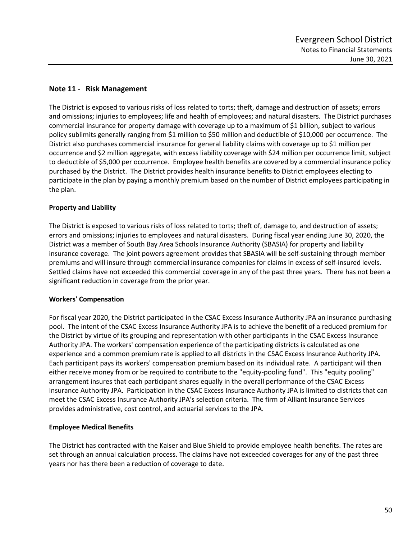# **Note 11 - Risk Management**

The District is exposed to various risks of loss related to torts; theft, damage and destruction of assets; errors and omissions; injuries to employees; life and health of employees; and natural disasters. The District purchases commercial insurance for property damage with coverage up to a maximum of \$1 billion, subject to various policy sublimits generally ranging from \$1 million to \$50 million and deductible of \$10,000 per occurrence. The District also purchases commercial insurance for general liability claims with coverage up to \$1 million per occurrence and \$2 million aggregate, with excess liability coverage with \$24 million per occurrence limit, subject to deductible of \$5,000 per occurrence. Employee health benefits are covered by a commercial insurance policy purchased by the District. The District provides health insurance benefits to District employees electing to participate in the plan by paying a monthly premium based on the number of District employees participating in the plan.

## **Property and Liability**

The District is exposed to various risks of loss related to torts; theft of, damage to, and destruction of assets; errors and omissions; injuries to employees and natural disasters. During fiscal year ending June 30, 2020, the District was a member of South Bay Area Schools Insurance Authority (SBASIA) for property and liability insurance coverage. The joint powers agreement provides that SBASIA will be self-sustaining through member premiums and will insure through commercial insurance companies for claims in excess of self-insured levels. Settled claims have not exceeded this commercial coverage in any of the past three years. There has not been a significant reduction in coverage from the prior year.

# **Workers' Compensation**

For fiscal year 2020, the District participated in the CSAC Excess Insurance Authority JPA an insurance purchasing pool. The intent of the CSAC Excess Insurance Authority JPA is to achieve the benefit of a reduced premium for the District by virtue of its grouping and representation with other participants in the CSAC Excess Insurance Authority JPA. The workers' compensation experience of the participating districts is calculated as one experience and a common premium rate is applied to all districts in the CSAC Excess Insurance Authority JPA. Each participant pays its workers' compensation premium based on its individual rate. A participant will then either receive money from or be required to contribute to the "equity-pooling fund". This "equity pooling" arrangement insures that each participant shares equally in the overall performance of the CSAC Excess Insurance Authority JPA. Participation in the CSAC Excess Insurance Authority JPA is limited to districts that can meet the CSAC Excess Insurance Authority JPA's selection criteria. The firm of Alliant Insurance Services provides administrative, cost control, and actuarial services to the JPA.

# **Employee Medical Benefits**

The District has contracted with the Kaiser and Blue Shield to provide employee health benefits. The rates are set through an annual calculation process. The claims have not exceeded coverages for any of the past three years nor has there been a reduction of coverage to date.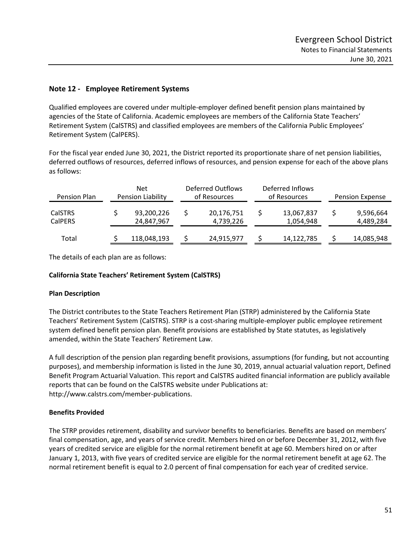# **Note 12 - Employee Retirement Systems**

Qualified employees are covered under multiple-employer defined benefit pension plans maintained by agencies of the State of California. Academic employees are members of the California State Teachers' Retirement System (CalSTRS) and classified employees are members of the California Public Employees' Retirement System (CalPERS).

For the fiscal year ended June 30, 2021, the District reported its proportionate share of net pension liabilities, deferred outflows of resources, deferred inflows of resources, and pension expense for each of the above plans as follows:

| <b>Pension Plan</b>              | <b>Net</b><br>Pension Liability | Deferred Outflows<br>of Resources |   | Deferred Inflows<br>of Resources | <b>Pension Expense</b> |
|----------------------------------|---------------------------------|-----------------------------------|---|----------------------------------|------------------------|
| <b>CalSTRS</b><br><b>CalPERS</b> | 93,200,226<br>24,847,967        | 20,176,751<br>4,739,226           | S | 13,067,837<br>1,054,948          | 9,596,664<br>4,489,284 |
| Total                            | 118,048,193                     | 24,915,977                        |   | 14,122,785                       | 14,085,948             |

The details of each plan are as follows:

# **California State Teachers' Retirement System (CalSTRS)**

## **Plan Description**

The District contributes to the State Teachers Retirement Plan (STRP) administered by the California State Teachers' Retirement System (CalSTRS). STRP is a cost-sharing multiple-employer public employee retirement system defined benefit pension plan. Benefit provisions are established by State statutes, as legislatively amended, within the State Teachers' Retirement Law.

A full description of the pension plan regarding benefit provisions, assumptions (for funding, but not accounting purposes), and membership information is listed in the June 30, 2019, annual actuarial valuation report, Defined Benefit Program Actuarial Valuation. This report and CalSTRS audited financial information are publicly available reports that can be found on the CalSTRS website under Publications at: http://www.calstrs.com/member-publications.

## **Benefits Provided**

The STRP provides retirement, disability and survivor benefits to beneficiaries. Benefits are based on members' final compensation, age, and years of service credit. Members hired on or before December 31, 2012, with five years of credited service are eligible for the normal retirement benefit at age 60. Members hired on or after January 1, 2013, with five years of credited service are eligible for the normal retirement benefit at age 62. The normal retirement benefit is equal to 2.0 percent of final compensation for each year of credited service.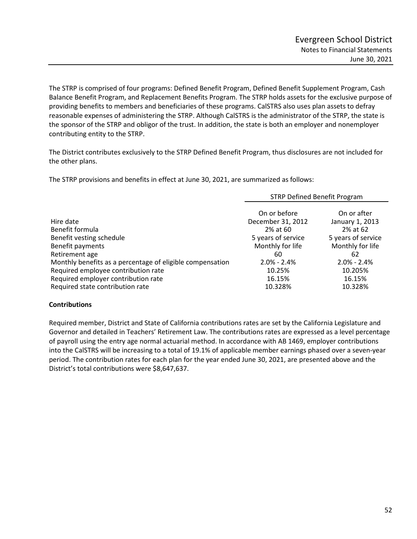STRP Defined Benefit Program

The STRP is comprised of four programs: Defined Benefit Program, Defined Benefit Supplement Program, Cash Balance Benefit Program, and Replacement Benefits Program. The STRP holds assets for the exclusive purpose of providing benefits to members and beneficiaries of these programs. CalSTRS also uses plan assets to defray reasonable expenses of administering the STRP. Although CalSTRS is the administrator of the STRP, the state is the sponsor of the STRP and obligor of the trust. In addition, the state is both an employer and nonemployer contributing entity to the STRP.

The District contributes exclusively to the STRP Defined Benefit Program, thus disclosures are not included for the other plans.

The STRP provisions and benefits in effect at June 30, 2021, are summarized as follows:

|                                                           | On or before       | On or after        |
|-----------------------------------------------------------|--------------------|--------------------|
| Hire date                                                 | December 31, 2012  | January 1, 2013    |
| Benefit formula                                           | 2% at 60           | 2% at 62           |
| Benefit vesting schedule                                  | 5 years of service | 5 years of service |
| Benefit payments                                          | Monthly for life   | Monthly for life   |
| Retirement age                                            | 60                 | 62                 |
| Monthly benefits as a percentage of eligible compensation | $2.0\% - 2.4\%$    | $2.0\% - 2.4\%$    |
| Required employee contribution rate                       | 10.25%             | 10.205%            |
| Required employer contribution rate                       | 16.15%             | 16.15%             |
| Required state contribution rate                          | 10.328%            | 10.328%            |

## **Contributions**

Required member, District and State of California contributions rates are set by the California Legislature and Governor and detailed in Teachers' Retirement Law. The contributions rates are expressed as a level percentage of payroll using the entry age normal actuarial method. In accordance with AB 1469, employer contributions into the CalSTRS will be increasing to a total of 19.1% of applicable member earnings phased over a seven-year period. The contribution rates for each plan for the year ended June 30, 2021, are presented above and the District's total contributions were \$8,647,637.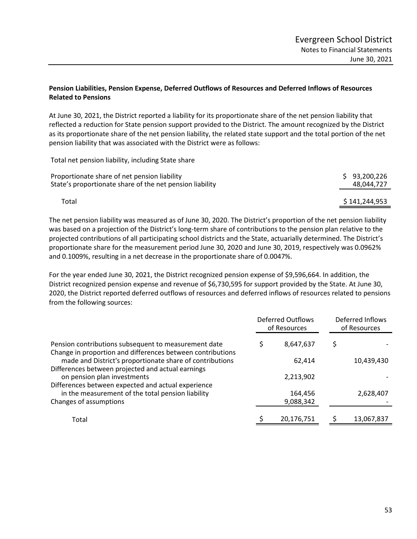## **Pension Liabilities, Pension Expense, Deferred Outflows of Resources and Deferred Inflows of Resources Related to Pensions**

At June 30, 2021, the District reported a liability for its proportionate share of the net pension liability that reflected a reduction for State pension support provided to the District. The amount recognized by the District as its proportionate share of the net pension liability, the related state support and the total portion of the net pension liability that was associated with the District were as follows:

Total net pension liability, including State share

| Proportionate share of net pension liability             | \$93,200,226  |
|----------------------------------------------------------|---------------|
| State's proportionate share of the net pension liability | 48.044.727    |
| Total                                                    | \$141,244,953 |

The net pension liability was measured as of June 30, 2020. The District's proportion of the net pension liability was based on a projection of the District's long-term share of contributions to the pension plan relative to the projected contributions of all participating school districts and the State, actuarially determined. The District's proportionate share for the measurement period June 30, 2020 and June 30, 2019, respectively was 0.0962% and 0.1009%, resulting in a net decrease in the proportionate share of 0.0047%.

For the year ended June 30, 2021, the District recognized pension expense of \$9,596,664. In addition, the District recognized pension expense and revenue of \$6,730,595 for support provided by the State. At June 30, 2020, the District reported deferred outflows of resources and deferred inflows of resources related to pensions from the following sources:

|                                                                                                                        | Deferred Outflows<br>of Resources |            | Deferred Inflows<br>of Resources |            |
|------------------------------------------------------------------------------------------------------------------------|-----------------------------------|------------|----------------------------------|------------|
| Pension contributions subsequent to measurement date                                                                   | S                                 | 8.647.637  | S                                |            |
| Change in proportion and differences between contributions<br>made and District's proportionate share of contributions |                                   | 62,414     |                                  | 10,439,430 |
| Differences between projected and actual earnings<br>on pension plan investments                                       |                                   | 2,213,902  |                                  |            |
| Differences between expected and actual experience<br>in the measurement of the total pension liability                |                                   | 164,456    |                                  | 2,628,407  |
| Changes of assumptions                                                                                                 |                                   | 9,088,342  |                                  |            |
| Total                                                                                                                  |                                   | 20,176,751 |                                  | 13,067,837 |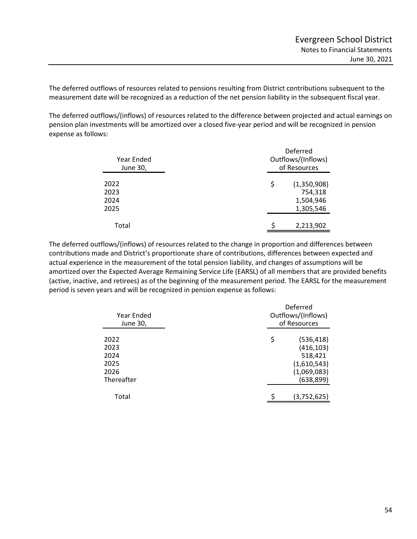The deferred outflows of resources related to pensions resulting from District contributions subsequent to the measurement date will be recognized as a reduction of the net pension liability in the subsequent fiscal year.

The deferred outflows/(inflows) of resources related to the difference between projected and actual earnings on pension plan investments will be amortized over a closed five-year period and will be recognized in pension expense as follows:

| Year Ended<br>June 30,       | Deferred<br>Outflows/(Inflows)<br>of Resources         |
|------------------------------|--------------------------------------------------------|
| 2022<br>2023<br>2024<br>2025 | (1,350,908)<br>\$<br>754,318<br>1,504,946<br>1,305,546 |
| Total                        | 2,213,902                                              |

The deferred outflows/(inflows) of resources related to the change in proportion and differences between contributions made and District's proportionate share of contributions, differences between expected and actual experience in the measurement of the total pension liability, and changes of assumptions will be amortized over the Expected Average Remaining Service Life (EARSL) of all members that are provided benefits (active, inactive, and retirees) as of the beginning of the measurement period. The EARSL for the measurement period is seven years and will be recognized in pension expense as follows:

| Year Ended<br>June 30,                             | Deferred<br>Outflows/(Inflows)<br>of Resources |                                                                                 |  |
|----------------------------------------------------|------------------------------------------------|---------------------------------------------------------------------------------|--|
| 2022<br>2023<br>2024<br>2025<br>2026<br>Thereafter | \$                                             | (536, 418)<br>(416, 103)<br>518,421<br>(1,610,543)<br>(1,069,083)<br>(638, 899) |  |
| Total                                              |                                                | (3,752,625)                                                                     |  |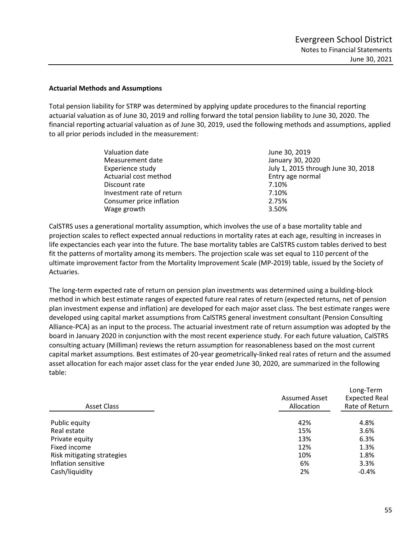#### **Actuarial Methods and Assumptions**

Total pension liability for STRP was determined by applying update procedures to the financial reporting actuarial valuation as of June 30, 2019 and rolling forward the total pension liability to June 30, 2020. The financial reporting actuarial valuation as of June 30, 2019, used the following methods and assumptions, applied to all prior periods included in the measurement:

| June 30, 2019                      |
|------------------------------------|
| January 30, 2020                   |
| July 1, 2015 through June 30, 2018 |
| Entry age normal                   |
| 7.10%                              |
| 7.10%                              |
| 2.75%                              |
| 3.50%                              |
|                                    |

CalSTRS uses a generational mortality assumption, which involves the use of a base mortality table and projection scales to reflect expected annual reductions in mortality rates at each age, resulting in increases in life expectancies each year into the future. The base mortality tables are CalSTRS custom tables derived to best fit the patterns of mortality among its members. The projection scale was set equal to 110 percent of the ultimate improvement factor from the Mortality Improvement Scale (MP-2019) table, issued by the Society of Actuaries.

The long-term expected rate of return on pension plan investments was determined using a building-block method in which best estimate ranges of expected future real rates of return (expected returns, net of pension plan investment expense and inflation) are developed for each major asset class. The best estimate ranges were developed using capital market assumptions from CalSTRS general investment consultant (Pension Consulting Alliance-PCA) as an input to the process. The actuarial investment rate of return assumption was adopted by the board in January 2020 in conjunction with the most recent experience study. For each future valuation, CalSTRS consulting actuary (Milliman) reviews the return assumption for reasonableness based on the most current capital market assumptions. Best estimates of 20-year geometrically-linked real rates of return and the assumed asset allocation for each major asset class for the year ended June 30, 2020, are summarized in the following table:

|                            |                      | Long-Term            |
|----------------------------|----------------------|----------------------|
|                            | <b>Assumed Asset</b> | <b>Expected Real</b> |
| <b>Asset Class</b>         | Allocation           | Rate of Return       |
| Public equity              | 42%                  | 4.8%                 |
| Real estate                | 15%                  | 3.6%                 |
| Private equity             | 13%                  | 6.3%                 |
| Fixed income               | 12%                  | 1.3%                 |
| Risk mitigating strategies | 10%                  | 1.8%                 |
| Inflation sensitive        | 6%                   | 3.3%                 |
| Cash/liquidity             | 2%                   | $-0.4%$              |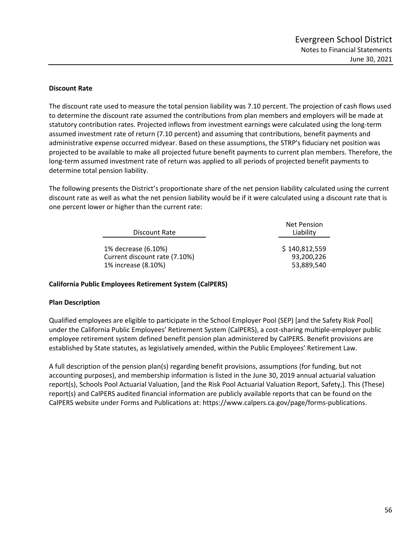## **Discount Rate**

The discount rate used to measure the total pension liability was 7.10 percent. The projection of cash flows used to determine the discount rate assumed the contributions from plan members and employers will be made at statutory contribution rates. Projected inflows from investment earnings were calculated using the long-term assumed investment rate of return (7.10 percent) and assuming that contributions, benefit payments and administrative expense occurred midyear. Based on these assumptions, the STRP's fiduciary net position was projected to be available to make all projected future benefit payments to current plan members. Therefore, the long-term assumed investment rate of return was applied to all periods of projected benefit payments to determine total pension liability.

The following presents the District's proportionate share of the net pension liability calculated using the current discount rate as well as what the net pension liability would be if it were calculated using a discount rate that is one percent lower or higher than the current rate:

| Discount Rate                 | <b>Net Pension</b><br>Liability |
|-------------------------------|---------------------------------|
| 1% decrease (6.10%)           | \$140,812,559                   |
| Current discount rate (7.10%) | 93,200,226                      |
| 1% increase (8.10%)           | 53,889,540                      |

# **California Public Employees Retirement System (CalPERS)**

## **Plan Description**

Qualified employees are eligible to participate in the School Employer Pool (SEP) [and the Safety Risk Pool] under the California Public Employees' Retirement System (CalPERS), a cost-sharing multiple-employer public employee retirement system defined benefit pension plan administered by CalPERS. Benefit provisions are established by State statutes, as legislatively amended, within the Public Employees' Retirement Law.

A full description of the pension plan(s) regarding benefit provisions, assumptions (for funding, but not accounting purposes), and membership information is listed in the June 30, 2019 annual actuarial valuation report(s), Schools Pool Actuarial Valuation, [and the Risk Pool Actuarial Valuation Report, Safety,]. This (These) report(s) and CalPERS audited financial information are publicly available reports that can be found on the CalPERS website under Forms and Publications at: https://www.calpers.ca.gov/page/forms-publications.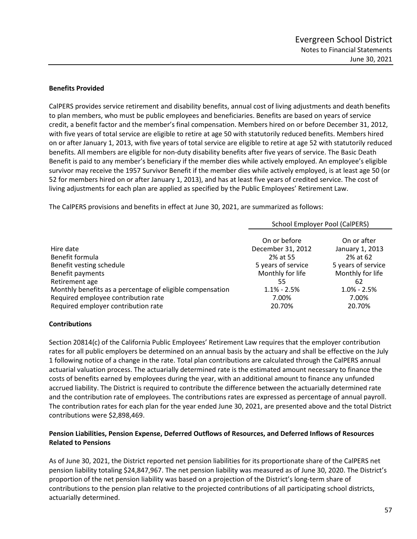## **Benefits Provided**

CalPERS provides service retirement and disability benefits, annual cost of living adjustments and death benefits to plan members, who must be public employees and beneficiaries. Benefits are based on years of service credit, a benefit factor and the member's final compensation. Members hired on or before December 31, 2012, with five years of total service are eligible to retire at age 50 with statutorily reduced benefits. Members hired on or after January 1, 2013, with five years of total service are eligible to retire at age 52 with statutorily reduced benefits. All members are eligible for non-duty disability benefits after five years of service. The Basic Death Benefit is paid to any member's beneficiary if the member dies while actively employed. An employee's eligible survivor may receive the 1957 Survivor Benefit if the member dies while actively employed, is at least age 50 (or 52 for members hired on or after January 1, 2013), and has at least five years of credited service. The cost of living adjustments for each plan are applied as specified by the Public Employees' Retirement Law.

The CalPERS provisions and benefits in effect at June 30, 2021, are summarized as follows:

|                                                           | <b>School Employer Pool (CalPERS)</b> |                                |
|-----------------------------------------------------------|---------------------------------------|--------------------------------|
| Hire date                                                 | On or before<br>December 31, 2012     | On or after<br>January 1, 2013 |
| Benefit formula                                           | 2% at 55                              | 2% at 62                       |
| Benefit vesting schedule                                  | 5 years of service                    | 5 years of service             |
| Benefit payments                                          | Monthly for life                      | Monthly for life               |
| Retirement age                                            | 55                                    | 62                             |
| Monthly benefits as a percentage of eligible compensation | $1.1\% - 2.5\%$                       | $1.0\% - 2.5\%$                |
| Required employee contribution rate                       | 7.00%                                 | 7.00%                          |
| Required employer contribution rate                       | 20.70%                                | 20.70%                         |

# **Contributions**

Section 20814(c) of the California Public Employees' Retirement Law requires that the employer contribution rates for all public employers be determined on an annual basis by the actuary and shall be effective on the July 1 following notice of a change in the rate. Total plan contributions are calculated through the CalPERS annual actuarial valuation process. The actuarially determined rate is the estimated amount necessary to finance the costs of benefits earned by employees during the year, with an additional amount to finance any unfunded accrued liability. The District is required to contribute the difference between the actuarially determined rate and the contribution rate of employees. The contributions rates are expressed as percentage of annual payroll. The contribution rates for each plan for the year ended June 30, 2021, are presented above and the total District contributions were \$2,898,469.

# **Pension Liabilities, Pension Expense, Deferred Outflows of Resources, and Deferred Inflows of Resources Related to Pensions**

As of June 30, 2021, the District reported net pension liabilities for its proportionate share of the CalPERS net pension liability totaling \$24,847,967. The net pension liability was measured as of June 30, 2020. The District's proportion of the net pension liability was based on a projection of the District's long-term share of contributions to the pension plan relative to the projected contributions of all participating school districts, actuarially determined.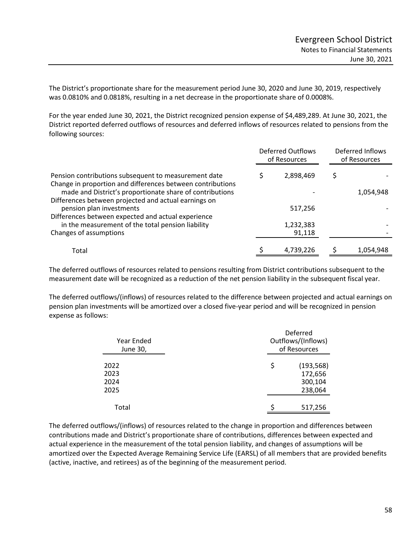The District's proportionate share for the measurement period June 30, 2020 and June 30, 2019, respectively was 0.0810% and 0.0818%, resulting in a net decrease in the proportionate share of 0.0008%.

For the year ended June 30, 2021, the District recognized pension expense of \$4,489,289. At June 30, 2021, the District reported deferred outflows of resources and deferred inflows of resources related to pensions from the following sources:

|                                                                                                                    | Deferred Outflows<br>of Resources |   | Deferred Inflows<br>of Resources |
|--------------------------------------------------------------------------------------------------------------------|-----------------------------------|---|----------------------------------|
| Pension contributions subsequent to measurement date<br>Change in proportion and differences between contributions | 2,898,469                         | S |                                  |
| made and District's proportionate share of contributions                                                           |                                   |   | 1,054,948                        |
| Differences between projected and actual earnings on                                                               |                                   |   |                                  |
| pension plan investments<br>Differences between expected and actual experience                                     | 517,256                           |   |                                  |
| in the measurement of the total pension liability                                                                  | 1,232,383                         |   |                                  |
| Changes of assumptions                                                                                             | 91,118                            |   |                                  |
| Total                                                                                                              | 4,739,226                         |   | 1,054,948                        |

The deferred outflows of resources related to pensions resulting from District contributions subsequent to the measurement date will be recognized as a reduction of the net pension liability in the subsequent fiscal year.

The deferred outflows/(inflows) of resources related to the difference between projected and actual earnings on pension plan investments will be amortized over a closed five-year period and will be recognized in pension expense as follows:

| Year Ended<br>June 30,       | Deferred<br>Outflows/(Inflows)<br>of Resources |                                             |  |
|------------------------------|------------------------------------------------|---------------------------------------------|--|
| 2022<br>2023<br>2024<br>2025 | \$                                             | (193, 568)<br>172,656<br>300,104<br>238,064 |  |
| Total                        |                                                | 517,256                                     |  |

The deferred outflows/(inflows) of resources related to the change in proportion and differences between contributions made and District's proportionate share of contributions, differences between expected and actual experience in the measurement of the total pension liability, and changes of assumptions will be amortized over the Expected Average Remaining Service Life (EARSL) of all members that are provided benefits (active, inactive, and retirees) as of the beginning of the measurement period.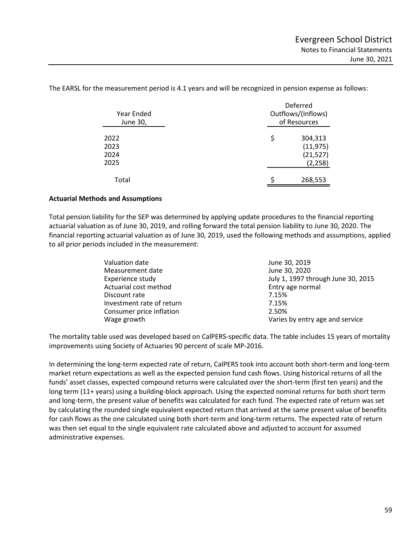| Year Ended<br>June 30,       | Deferred<br>Outflows/(Inflows)<br>of Resources      |  |
|------------------------------|-----------------------------------------------------|--|
| 2022<br>2023<br>2024<br>2025 | \$<br>304,313<br>(11, 975)<br>(21, 527)<br>(2, 258) |  |
| Total                        | 268,553                                             |  |

The EARSL for the measurement period is 4.1 years and will be recognized in pension expense as follows:

#### **Actuarial Methods and Assumptions**

Total pension liability for the SEP was determined by applying update procedures to the financial reporting actuarial valuation as of June 30, 2019, and rolling forward the total pension liability to June 30, 2020. The financial reporting actuarial valuation as of June 30, 2019, used the following methods and assumptions, applied to all prior periods included in the measurement:

| Valuation date            | June 30, 2019                      |
|---------------------------|------------------------------------|
| Measurement date          | June 30, 2020                      |
| Experience study          | July 1, 1997 through June 30, 2015 |
| Actuarial cost method     | Entry age normal                   |
| Discount rate             | 7.15%                              |
| Investment rate of return | 7.15%                              |
| Consumer price inflation  | 2.50%                              |
| Wage growth               | Varies by entry age and service    |

The mortality table used was developed based on CalPERS-specific data. The table includes 15 years of mortality improvements using Society of Actuaries 90 percent of scale MP-2016.

In determining the long-term expected rate of return, CalPERS took into account both short-term and long-term market return expectations as well as the expected pension fund cash flows. Using historical returns of all the funds' asset classes, expected compound returns were calculated over the short-term (first ten years) and the long term (11+ years) using a building-block approach. Using the expected nominal returns for both short term and long-term, the present value of benefits was calculated for each fund. The expected rate of return was set by calculating the rounded single equivalent expected return that arrived at the same present value of benefits for cash flows as the one calculated using both short-term and long-term returns. The expected rate of return was then set equal to the single equivalent rate calculated above and adjusted to account for assumed administrative expenses.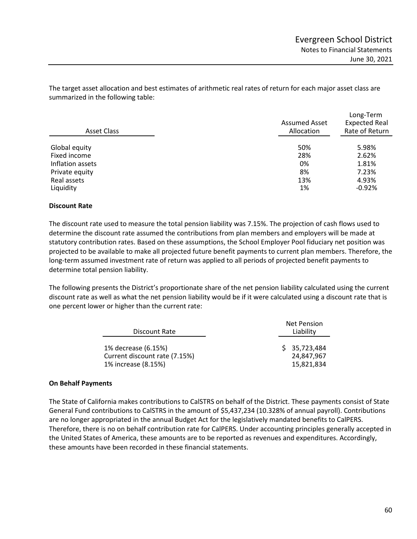The target asset allocation and best estimates of arithmetic real rates of return for each major asset class are summarized in the following table:

| Asset Class      | <b>Assumed Asset</b><br>Allocation | Long-Term<br><b>Expected Real</b><br>Rate of Return |
|------------------|------------------------------------|-----------------------------------------------------|
| Global equity    | 50%                                | 5.98%                                               |
| Fixed income     | 28%                                | 2.62%                                               |
| Inflation assets | 0%                                 | 1.81%                                               |
| Private equity   | 8%                                 | 7.23%                                               |
| Real assets      | 13%                                | 4.93%                                               |
| Liquidity        | 1%                                 | $-0.92%$                                            |

## **Discount Rate**

The discount rate used to measure the total pension liability was 7.15%. The projection of cash flows used to determine the discount rate assumed the contributions from plan members and employers will be made at statutory contribution rates. Based on these assumptions, the School Employer Pool fiduciary net position was projected to be available to make all projected future benefit payments to current plan members. Therefore, the long-term assumed investment rate of return was applied to all periods of projected benefit payments to determine total pension liability.

The following presents the District's proportionate share of the net pension liability calculated using the current discount rate as well as what the net pension liability would be if it were calculated using a discount rate that is one percent lower or higher than the current rate:

| Discount Rate                 | <b>Net Pension</b><br>Liability |
|-------------------------------|---------------------------------|
| 1% decrease (6.15%)           | \$35,723,484                    |
| Current discount rate (7.15%) | 24.847.967                      |
| 1% increase (8.15%)           | 15,821,834                      |

#### **On Behalf Payments**

The State of California makes contributions to CalSTRS on behalf of the District. These payments consist of State General Fund contributions to CalSTRS in the amount of \$5,437,234 (10.328% of annual payroll). Contributions are no longer appropriated in the annual Budget Act for the legislatively mandated benefits to CalPERS. Therefore, there is no on behalf contribution rate for CalPERS. Under accounting principles generally accepted in the United States of America, these amounts are to be reported as revenues and expenditures. Accordingly, these amounts have been recorded in these financial statements.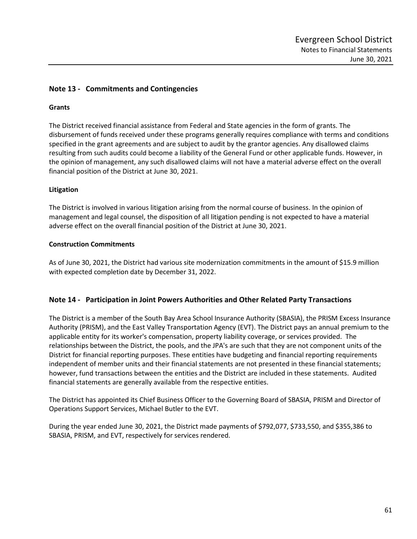# **Note 13 - Commitments and Contingencies**

## **Grants**

The District received financial assistance from Federal and State agencies in the form of grants. The disbursement of funds received under these programs generally requires compliance with terms and conditions specified in the grant agreements and are subject to audit by the grantor agencies. Any disallowed claims resulting from such audits could become a liability of the General Fund or other applicable funds. However, in the opinion of management, any such disallowed claims will not have a material adverse effect on the overall financial position of the District at June 30, 2021.

## **Litigation**

The District is involved in various litigation arising from the normal course of business. In the opinion of management and legal counsel, the disposition of all litigation pending is not expected to have a material adverse effect on the overall financial position of the District at June 30, 2021.

## **Construction Commitments**

As of June 30, 2021, the District had various site modernization commitments in the amount of \$15.9 million with expected completion date by December 31, 2022.

# **Note 14 - Participation in Joint Powers Authorities and Other Related Party Transactions**

The District is a member of the South Bay Area School Insurance Authority (SBASIA), the PRISM Excess Insurance Authority (PRISM), and the East Valley Transportation Agency (EVT). The District pays an annual premium to the applicable entity for its worker's compensation, property liability coverage, or services provided. The relationships between the District, the pools, and the JPA's are such that they are not component units of the District for financial reporting purposes. These entities have budgeting and financial reporting requirements independent of member units and their financial statements are not presented in these financial statements; however, fund transactions between the entities and the District are included in these statements. Audited financial statements are generally available from the respective entities.

The District has appointed its Chief Business Officer to the Governing Board of SBASIA, PRISM and Director of Operations Support Services, Michael Butler to the EVT.

During the year ended June 30, 2021, the District made payments of \$792,077, \$733,550, and \$355,386 to SBASIA, PRISM, and EVT, respectively for services rendered.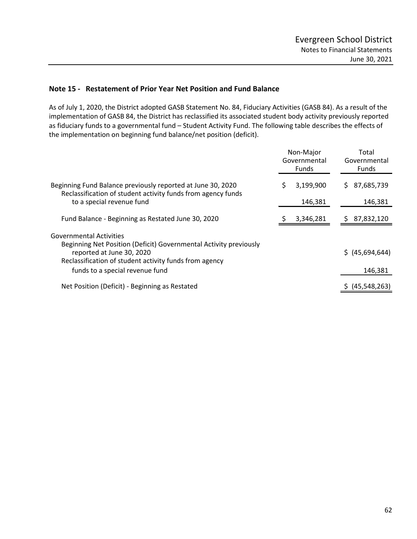# **Note 15 - Restatement of Prior Year Net Position and Fund Balance**

As of July 1, 2020, the District adopted GASB Statement No. 84, Fiduciary Activities (GASB 84). As a result of the implementation of GASB 84, the District has reclassified its associated student body activity previously reported as fiduciary funds to a governmental fund – Student Activity Fund. The following table describes the effects of the implementation on beginning fund balance/net position (deficit).

|                                                                                                                             | Non-Major<br>Governmental<br><b>Funds</b> | Total<br>Governmental<br><b>Funds</b> |
|-----------------------------------------------------------------------------------------------------------------------------|-------------------------------------------|---------------------------------------|
| Beginning Fund Balance previously reported at June 30, 2020<br>Reclassification of student activity funds from agency funds | 3,199,900<br>S                            | 87,685,739<br>S.                      |
| to a special revenue fund                                                                                                   | 146,381                                   | 146,381                               |
| Fund Balance - Beginning as Restated June 30, 2020                                                                          | 3,346,281                                 | \$ 87,832,120                         |
| <b>Governmental Activities</b>                                                                                              |                                           |                                       |
| Beginning Net Position (Deficit) Governmental Activity previously<br>reported at June 30, 2020                              |                                           | \$ (45,694,644)                       |
| Reclassification of student activity funds from agency<br>funds to a special revenue fund                                   |                                           | 146,381                               |
| Net Position (Deficit) - Beginning as Restated                                                                              |                                           | (45, 548, 263)                        |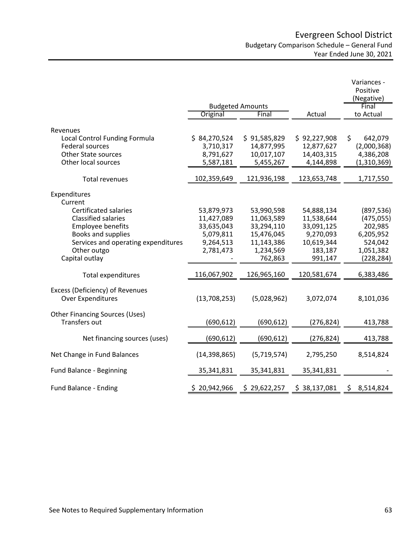|                                                                                                                                                                                                                 |                                                                               |                                                                                            |                                                                                         | Variances -<br>Positive<br>(Negative)                                                  |  |  |
|-----------------------------------------------------------------------------------------------------------------------------------------------------------------------------------------------------------------|-------------------------------------------------------------------------------|--------------------------------------------------------------------------------------------|-----------------------------------------------------------------------------------------|----------------------------------------------------------------------------------------|--|--|
|                                                                                                                                                                                                                 | <b>Budgeted Amounts</b>                                                       |                                                                                            |                                                                                         | Final                                                                                  |  |  |
|                                                                                                                                                                                                                 | Original                                                                      | Final                                                                                      | Actual                                                                                  | to Actual                                                                              |  |  |
| Revenues<br>Local Control Funding Formula<br>Federal sources<br><b>Other State sources</b><br>Other local sources                                                                                               | \$84,270,524<br>3,710,317<br>8,791,627<br>5,587,181                           | \$91,585,829<br>14,877,995<br>10,017,107<br>5,455,267                                      | \$92,227,908<br>12,877,627<br>14,403,315<br>4,144,898                                   | \$<br>642,079<br>(2,000,368)<br>4,386,208<br>(1,310,369)                               |  |  |
| <b>Total revenues</b>                                                                                                                                                                                           | 102,359,649                                                                   | 121,936,198                                                                                | 123,653,748                                                                             | 1,717,550                                                                              |  |  |
| Expenditures<br>Current<br><b>Certificated salaries</b><br><b>Classified salaries</b><br><b>Employee benefits</b><br>Books and supplies<br>Services and operating expenditures<br>Other outgo<br>Capital outlay | 53,879,973<br>11,427,089<br>33,635,043<br>5,079,811<br>9,264,513<br>2,781,473 | 53,990,598<br>11,063,589<br>33,294,110<br>15,476,045<br>11,143,386<br>1,234,569<br>762,863 | 54,888,134<br>11,538,644<br>33,091,125<br>9,270,093<br>10,619,344<br>183,187<br>991,147 | (897, 536)<br>(475, 055)<br>202,985<br>6,205,952<br>524,042<br>1,051,382<br>(228, 284) |  |  |
| <b>Total expenditures</b>                                                                                                                                                                                       | 116,067,902                                                                   | 126,965,160                                                                                | 120,581,674                                                                             | 6,383,486                                                                              |  |  |
| Excess (Deficiency) of Revenues<br>Over Expenditures                                                                                                                                                            | (13,708,253)                                                                  | (5,028,962)                                                                                | 3,072,074                                                                               | 8,101,036                                                                              |  |  |
| <b>Other Financing Sources (Uses)</b><br>Transfers out                                                                                                                                                          | (690, 612)                                                                    | (690, 612)                                                                                 | (276, 824)                                                                              | 413,788                                                                                |  |  |
| Net financing sources (uses)                                                                                                                                                                                    | (690, 612)                                                                    | (690, 612)                                                                                 | (276, 824)                                                                              | 413,788                                                                                |  |  |
| Net Change in Fund Balances                                                                                                                                                                                     | (14, 398, 865)                                                                | (5,719,574)                                                                                | 2,795,250                                                                               | 8,514,824                                                                              |  |  |
| Fund Balance - Beginning                                                                                                                                                                                        | 35,341,831                                                                    | 35,341,831                                                                                 | 35,341,831                                                                              |                                                                                        |  |  |
| Fund Balance - Ending                                                                                                                                                                                           | \$20,942,966                                                                  | \$29,622,257                                                                               | \$38,137,081                                                                            | \$<br>8,514,824                                                                        |  |  |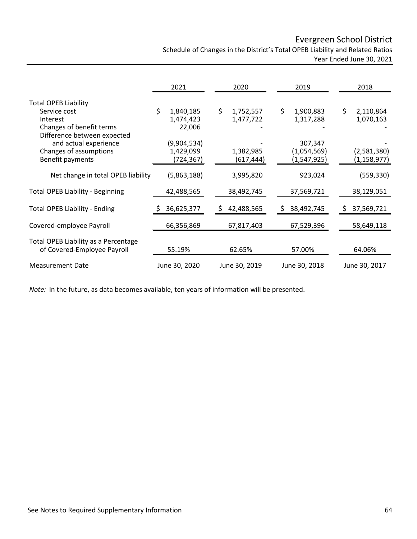# Evergreen School District

Schedule of Changes in the District's Total OPEB Liability and Related Ratios Year Ended June 30, 2021

|                                         | 2021            | 2020              | 2019            | 2018              |
|-----------------------------------------|-----------------|-------------------|-----------------|-------------------|
| <b>Total OPEB Liability</b>             |                 |                   |                 |                   |
| Service cost                            | \$<br>1,840,185 | \$<br>1,752,557   | \$<br>1,900,883 | 2,110,864<br>\$   |
| Interest                                | 1,474,423       | 1,477,722         | 1,317,288       | 1,070,163         |
| Changes of benefit terms                | 22,006          |                   |                 |                   |
| Difference between expected             |                 |                   |                 |                   |
| and actual experience                   | (9,904,534)     |                   | 307,347         |                   |
| Changes of assumptions                  | 1,429,099       | 1,382,985         | (1,054,569)     | (2,581,380)       |
| Benefit payments                        | (724, 367)      | (617, 444)        | (1,547,925)     | (1, 158, 977)     |
| Net change in total OPEB liability      | (5,863,188)     | 3,995,820         | 923,024         | (559, 330)        |
| <b>Total OPEB Liability - Beginning</b> | 42,488,565      | 38,492,745        | 37,569,721      | 38,129,051        |
| <b>Total OPEB Liability - Ending</b>    | 36,625,377      | 42,488,565<br>\$. | 38,492,745<br>S | 37,569,721<br>\$. |
| Covered-employee Payroll                | 66,356,869      | 67,817,403        | 67,529,396      | 58,649,118        |
| Total OPEB Liability as a Percentage    |                 |                   |                 |                   |
| of Covered-Employee Payroll             | 55.19%          | 62.65%            | 57.00%          | 64.06%            |
| <b>Measurement Date</b>                 | June 30, 2020   | June 30, 2019     | June 30, 2018   | June 30, 2017     |

*Note:* In the future, as data becomes available, ten years of information will be presented.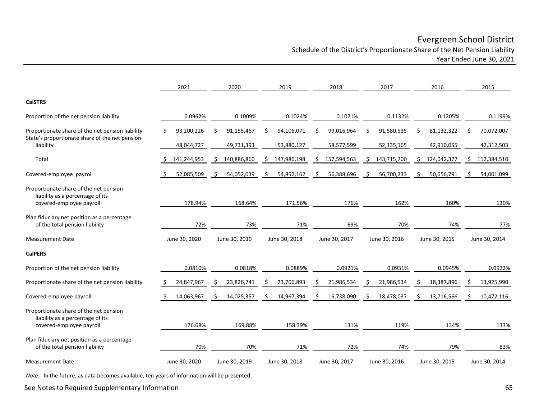# Evergreen School District

Schedule of the District's Proportionate Share of the Net Pension Liability

Year Ended June 30, 2021

|                                                                                                        | 2021             | 2020             | 2019            | 2018          | 2017                       | 2016             | 2015             |
|--------------------------------------------------------------------------------------------------------|------------------|------------------|-----------------|---------------|----------------------------|------------------|------------------|
| <b>CalSTRS</b>                                                                                         |                  |                  |                 |               |                            |                  |                  |
| Proportion of the net pension liability                                                                | 0.0962%          | 0.1009%          | 0.1024%         | 0.1071%       | 0.1132%                    | 0.1205%          | 0.1199%          |
| Proportionate share of the net pension liability<br>State's proportionate share of the net pension     | 93,200,226<br>\$ | Ś.<br>91,155,467 | 94,106,071<br>Ś | 99,016,964    | 91,580,535<br>.S           | 81,132,322<br>Ś  | 70,072,007<br>Š. |
| liability                                                                                              | 48,044,727       | 49,731,393       | 53,880,127      | 58,577,599    | 52,135,165                 | 42,910,055       | 42,312,503       |
| Total                                                                                                  | 141,244,953      | 140,886,860      | 147,986,198     | 157,594,563   | 143,715,700                | 124,042,377<br>S | 112,384,510      |
| Covered-employee payroll                                                                               | 52,085,509<br>-S | 54,052,039<br>s  | 54,852,162      | 56,388,696    | 56,700,233<br><sub>S</sub> | 50,656,791<br>S  | 54,001,099<br>S  |
| Proportionate share of the net pension<br>liability as a percentage of its<br>covered-employee payroll | 178.94%          | 168.64%          | 171.56%         | 176%          | 162%                       | 160%             | 130%             |
| Plan fiduciary net position as a percentage<br>of the total pension liability                          | 72%              | 73%              | 71%             | 69%           | 70%                        | 74%              | 77%              |
| <b>Measurement Date</b>                                                                                | June 30, 2020    | June 30, 2019    | June 30, 2018   | June 30, 2017 | June 30, 2016              | June 30, 2015    | June 30, 2014    |
| <b>CalPERS</b>                                                                                         |                  |                  |                 |               |                            |                  |                  |
| Proportion of the net pension liability                                                                | 0.0810%          | 0.0818%          | 0.0889%         | 0.0921%       | 0.0931%                    | 0.0945%          | 0.0922%          |
| Proportionate share of the net pension liability                                                       | 24,847,967       | 23,826,741       | 23,706,893      | 21,986,534    | 21,986,534<br>S            | 18,387,896<br>\$ | 13,925,990<br>Ś  |
| Covered-employee payroll                                                                               | 14,063,967       | 14,025,357<br>S  | 14,967,394<br>S | 16,738,090    | 18,478,037<br>.S           | 13,716,566<br>S  | 10,472,116       |
| Proportionate share of the net pension<br>liability as a percentage of its<br>covered-employee payroll | 176.68%          | 169.88%          | 158.39%         | 131%          | 119%                       | 134%             | 133%             |
| Plan fiduciary net position as a percentage<br>of the total pension liability                          | 70%              | 70%              | 71%             | 72%           | 74%                        | 79%              | 83%              |
| <b>Measurement Date</b>                                                                                | June 30, 2020    | June 30, 2019    | June 30, 2018   | June 30, 2017 | June 30, 2016              | June 30, 2015    | June 30, 2014    |

*Note* : In the future, as data becomes available, ten years of information will be presented.

See Notes to Required Supplementary Information 65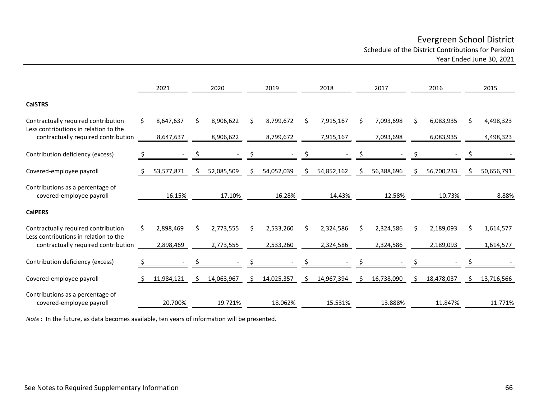# Evergreen School District

Schedule of the District Contributions for Pension

Year Ended June 30, 2021

|                                                                              |    | 2021       |     | 2020       |    | 2019       |    | 2018       |    | 2017       |    | 2016       |    | 2015       |
|------------------------------------------------------------------------------|----|------------|-----|------------|----|------------|----|------------|----|------------|----|------------|----|------------|
| <b>CalSTRS</b>                                                               |    |            |     |            |    |            |    |            |    |            |    |            |    |            |
| Contractually required contribution                                          | Ś. | 8,647,637  | Ś.  | 8,906,622  | Ś. | 8,799,672  |    | 7,915,167  | Ś. | 7,093,698  | Ś  | 6,083,935  | S  | 4,498,323  |
| Less contributions in relation to the<br>contractually required contribution |    | 8,647,637  |     | 8,906,622  |    | 8,799,672  |    | 7,915,167  |    | 7,093,698  |    | 6,083,935  |    | 4,498,323  |
| Contribution deficiency (excess)                                             |    |            |     |            |    |            |    |            |    |            |    |            |    |            |
| Covered-employee payroll                                                     |    | 53,577,871 | Ŝ.  | 52,085,509 | S  | 54,052,039 |    | 54,852,162 | Ś. | 56,388,696 | S  | 56,700,233 | .S | 50,656,791 |
| Contributions as a percentage of<br>covered-employee payroll                 |    | 16.15%     |     | 17.10%     |    | 16.28%     |    | 14.43%     |    | 12.58%     |    | 10.73%     |    | 8.88%      |
| <b>CalPERS</b>                                                               |    |            |     |            |    |            |    |            |    |            |    |            |    |            |
| Contractually required contribution<br>Less contributions in relation to the | Ŝ. | 2,898,469  | \$. | 2,773,555  | \$ | 2,533,260  | Ŝ. | 2,324,586  | Ŝ. | 2,324,586  | Ś. | 2,189,093  | Ŝ. | 1,614,577  |
| contractually required contribution                                          |    | 2,898,469  |     | 2,773,555  |    | 2,533,260  |    | 2,324,586  |    | 2,324,586  |    | 2,189,093  |    | 1,614,577  |
| Contribution deficiency (excess)                                             |    |            |     |            |    |            |    |            |    |            |    |            |    |            |
| Covered-employee payroll                                                     |    | 11,984,121 | Š.  | 14,063,967 | Ś  | 14,025,357 |    | 14,967,394 | Ŝ. | 16,738,090 |    | 18,478,037 | ς  | 13,716,566 |
| Contributions as a percentage of<br>covered-employee payroll                 |    | 20.700%    |     | 19.721%    |    | 18.062%    |    | 15.531%    |    | 13.888%    |    | 11.847%    |    | 11.771%    |

*Note* : In the future, as data becomes available, ten years of information will be presented.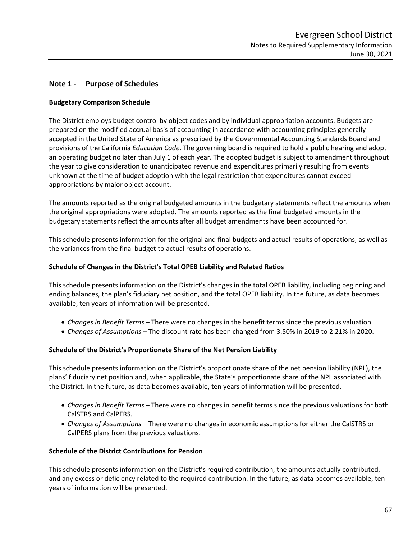# **Note 1 - Purpose of Schedules**

## **Budgetary Comparison Schedule**

The District employs budget control by object codes and by individual appropriation accounts. Budgets are prepared on the modified accrual basis of accounting in accordance with accounting principles generally accepted in the United State of America as prescribed by the Governmental Accounting Standards Board and provisions of the California *Education Code*. The governing board is required to hold a public hearing and adopt an operating budget no later than July 1 of each year. The adopted budget is subject to amendment throughout the year to give consideration to unanticipated revenue and expenditures primarily resulting from events unknown at the time of budget adoption with the legal restriction that expenditures cannot exceed appropriations by major object account.

The amounts reported as the original budgeted amounts in the budgetary statements reflect the amounts when the original appropriations were adopted. The amounts reported as the final budgeted amounts in the budgetary statements reflect the amounts after all budget amendments have been accounted for.

This schedule presents information for the original and final budgets and actual results of operations, as well as the variances from the final budget to actual results of operations.

## **Schedule of Changes in the District's Total OPEB Liability and Related Ratios**

This schedule presents information on the District's changes in the total OPEB liability, including beginning and ending balances, the plan's fiduciary net position, and the total OPEB liability. In the future, as data becomes available, ten years of information will be presented.

- *Changes in Benefit Terms* There were no changes in the benefit terms since the previous valuation.
- *Changes of Assumptions* The discount rate has been changed from 3.50% in 2019 to 2.21% in 2020.

## **Schedule of the District's Proportionate Share of the Net Pension Liability**

This schedule presents information on the District's proportionate share of the net pension liability (NPL), the plans' fiduciary net position and, when applicable, the State's proportionate share of the NPL associated with the District. In the future, as data becomes available, ten years of information will be presented.

- *Changes in Benefit Terms* There were no changes in benefit terms since the previous valuations for both CalSTRS and CalPERS.
- *Changes of Assumptions* There were no changes in economic assumptions for either the CalSTRS or CalPERS plans from the previous valuations.

## **Schedule of the District Contributions for Pension**

This schedule presents information on the District's required contribution, the amounts actually contributed, and any excess or deficiency related to the required contribution. In the future, as data becomes available, ten years of information will be presented.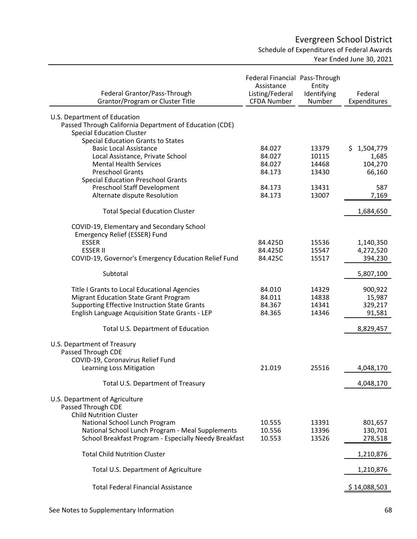# Evergreen School District Schedule of Expenditures of Federal Awards

Year Ended June 30, 2021

| Federal Grantor/Pass-Through                                                                                                | Federal Financial Pass-Through<br>Assistance<br>Listing/Federal | Entity<br>Identifying | Federal      |
|-----------------------------------------------------------------------------------------------------------------------------|-----------------------------------------------------------------|-----------------------|--------------|
| Grantor/Program or Cluster Title                                                                                            | CFDA Number                                                     | Number                | Expenditures |
| U.S. Department of Education<br>Passed Through California Department of Education (CDE)<br><b>Special Education Cluster</b> |                                                                 |                       |              |
| Special Education Grants to States                                                                                          |                                                                 |                       |              |
| <b>Basic Local Assistance</b>                                                                                               | 84.027                                                          | 13379                 | \$1,504,779  |
| Local Assistance, Private School                                                                                            | 84.027                                                          | 10115                 | 1,685        |
| <b>Mental Health Services</b>                                                                                               | 84.027                                                          | 14468                 | 104,270      |
| <b>Preschool Grants</b>                                                                                                     | 84.173                                                          | 13430                 | 66,160       |
| <b>Special Education Preschool Grants</b>                                                                                   |                                                                 |                       |              |
| Preschool Staff Development                                                                                                 | 84.173                                                          | 13431                 | 587          |
| Alternate dispute Resolution                                                                                                | 84.173                                                          | 13007                 | 7,169        |
| <b>Total Special Education Cluster</b>                                                                                      |                                                                 |                       | 1,684,650    |
| COVID-19, Elementary and Secondary School<br>Emergency Relief (ESSER) Fund                                                  |                                                                 |                       |              |
| <b>ESSER</b>                                                                                                                | 84.425D                                                         | 15536                 | 1,140,350    |
| <b>ESSER II</b>                                                                                                             | 84.425D                                                         | 15547                 | 4,272,520    |
| COVID-19, Governor's Emergency Education Relief Fund                                                                        | 84.425C                                                         | 15517                 | 394,230      |
| Subtotal                                                                                                                    |                                                                 |                       | 5,807,100    |
| Title I Grants to Local Educational Agencies                                                                                | 84.010                                                          | 14329                 | 900,922      |
| <b>Migrant Education State Grant Program</b>                                                                                | 84.011                                                          | 14838                 | 15,987       |
| <b>Supporting Effective Instruction State Grants</b>                                                                        | 84.367                                                          | 14341                 | 329,217      |
| English Language Acquisition State Grants - LEP                                                                             | 84.365                                                          | 14346                 | 91,581       |
| Total U.S. Department of Education                                                                                          |                                                                 |                       | 8,829,457    |
| U.S. Department of Treasury<br>Passed Through CDE                                                                           |                                                                 |                       |              |
| COVID-19, Coronavirus Relief Fund                                                                                           |                                                                 |                       |              |
| Learning Loss Mitigation                                                                                                    | 21.019                                                          | 25516                 | 4,048,170    |
|                                                                                                                             |                                                                 |                       |              |
| Total U.S. Department of Treasury                                                                                           |                                                                 |                       | 4,048,170    |
| U.S. Department of Agriculture<br>Passed Through CDE                                                                        |                                                                 |                       |              |
| <b>Child Nutrition Cluster</b>                                                                                              |                                                                 |                       |              |
| National School Lunch Program                                                                                               | 10.555                                                          | 13391                 | 801,657      |
| National School Lunch Program - Meal Supplements                                                                            | 10.556                                                          | 13396                 | 130,701      |
| School Breakfast Program - Especially Needy Breakfast                                                                       | 10.553                                                          | 13526                 | 278,518      |
| <b>Total Child Nutrition Cluster</b>                                                                                        |                                                                 |                       | 1,210,876    |
| Total U.S. Department of Agriculture                                                                                        |                                                                 |                       | 1,210,876    |
| <b>Total Federal Financial Assistance</b>                                                                                   |                                                                 |                       | \$14,088,503 |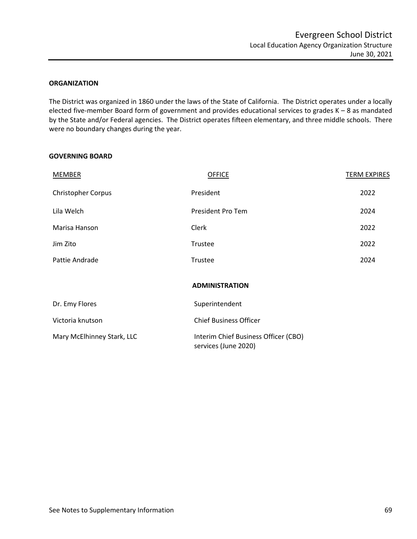# **ORGANIZATION**

The District was organized in 1860 under the laws of the State of California. The District operates under a locally elected five-member Board form of government and provides educational services to grades K – 8 as mandated by the State and/or Federal agencies. The District operates fifteen elementary, and three middle schools. There were no boundary changes during the year.

### **GOVERNING BOARD**

| <b>MEMBER</b>              | <b>OFFICE</b>                                                | <b>TERM EXPIRES</b> |
|----------------------------|--------------------------------------------------------------|---------------------|
| <b>Christopher Corpus</b>  | President                                                    | 2022                |
| Lila Welch                 | President Pro Tem                                            | 2024                |
| Marisa Hanson              | Clerk                                                        | 2022                |
| Jim Zito                   | Trustee                                                      | 2022                |
| Pattie Andrade             | Trustee                                                      | 2024                |
|                            | <b>ADMINISTRATION</b>                                        |                     |
| Dr. Emy Flores             | Superintendent                                               |                     |
| Victoria knutson           | <b>Chief Business Officer</b>                                |                     |
| Mary McElhinney Stark, LLC | Interim Chief Business Officer (CBO)<br>services (June 2020) |                     |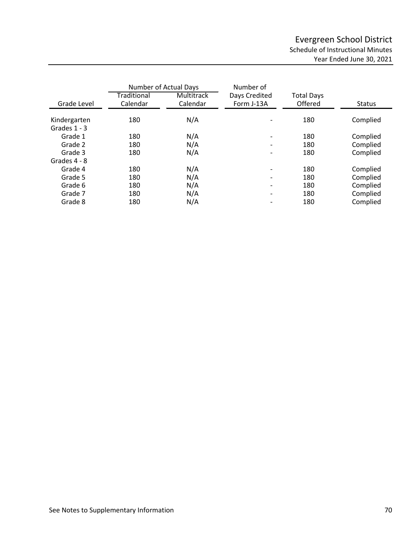|                                |                         | Number of Actual Days  |                             | Number of                    |               |  |  |
|--------------------------------|-------------------------|------------------------|-----------------------------|------------------------------|---------------|--|--|
| Grade Level                    | Traditional<br>Calendar | Multitrack<br>Calendar | Days Credited<br>Form J-13A | <b>Total Days</b><br>Offered | <b>Status</b> |  |  |
| Kindergarten<br>Grades $1 - 3$ | 180                     | N/A                    |                             | 180                          | Complied      |  |  |
| Grade 1                        | 180                     | N/A                    | $\overline{\phantom{a}}$    | 180                          | Complied      |  |  |
| Grade 2                        | 180                     | N/A                    | $\overline{\phantom{a}}$    | 180                          | Complied      |  |  |
| Grade 3                        | 180                     | N/A                    | $\overline{\phantom{a}}$    | 180                          | Complied      |  |  |
| Grades 4 - 8                   |                         |                        |                             |                              |               |  |  |
| Grade 4                        | 180                     | N/A                    | $\overline{\phantom{a}}$    | 180                          | Complied      |  |  |
| Grade 5                        | 180                     | N/A                    | $\overline{\phantom{a}}$    | 180                          | Complied      |  |  |
| Grade 6                        | 180                     | N/A                    | $\overline{\phantom{a}}$    | 180                          | Complied      |  |  |
| Grade 7                        | 180                     | N/A                    | $\overline{\phantom{a}}$    | 180                          | Complied      |  |  |
| Grade 8                        | 180                     | N/A                    | $\overline{\phantom{a}}$    | 180                          | Complied      |  |  |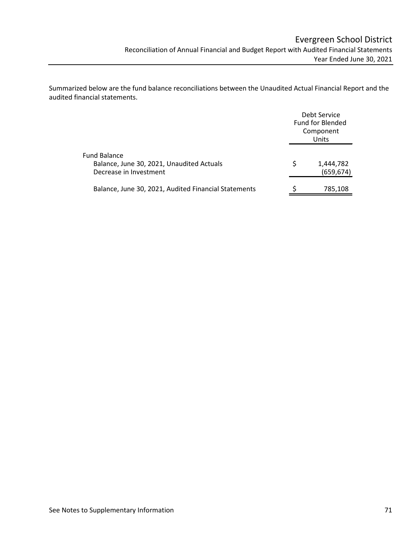Summarized below are the fund balance reconciliations between the Unaudited Actual Financial Report and the audited financial statements.

|                                                                                            |   | Debt Service<br><b>Fund for Blended</b><br>Component<br>Units |
|--------------------------------------------------------------------------------------------|---|---------------------------------------------------------------|
| <b>Fund Balance</b><br>Balance, June 30, 2021, Unaudited Actuals<br>Decrease in Investment | Ś | 1,444,782<br>(659, 674)                                       |
| Balance, June 30, 2021, Audited Financial Statements                                       |   | 785,108                                                       |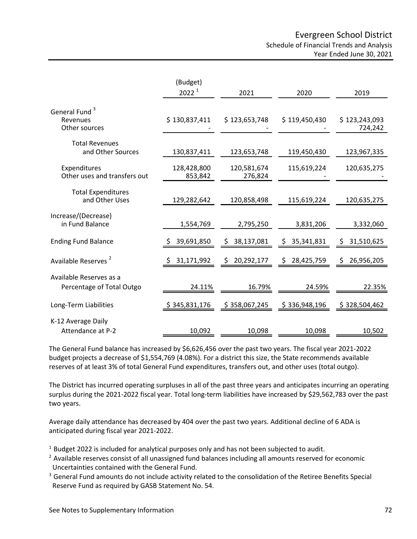|                                                        | (Budget)<br>$2022^1$   | 2021                   | 2020             | 2019                     |
|--------------------------------------------------------|------------------------|------------------------|------------------|--------------------------|
| General Fund <sup>3</sup><br>Revenues<br>Other sources | \$130,837,411          | \$123,653,748          | \$119,450,430    | \$123,243,093<br>724,242 |
| <b>Total Revenues</b><br>and Other Sources             | 130,837,411            | 123,653,748            | 119,450,430      | 123,967,335              |
| Expenditures<br>Other uses and transfers out           | 128,428,800<br>853,842 | 120,581,674<br>276,824 | 115,619,224      | 120,635,275              |
| <b>Total Expenditures</b><br>and Other Uses            | 129,282,642            | 120,858,498            | 115,619,224      | 120,635,275              |
| Increase/(Decrease)<br>in Fund Balance                 | 1,554,769              | 2,795,250              | 3,831,206        | 3,332,060                |
| <b>Ending Fund Balance</b>                             | 39,691,850             | 38,137,081<br>\$       | 35,341,831<br>S. | \$31,510,625             |
| Available Reserves <sup>2</sup>                        | 31,171,992             | 20,292,177<br>\$.      | 28,425,759<br>\$ | 26,956,205<br>\$.        |
| Available Reserves as a<br>Percentage of Total Outgo   | 24.11%                 | 16.79%                 | 24.59%           | 22.35%                   |
| Long-Term Liabilities                                  | \$345,831,176          | \$358,067,245          | \$336,948,196    | \$328,504,462            |
| K-12 Average Daily<br>Attendance at P-2                | 10,092                 | 10,098                 | 10,098           | 10,502                   |

The General Fund balance has increased by \$6,626,456 over the past two years. The fiscal year 2021-2022 budget projects a decrease of \$1,554,769 (4.08%). For a district this size, the State recommends available reserves of at least 3% of total General Fund expenditures, transfers out, and other uses (total outgo).

The District has incurred operating surpluses in all of the past three years and anticipates incurring an operating surplus during the 2021-2022 fiscal year. Total long-term liabilities have increased by \$29,562,783 over the past two years.

Average daily attendance has decreased by 404 over the past two years. Additional decline of 6 ADA is anticipated during fiscal year 2021-2022.

- $1$  Budget 2022 is included for analytical purposes only and has not been subjected to audit.
- <sup>2</sup> Available reserves consist of all unassigned fund balances including all amounts reserved for economic Uncertainties contained with the General Fund.
- <sup>3</sup> General Fund amounts do not include activity related to the consolidation of the Retiree Benefits Special Reserve Fund as required by GASB Statement No. 54.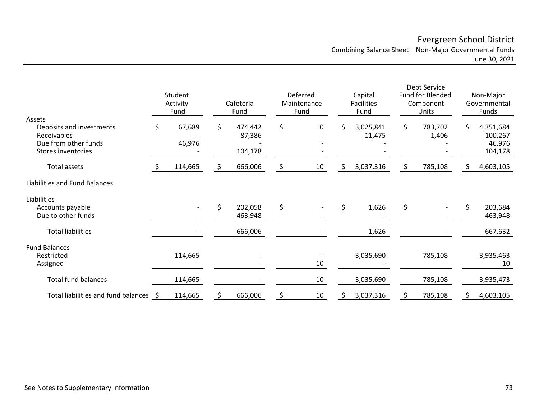# Evergreen School District

Combining Balance Sheet – Non-Major Governmental Funds June 30, 2021

|                                                                                                 | Student<br>Activity<br>Fund |    | Cafeteria<br>Fund            |    | Deferred<br>Maintenance<br>Fund |    | Capital<br><b>Facilities</b><br>Fund |    | Debt Service<br>Fund for Blended<br>Component<br>Units |     | Non-Major<br>Governmental<br>Funds        |
|-------------------------------------------------------------------------------------------------|-----------------------------|----|------------------------------|----|---------------------------------|----|--------------------------------------|----|--------------------------------------------------------|-----|-------------------------------------------|
| Assets<br>Deposits and investments<br>Receivables<br>Due from other funds<br>Stores inventories | \$<br>67,689<br>46,976      | Ś. | 474,442<br>87,386<br>104,178 | \$ | 10                              | Ś. | 3,025,841<br>11,475                  | \$ | 783,702<br>1,406                                       | \$. | 4,351,684<br>100,267<br>46,976<br>104,178 |
| Total assets                                                                                    | 114,665                     |    | 666,006                      | Ş  | 10                              | Ş  | 3,037,316                            | Ş. | 785,108                                                |     | 4,603,105                                 |
| Liabilities and Fund Balances                                                                   |                             |    |                              |    |                                 |    |                                      |    |                                                        |     |                                           |
| Liabilities<br>Accounts payable<br>Due to other funds                                           |                             | \$ | 202,058<br>463,948           | \$ |                                 | \$ | 1,626                                | \$ |                                                        |     | 203,684<br>463,948                        |
| <b>Total liabilities</b>                                                                        |                             |    | 666,006                      |    |                                 |    | 1,626                                |    |                                                        |     | 667,632                                   |
| <b>Fund Balances</b><br>Restricted<br>Assigned                                                  | 114,665                     |    |                              |    | 10                              |    | 3,035,690                            |    | 785,108                                                |     | 3,935,463<br>10                           |
| <b>Total fund balances</b>                                                                      | 114,665                     |    |                              |    | 10                              |    | 3,035,690                            |    | 785,108                                                |     | 3,935,473                                 |
| Total liabilities and fund balances \$                                                          | 114,665                     |    | 666,006                      |    | $10\,$                          |    | 3,037,316                            |    | 785,108                                                |     | 4,603,105                                 |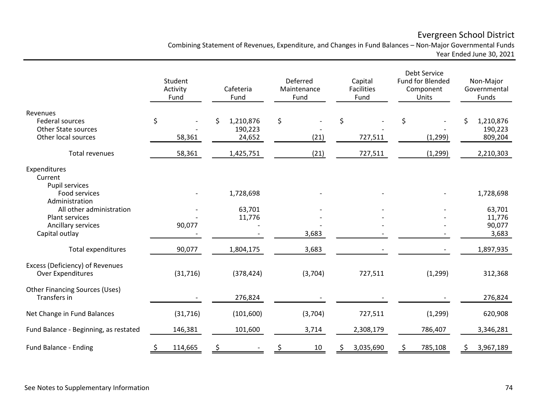# Evergreen School District

Combining Statement of Revenues, Expenditure, and Changes in Fund Balances – Non-Major Governmental Funds Year Ended June 30, 2021

|                                                                                         | Student<br>Activity<br>Fund | Cafeteria<br>Fund                    | Deferred<br>Maintenance<br>Fund |     | Capital<br><b>Facilities</b><br>Fund | <b>Debt Service</b><br>Fund for Blended<br>Component<br>Units |    | Non-Major<br>Governmental<br>Funds  |
|-----------------------------------------------------------------------------------------|-----------------------------|--------------------------------------|---------------------------------|-----|--------------------------------------|---------------------------------------------------------------|----|-------------------------------------|
| Revenues<br><b>Federal sources</b><br><b>Other State sources</b><br>Other local sources | \$<br>58,361                | \$<br>1,210,876<br>190,223<br>24,652 | \$<br>(21)                      | \$  | 727,511                              | \$<br>(1, 299)                                                | \$ | 1,210,876<br>190,223<br>809,204     |
| <b>Total revenues</b>                                                                   | 58,361                      | 1,425,751                            | (21)                            |     | 727,511                              | (1, 299)                                                      |    | 2,210,303                           |
| Expenditures<br>Current<br>Pupil services                                               |                             |                                      |                                 |     |                                      |                                                               |    |                                     |
| Food services<br>Administration                                                         |                             | 1,728,698                            |                                 |     |                                      |                                                               |    | 1,728,698                           |
| All other administration<br>Plant services<br>Ancillary services<br>Capital outlay      | 90,077                      | 63,701<br>11,776                     | 3,683                           |     |                                      |                                                               |    | 63,701<br>11,776<br>90,077<br>3,683 |
| Total expenditures                                                                      | 90,077                      | 1,804,175                            | 3,683                           |     |                                      |                                                               |    | 1,897,935                           |
| Excess (Deficiency) of Revenues<br>Over Expenditures                                    | (31, 716)                   | (378, 424)                           | (3,704)                         |     | 727,511                              | (1, 299)                                                      |    | 312,368                             |
| <b>Other Financing Sources (Uses)</b><br>Transfers in                                   |                             | 276,824                              |                                 |     |                                      |                                                               |    | 276,824                             |
| Net Change in Fund Balances                                                             | (31, 716)                   | (101, 600)                           | (3,704)                         |     | 727,511                              | (1, 299)                                                      |    | 620,908                             |
| Fund Balance - Beginning, as restated                                                   | 146,381                     | 101,600                              | 3,714                           |     | 2,308,179                            | 786,407                                                       |    | 3,346,281                           |
| Fund Balance - Ending                                                                   | \$<br>114,665               | \$                                   | \$<br>10                        | \$. | 3,035,690                            | \$<br>785,108                                                 | S. | 3,967,189                           |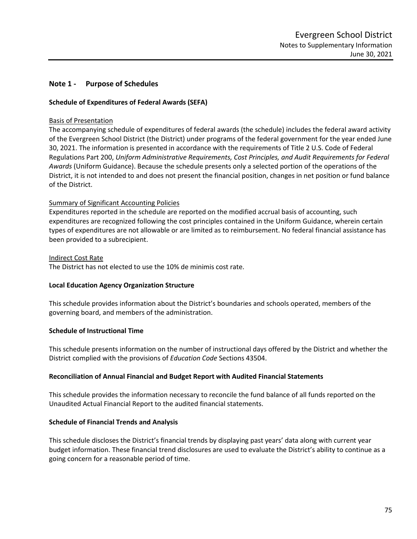# **Note 1 - Purpose of Schedules**

# **Schedule of Expenditures of Federal Awards (SEFA)**

# Basis of Presentation

The accompanying schedule of expenditures of federal awards (the schedule) includes the federal award activity of the Evergreen School District (the District) under programs of the federal government for the year ended June 30, 2021. The information is presented in accordance with the requirements of Title 2 U.S. Code of Federal Regulations Part 200, *Uniform Administrative Requirements, Cost Principles, and Audit Requirements for Federal Awards* (Uniform Guidance). Because the schedule presents only a selected portion of the operations of the District, it is not intended to and does not present the financial position, changes in net position or fund balance of the District.

# Summary of Significant Accounting Policies

Expenditures reported in the schedule are reported on the modified accrual basis of accounting, such expenditures are recognized following the cost principles contained in the Uniform Guidance, wherein certain types of expenditures are not allowable or are limited as to reimbursement. No federal financial assistance has been provided to a subrecipient.

# Indirect Cost Rate

The District has not elected to use the 10% de minimis cost rate.

### **Local Education Agency Organization Structure**

This schedule provides information about the District's boundaries and schools operated, members of the governing board, and members of the administration.

### **Schedule of Instructional Time**

This schedule presents information on the number of instructional days offered by the District and whether the District complied with the provisions of *Education Code* Sections 43504.

### **Reconciliation of Annual Financial and Budget Report with Audited Financial Statements**

This schedule provides the information necessary to reconcile the fund balance of all funds reported on the Unaudited Actual Financial Report to the audited financial statements.

### **Schedule of Financial Trends and Analysis**

This schedule discloses the District's financial trends by displaying past years' data along with current year budget information. These financial trend disclosures are used to evaluate the District's ability to continue as a going concern for a reasonable period of time.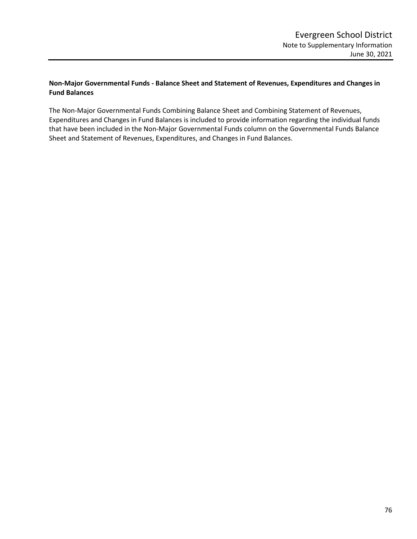# **Non-Major Governmental Funds - Balance Sheet and Statement of Revenues, Expenditures and Changes in Fund Balances**

The Non-Major Governmental Funds Combining Balance Sheet and Combining Statement of Revenues, Expenditures and Changes in Fund Balances is included to provide information regarding the individual funds that have been included in the Non-Major Governmental Funds column on the Governmental Funds Balance Sheet and Statement of Revenues, Expenditures, and Changes in Fund Balances.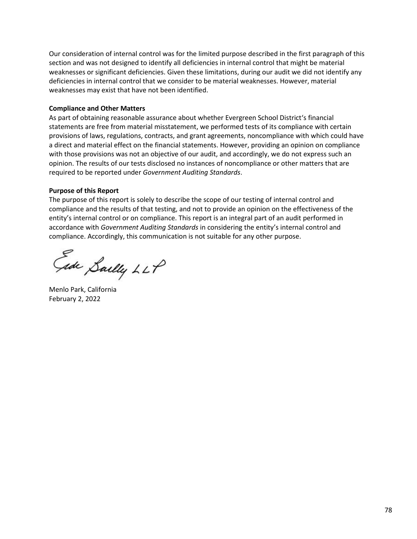Our consideration of internal control was for the limited purpose described in the first paragraph of this section and was not designed to identify all deficiencies in internal control that might be material weaknesses or significant deficiencies. Given these limitations, during our audit we did not identify any deficiencies in internal control that we consider to be material weaknesses. However, material weaknesses may exist that have not been identified.

# **Compliance and Other Matters**

As part of obtaining reasonable assurance about whether Evergreen School District's financial statements are free from material misstatement, we performed tests of its compliance with certain provisions of laws, regulations, contracts, and grant agreements, noncompliance with which could have a direct and material effect on the financial statements. However, providing an opinion on compliance with those provisions was not an objective of our audit, and accordingly, we do not express such an opinion. The results of our tests disclosed no instances of noncompliance or other matters that are required to be reported under *Government Auditing Standards*.

# **Purpose of this Report**

The purpose of this report is solely to describe the scope of our testing of internal control and compliance and the results of that testing, and not to provide an opinion on the effectiveness of the entity's internal control or on compliance. This report is an integral part of an audit performed in accordance with *Government Auditing Standards* in considering the entity's internal control and compliance. Accordingly, this communication is not suitable for any other purpose.

Fede Sailly LLP

Menlo Park, California February 2, 2022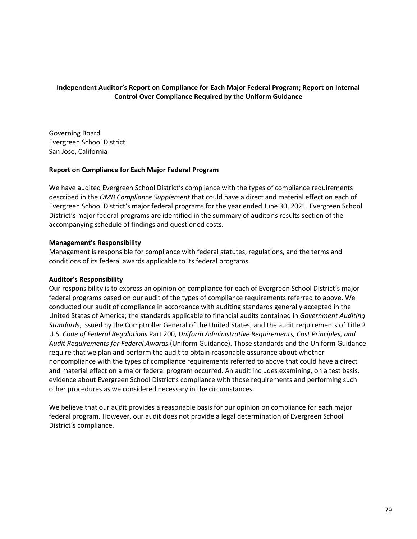

**CPAs & BUSINESS ADVISORS** 

# **Independent Auditor's Report on Compliance for Each Major Federal Program; Report on Internal Control Over Compliance Required by the Uniform Guidance**

Governing Board Evergreen School District San Jose, California

# **Report on Compliance for Each Major Federal Program**

We have audited Evergreen School District's compliance with the types of compliance requirements described in the *OMB Compliance Supplement* that could have a direct and material effect on each of Evergreen School District's major federal programs for the year ended June 30, 2021. Evergreen School District's major federal programs are identified in the summary of auditor's results section of the accompanying schedule of findings and questioned costs.

# **Management's Responsibility**

Management is responsible for compliance with federal statutes, regulations, and the terms and conditions of its federal awards applicable to its federal programs.

### **Auditor's Responsibility**

Our responsibility is to express an opinion on compliance for each of Evergreen School District's major federal programs based on our audit of the types of compliance requirements referred to above. We conducted our audit of compliance in accordance with auditing standards generally accepted in the United States of America; the standards applicable to financial audits contained in *Government Auditing Standards*, issued by the Comptroller General of the United States; and the audit requirements of Title 2 U.S. *Code of Federal Regulations* Part 200, *Uniform Administrative Requirements, Cost Principles, and Audit Requirements for Federal Awards* (Uniform Guidance). Those standards and the Uniform Guidance require that we plan and perform the audit to obtain reasonable assurance about whether noncompliance with the types of compliance requirements referred to above that could have a direct and material effect on a major federal program occurred. An audit includes examining, on a test basis, evidence about Evergreen School District's compliance with those requirements and performing such other procedures as we considered necessary in the circumstances.

We believe that our audit provides a reasonable basis for our opinion on compliance for each major federal program. However, our audit does not provide a legal determination of Evergreen School District's compliance.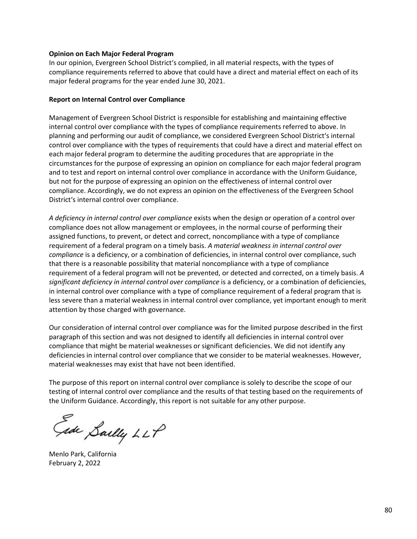# **Opinion on Each Major Federal Program**

In our opinion, Evergreen School District's complied, in all material respects, with the types of compliance requirements referred to above that could have a direct and material effect on each of its major federal programs for the year ended June 30, 2021.

# **Report on Internal Control over Compliance**

Management of Evergreen School District is responsible for establishing and maintaining effective internal control over compliance with the types of compliance requirements referred to above. In planning and performing our audit of compliance, we considered Evergreen School District's internal control over compliance with the types of requirements that could have a direct and material effect on each major federal program to determine the auditing procedures that are appropriate in the circumstances for the purpose of expressing an opinion on compliance for each major federal program and to test and report on internal control over compliance in accordance with the Uniform Guidance, but not for the purpose of expressing an opinion on the effectiveness of internal control over compliance. Accordingly, we do not express an opinion on the effectiveness of the Evergreen School District's internal control over compliance.

*A deficiency in internal control over compliance* exists when the design or operation of a control over compliance does not allow management or employees, in the normal course of performing their assigned functions, to prevent, or detect and correct, noncompliance with a type of compliance requirement of a federal program on a timely basis. *A material weakness in internal control over compliance* is a deficiency, or a combination of deficiencies, in internal control over compliance, such that there is a reasonable possibility that material noncompliance with a type of compliance requirement of a federal program will not be prevented, or detected and corrected, on a timely basis. *A significant deficiency in internal control over compliance* is a deficiency, or a combination of deficiencies, in internal control over compliance with a type of compliance requirement of a federal program that is less severe than a material weakness in internal control over compliance, yet important enough to merit attention by those charged with governance.

Our consideration of internal control over compliance was for the limited purpose described in the first paragraph of this section and was not designed to identify all deficiencies in internal control over compliance that might be material weaknesses or significant deficiencies. We did not identify any deficiencies in internal control over compliance that we consider to be material weaknesses. However, material weaknesses may exist that have not been identified.

The purpose of this report on internal control over compliance is solely to describe the scope of our testing of internal control over compliance and the results of that testing based on the requirements of the Uniform Guidance. Accordingly, this report is not suitable for any other purpose.

Gide Sailly LLP

Menlo Park, California February 2, 2022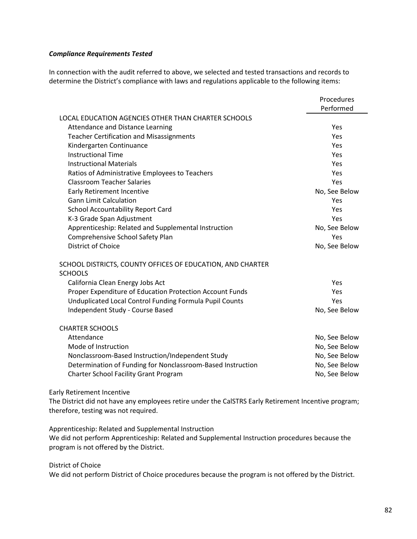# *Compliance Requirements Tested*

In connection with the audit referred to above, we selected and tested transactions and records to determine the District's compliance with laws and regulations applicable to the following items:

|                                                             | Procedures    |
|-------------------------------------------------------------|---------------|
|                                                             | Performed     |
| LOCAL EDUCATION AGENCIES OTHER THAN CHARTER SCHOOLS         |               |
| Attendance and Distance Learning                            | Yes           |
| <b>Teacher Certification and Misassignments</b>             | Yes           |
| Kindergarten Continuance                                    | Yes           |
| <b>Instructional Time</b>                                   | Yes           |
| <b>Instructional Materials</b>                              | Yes           |
| Ratios of Administrative Employees to Teachers              | Yes           |
| <b>Classroom Teacher Salaries</b>                           | Yes           |
| Early Retirement Incentive                                  | No, See Below |
| <b>Gann Limit Calculation</b>                               | Yes           |
| <b>School Accountability Report Card</b>                    | Yes           |
| K-3 Grade Span Adjustment                                   | Yes           |
| Apprenticeship: Related and Supplemental Instruction        | No, See Below |
| Comprehensive School Safety Plan                            | Yes           |
| <b>District of Choice</b>                                   | No, See Below |
| SCHOOL DISTRICTS, COUNTY OFFICES OF EDUCATION, AND CHARTER  |               |
| <b>SCHOOLS</b>                                              |               |
| California Clean Energy Jobs Act                            | Yes           |
| Proper Expenditure of Education Protection Account Funds    | Yes           |
| Unduplicated Local Control Funding Formula Pupil Counts     | Yes           |
| Independent Study - Course Based                            | No, See Below |
| <b>CHARTER SCHOOLS</b>                                      |               |
| Attendance                                                  | No, See Below |
| Mode of Instruction                                         | No, See Below |
| Nonclassroom-Based Instruction/Independent Study            | No, See Below |
| Determination of Funding for Nonclassroom-Based Instruction | No, See Below |
| <b>Charter School Facility Grant Program</b>                | No, See Below |
| <b>Early Retirement Incentive</b>                           |               |

The District did not have any employees retire under the CalSTRS Early Retirement Incentive program; therefore, testing was not required.

Apprenticeship: Related and Supplemental Instruction We did not perform Apprenticeship: Related and Supplemental Instruction procedures because the program is not offered by the District.

District of Choice

We did not perform District of Choice procedures because the program is not offered by the District.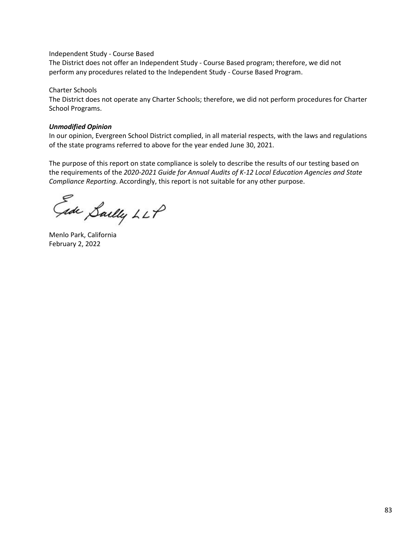## Independent Study - Course Based

The District does not offer an Independent Study - Course Based program; therefore, we did not perform any procedures related to the Independent Study - Course Based Program.

# Charter Schools

The District does not operate any Charter Schools; therefore, we did not perform procedures for Charter School Programs.

# *Unmodified Opinion*

In our opinion, Evergreen School District complied, in all material respects, with the laws and regulations of the state programs referred to above for the year ended June 30, 2021.

The purpose of this report on state compliance is solely to describe the results of our testing based on the requirements of the *2020-2021 Guide for Annual Audits of K-12 Local Education Agencies and State Compliance Reporting*. Accordingly, this report is not suitable for any other purpose.

Eade Sailly LLP

Menlo Park, California February 2, 2022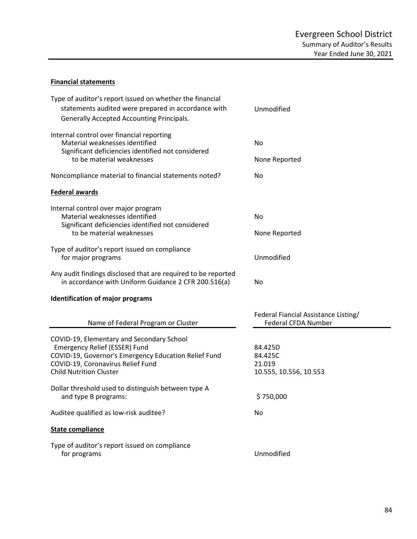# **Financial statements**

| Type of auditor's report issued on whether the financial<br>statements audited were prepared in accordance with<br><b>Generally Accepted Accounting Principals.</b>                                       | Unmodified                                                         |
|-----------------------------------------------------------------------------------------------------------------------------------------------------------------------------------------------------------|--------------------------------------------------------------------|
| Internal control over financial reporting<br>Material weaknesses identified<br>Significant deficiencies identified not considered<br>to be material weaknesses                                            | No<br>None Reported                                                |
| Noncompliance material to financial statements noted?                                                                                                                                                     | No                                                                 |
| <b>Federal awards</b>                                                                                                                                                                                     |                                                                    |
| Internal control over major program<br>Material weaknesses identified<br>Significant deficiencies identified not considered<br>to be material weaknesses                                                  | No<br>None Reported                                                |
| Type of auditor's report issued on compliance<br>for major programs                                                                                                                                       | Unmodified                                                         |
| Any audit findings disclosed that are required to be reported<br>in accordance with Uniform Guidance 2 CFR 200.516(a)                                                                                     | No.                                                                |
| Identification of major programs                                                                                                                                                                          |                                                                    |
| Name of Federal Program or Cluster                                                                                                                                                                        | Federal Fiancial Assistance Listing/<br><b>Federal CFDA Number</b> |
| COVID-19, Elementary and Secondary School<br>Emergency Relief (ESSER) Fund<br>COVID-19, Governor's Emergency Education Relief Fund<br>COVID-19, Coronavirus Relief Fund<br><b>Child Nutrition Cluster</b> | 84.425D<br>84.425C<br>21.019<br>10.555, 10.556, 10.553             |
| Dollar threshold used to distinguish between type A<br>and type B programs:                                                                                                                               | \$750,000                                                          |
| Auditee qualified as low-risk auditee?                                                                                                                                                                    | No                                                                 |
| <b>State compliance</b>                                                                                                                                                                                   |                                                                    |
| Type of auditor's report issued on compliance<br>for programs                                                                                                                                             | Unmodified                                                         |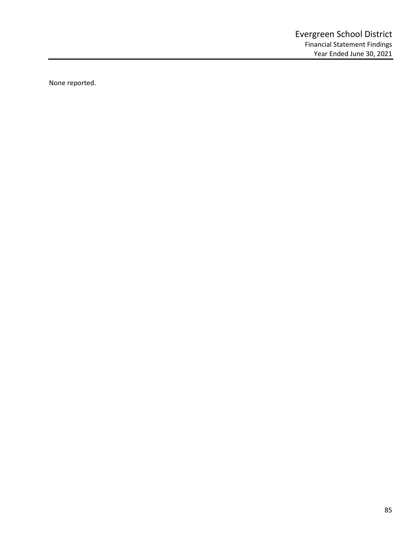None reported.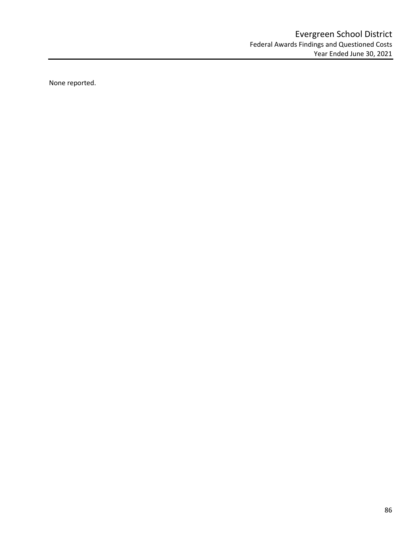None reported.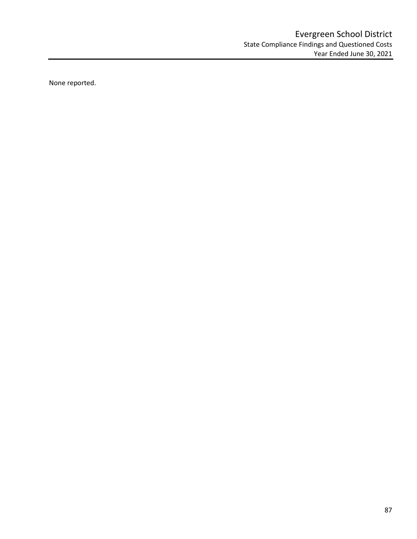None reported.